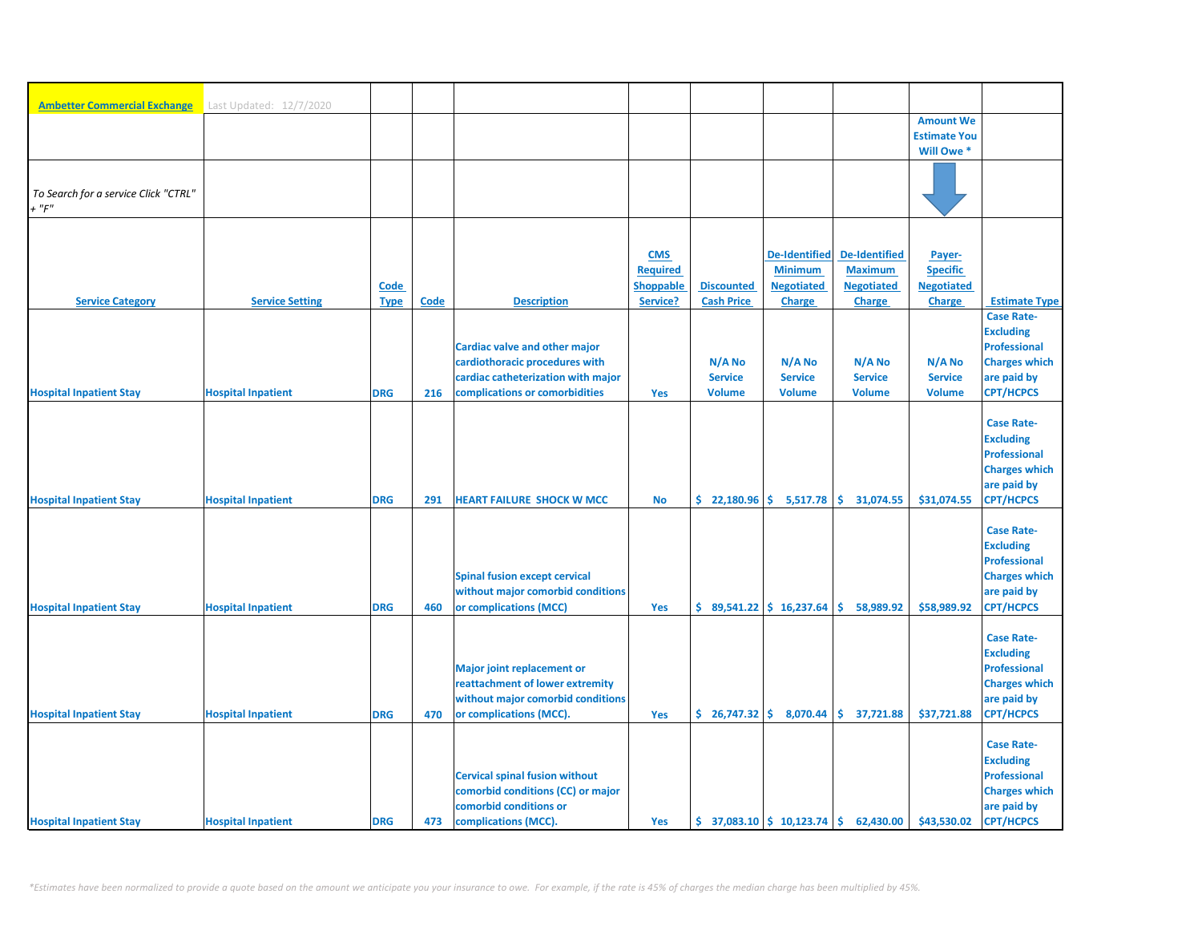| <b>Ambetter Commercial Exchange</b>  | Last Updated: 12/7/2020   |             |             |                                                                           |                  |                                                               |                              |                      |                     |                                             |
|--------------------------------------|---------------------------|-------------|-------------|---------------------------------------------------------------------------|------------------|---------------------------------------------------------------|------------------------------|----------------------|---------------------|---------------------------------------------|
|                                      |                           |             |             |                                                                           |                  |                                                               |                              |                      | <b>Amount We</b>    |                                             |
|                                      |                           |             |             |                                                                           |                  |                                                               |                              |                      | <b>Estimate You</b> |                                             |
|                                      |                           |             |             |                                                                           |                  |                                                               |                              |                      | Will Owe*           |                                             |
|                                      |                           |             |             |                                                                           |                  |                                                               |                              |                      |                     |                                             |
| To Search for a service Click "CTRL" |                           |             |             |                                                                           |                  |                                                               |                              |                      |                     |                                             |
| $+$ " $F$ "                          |                           |             |             |                                                                           |                  |                                                               |                              |                      |                     |                                             |
|                                      |                           |             |             |                                                                           |                  |                                                               |                              |                      |                     |                                             |
|                                      |                           |             |             |                                                                           | <b>CMS</b>       |                                                               | <b>De-Identified</b>         | <b>De-Identified</b> | Payer-              |                                             |
|                                      |                           |             |             |                                                                           | <b>Required</b>  |                                                               | <b>Minimum</b>               | <b>Maximum</b>       | <b>Specific</b>     |                                             |
|                                      |                           | <b>Code</b> |             |                                                                           | <b>Shoppable</b> | <b>Discounted</b>                                             | <b>Negotiated</b>            | <b>Negotiated</b>    | <b>Negotiated</b>   |                                             |
| <b>Service Category</b>              | <b>Service Setting</b>    | <b>Type</b> | <b>Code</b> | <b>Description</b>                                                        | Service?         | <b>Cash Price</b>                                             | <b>Charge</b>                | <b>Charge</b>        | <b>Charge</b>       | <b>Estimate Type</b>                        |
|                                      |                           |             |             |                                                                           |                  |                                                               |                              |                      |                     | <b>Case Rate-</b>                           |
|                                      |                           |             |             |                                                                           |                  |                                                               |                              |                      |                     | <b>Excluding</b>                            |
|                                      |                           |             |             | <b>Cardiac valve and other major</b><br>cardiothoracic procedures with    |                  | N/A No                                                        | N/A No                       | N/A No               | N/A No              | <b>Professional</b><br><b>Charges which</b> |
|                                      |                           |             |             | cardiac catheterization with major                                        |                  | <b>Service</b>                                                | <b>Service</b>               | <b>Service</b>       | <b>Service</b>      | are paid by                                 |
| <b>Hospital Inpatient Stay</b>       | <b>Hospital Inpatient</b> | <b>DRG</b>  | 216         | complications or comorbidities                                            | Yes              | <b>Volume</b>                                                 | <b>Volume</b>                | <b>Volume</b>        | <b>Volume</b>       | <b>CPT/HCPCS</b>                            |
|                                      |                           |             |             |                                                                           |                  |                                                               |                              |                      |                     |                                             |
|                                      |                           |             |             |                                                                           |                  |                                                               |                              |                      |                     | <b>Case Rate-</b>                           |
|                                      |                           |             |             |                                                                           |                  |                                                               |                              |                      |                     | <b>Excluding</b>                            |
|                                      |                           |             |             |                                                                           |                  |                                                               |                              |                      |                     | <b>Professional</b>                         |
|                                      |                           |             |             |                                                                           |                  |                                                               |                              |                      |                     | <b>Charges which</b><br>are paid by         |
| <b>Hospital Inpatient Stay</b>       | <b>Hospital Inpatient</b> | <b>DRG</b>  | 291         | <b>HEART FAILURE SHOCK W MCC</b>                                          | <b>No</b>        |                                                               | $$22,180.96 \mid $5,517.78$  | \$31,074.55          | \$31,074.55         | <b>CPT/HCPCS</b>                            |
|                                      |                           |             |             |                                                                           |                  |                                                               |                              |                      |                     |                                             |
|                                      |                           |             |             |                                                                           |                  |                                                               |                              |                      |                     | <b>Case Rate-</b>                           |
|                                      |                           |             |             |                                                                           |                  |                                                               |                              |                      |                     | <b>Excluding</b>                            |
|                                      |                           |             |             |                                                                           |                  |                                                               |                              |                      |                     | <b>Professional</b>                         |
|                                      |                           |             |             | <b>Spinal fusion except cervical</b><br>without major comorbid conditions |                  |                                                               |                              |                      |                     | <b>Charges which</b><br>are paid by         |
| <b>Hospital Inpatient Stay</b>       | <b>Hospital Inpatient</b> | <b>DRG</b>  | 460         | or complications (MCC)                                                    | Yes              |                                                               | $$89,541.22 \mid $16,237.64$ | 58,989.92<br>\$.     | \$58,989.92         | <b>CPT/HCPCS</b>                            |
|                                      |                           |             |             |                                                                           |                  |                                                               |                              |                      |                     |                                             |
|                                      |                           |             |             |                                                                           |                  |                                                               |                              |                      |                     | <b>Case Rate-</b>                           |
|                                      |                           |             |             |                                                                           |                  |                                                               |                              |                      |                     | <b>Excluding</b>                            |
|                                      |                           |             |             | <b>Major joint replacement or</b>                                         |                  |                                                               |                              |                      |                     | <b>Professional</b>                         |
|                                      |                           |             |             | reattachment of lower extremity                                           |                  |                                                               |                              |                      |                     | <b>Charges which</b>                        |
| <b>Hospital Inpatient Stay</b>       | <b>Hospital Inpatient</b> | <b>DRG</b>  | 470         | without major comorbid conditions<br>or complications (MCC).              | Yes              | $$26,747.32 \mid $8,070.44$                                   |                              | \$37,721.88          | \$37,721.88         | are paid by<br><b>CPT/HCPCS</b>             |
|                                      |                           |             |             |                                                                           |                  |                                                               |                              |                      |                     |                                             |
|                                      |                           |             |             |                                                                           |                  |                                                               |                              |                      |                     | <b>Case Rate-</b>                           |
|                                      |                           |             |             |                                                                           |                  |                                                               |                              |                      |                     | <b>Excluding</b>                            |
|                                      |                           |             |             | <b>Cervical spinal fusion without</b>                                     |                  |                                                               |                              |                      |                     | <b>Professional</b>                         |
|                                      |                           |             |             | comorbid conditions (CC) or major                                         |                  |                                                               |                              |                      |                     | <b>Charges which</b>                        |
| <b>Hospital Inpatient Stay</b>       | <b>Hospital Inpatient</b> | <b>DRG</b>  | 473         | comorbid conditions or<br>complications (MCC).                            | Yes              | $\frac{1}{2}$ 37,083.10 $\frac{1}{2}$ 10,123.74 $\frac{1}{2}$ |                              | 62,430.00            | \$43,530.02         | are paid by<br><b>CPT/HCPCS</b>             |
|                                      |                           |             |             |                                                                           |                  |                                                               |                              |                      |                     |                                             |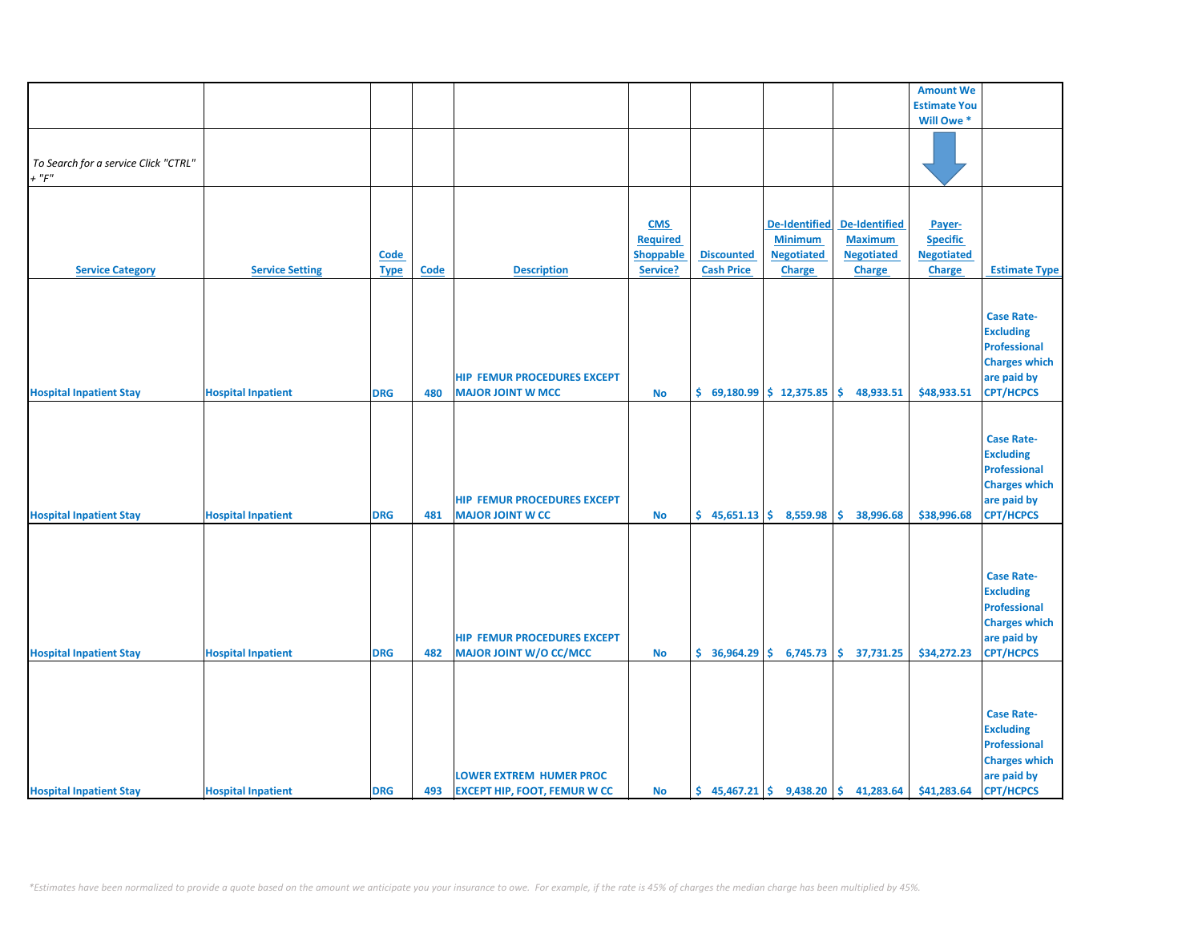|                                      |                           |             |             |                                     |                 |                   |                            |                                                                           | <b>Amount We</b>    |                      |
|--------------------------------------|---------------------------|-------------|-------------|-------------------------------------|-----------------|-------------------|----------------------------|---------------------------------------------------------------------------|---------------------|----------------------|
|                                      |                           |             |             |                                     |                 |                   |                            |                                                                           | <b>Estimate You</b> |                      |
|                                      |                           |             |             |                                     |                 |                   |                            |                                                                           | Will Owe *          |                      |
|                                      |                           |             |             |                                     |                 |                   |                            |                                                                           |                     |                      |
|                                      |                           |             |             |                                     |                 |                   |                            |                                                                           |                     |                      |
| To Search for a service Click "CTRL" |                           |             |             |                                     |                 |                   |                            |                                                                           |                     |                      |
|                                      |                           |             |             |                                     |                 |                   |                            |                                                                           |                     |                      |
| $+$ " $F"$                           |                           |             |             |                                     |                 |                   |                            |                                                                           |                     |                      |
|                                      |                           |             |             |                                     |                 |                   |                            |                                                                           |                     |                      |
|                                      |                           |             |             |                                     |                 |                   |                            |                                                                           |                     |                      |
|                                      |                           |             |             |                                     | <b>CMS</b>      |                   | De-Identified              | <b>De-Identified</b>                                                      | Payer-              |                      |
|                                      |                           |             |             |                                     |                 |                   |                            |                                                                           |                     |                      |
|                                      |                           |             |             |                                     | <b>Required</b> |                   | <b>Minimum</b>             | <b>Maximum</b>                                                            | <b>Specific</b>     |                      |
|                                      |                           | <b>Code</b> |             |                                     | Shoppable       | <b>Discounted</b> | <b>Negotiated</b>          | <b>Negotiated</b>                                                         | <b>Negotiated</b>   |                      |
| <b>Service Category</b>              | <b>Service Setting</b>    | <b>Type</b> | <b>Code</b> | <b>Description</b>                  | Service?        | <b>Cash Price</b> | Charge                     | Charge                                                                    | Charge              | <b>Estimate Type</b> |
|                                      |                           |             |             |                                     |                 |                   |                            |                                                                           |                     |                      |
|                                      |                           |             |             |                                     |                 |                   |                            |                                                                           |                     |                      |
|                                      |                           |             |             |                                     |                 |                   |                            |                                                                           |                     |                      |
|                                      |                           |             |             |                                     |                 |                   |                            |                                                                           |                     | <b>Case Rate-</b>    |
|                                      |                           |             |             |                                     |                 |                   |                            |                                                                           |                     | <b>Excluding</b>     |
|                                      |                           |             |             |                                     |                 |                   |                            |                                                                           |                     | Professional         |
|                                      |                           |             |             |                                     |                 |                   |                            |                                                                           |                     | <b>Charges which</b> |
|                                      |                           |             |             |                                     |                 |                   |                            |                                                                           |                     |                      |
|                                      |                           |             |             | <b>HIP FEMUR PROCEDURES EXCEPT</b>  |                 |                   |                            |                                                                           |                     | are paid by          |
| <b>Hospital Inpatient Stay</b>       | <b>Hospital Inpatient</b> | <b>DRG</b>  | 480         | <b>MAJOR JOINT W MCC</b>            | <b>No</b>       |                   | $$69,180.99$$ $$12,375.85$ | \$.<br>48,933.51                                                          | \$48,933.51         | <b>CPT/HCPCS</b>     |
|                                      |                           |             |             |                                     |                 |                   |                            |                                                                           |                     |                      |
|                                      |                           |             |             |                                     |                 |                   |                            |                                                                           |                     |                      |
|                                      |                           |             |             |                                     |                 |                   |                            |                                                                           |                     | <b>Case Rate-</b>    |
|                                      |                           |             |             |                                     |                 |                   |                            |                                                                           |                     |                      |
|                                      |                           |             |             |                                     |                 |                   |                            |                                                                           |                     | <b>Excluding</b>     |
|                                      |                           |             |             |                                     |                 |                   |                            |                                                                           |                     | <b>Professional</b>  |
|                                      |                           |             |             |                                     |                 |                   |                            |                                                                           |                     | <b>Charges which</b> |
|                                      |                           |             |             | <b>HIP FEMUR PROCEDURES EXCEPT</b>  |                 |                   |                            |                                                                           |                     | are paid by          |
|                                      |                           |             |             |                                     |                 |                   |                            |                                                                           |                     |                      |
| <b>Hospital Inpatient Stay</b>       | <b>Hospital Inpatient</b> | <b>DRG</b>  | 481         | <b>MAJOR JOINT W CC</b>             | <b>No</b>       |                   | $$45,651.13$$ $$8,559.98$  | \$.<br>38,996.68                                                          | \$38,996.68         | <b>CPT/HCPCS</b>     |
|                                      |                           |             |             |                                     |                 |                   |                            |                                                                           |                     |                      |
|                                      |                           |             |             |                                     |                 |                   |                            |                                                                           |                     |                      |
|                                      |                           |             |             |                                     |                 |                   |                            |                                                                           |                     |                      |
|                                      |                           |             |             |                                     |                 |                   |                            |                                                                           |                     | <b>Case Rate-</b>    |
|                                      |                           |             |             |                                     |                 |                   |                            |                                                                           |                     |                      |
|                                      |                           |             |             |                                     |                 |                   |                            |                                                                           |                     | <b>Excluding</b>     |
|                                      |                           |             |             |                                     |                 |                   |                            |                                                                           |                     | <b>Professional</b>  |
|                                      |                           |             |             |                                     |                 |                   |                            |                                                                           |                     | <b>Charges which</b> |
|                                      |                           |             |             | <b>HIP FEMUR PROCEDURES EXCEPT</b>  |                 |                   |                            |                                                                           |                     | are paid by          |
|                                      |                           |             |             |                                     |                 |                   |                            |                                                                           |                     |                      |
| <b>Hospital Inpatient Stay</b>       | <b>Hospital Inpatient</b> | <b>DRG</b>  | 482         | <b>MAJOR JOINT W/O CC/MCC</b>       | <b>No</b>       |                   |                            | $\frac{1}{5}$ 36,964.29 $\frac{1}{5}$ 6,745.73 $\frac{1}{5}$ 37,731.25    | \$34,272.23         | <b>CPT/HCPCS</b>     |
|                                      |                           |             |             |                                     |                 |                   |                            |                                                                           |                     |                      |
|                                      |                           |             |             |                                     |                 |                   |                            |                                                                           |                     |                      |
|                                      |                           |             |             |                                     |                 |                   |                            |                                                                           |                     |                      |
|                                      |                           |             |             |                                     |                 |                   |                            |                                                                           |                     | <b>Case Rate-</b>    |
|                                      |                           |             |             |                                     |                 |                   |                            |                                                                           |                     |                      |
|                                      |                           |             |             |                                     |                 |                   |                            |                                                                           |                     | <b>Excluding</b>     |
|                                      |                           |             |             |                                     |                 |                   |                            |                                                                           |                     | <b>Professional</b>  |
|                                      |                           |             |             |                                     |                 |                   |                            |                                                                           |                     | <b>Charges which</b> |
|                                      |                           |             |             | <b>LOWER EXTREM HUMER PROC</b>      |                 |                   |                            |                                                                           |                     |                      |
|                                      |                           |             |             |                                     |                 |                   |                            |                                                                           |                     | are paid by          |
| <b>Hospital Inpatient Stay</b>       | <b>Hospital Inpatient</b> | <b>DRG</b>  | 493         | <b>EXCEPT HIP, FOOT, FEMUR W CC</b> | No              |                   |                            | $\binom{1}{2}$ 45,467.21 $\binom{2}{3}$ 9,438.20 $\binom{3}{3}$ 41,283.64 | \$41,283.64         | <b>CPT/HCPCS</b>     |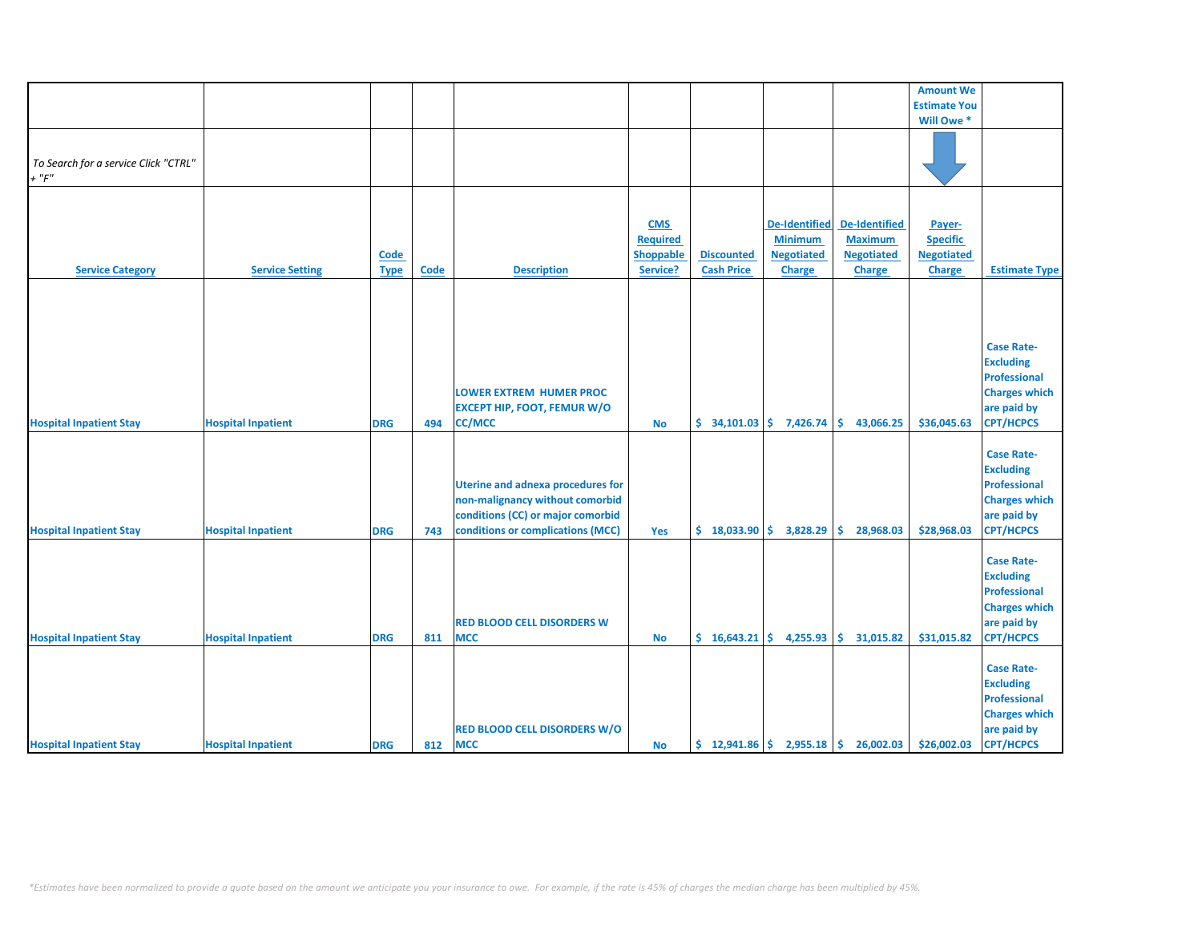|                                                     |                           |                            |      |                                                                                                                                                       |                                                 |                                                |                                                                              |                                                                              | <b>Amount We</b>                                                |                                                                                                                         |
|-----------------------------------------------------|---------------------------|----------------------------|------|-------------------------------------------------------------------------------------------------------------------------------------------------------|-------------------------------------------------|------------------------------------------------|------------------------------------------------------------------------------|------------------------------------------------------------------------------|-----------------------------------------------------------------|-------------------------------------------------------------------------------------------------------------------------|
|                                                     |                           |                            |      |                                                                                                                                                       |                                                 |                                                |                                                                              |                                                                              | <b>Estimate You</b>                                             |                                                                                                                         |
|                                                     |                           |                            |      |                                                                                                                                                       |                                                 |                                                |                                                                              |                                                                              | Will Owe *                                                      |                                                                                                                         |
| To Search for a service Click "CTRL"<br>$+$ " $F$ " |                           |                            |      |                                                                                                                                                       |                                                 |                                                |                                                                              |                                                                              |                                                                 |                                                                                                                         |
| <b>Service Category</b>                             | <b>Service Setting</b>    | <b>Code</b><br><b>Type</b> | Code | <b>Description</b>                                                                                                                                    | <b>CMS</b><br>Required<br>Shoppable<br>Service? | <b>Discounted</b><br><b>Cash Price</b>         | <b>De-Identified</b><br><b>Minimum</b><br><b>Negotiated</b><br><b>Charge</b> | <b>De-Identified</b><br><b>Maximum</b><br><b>Negotiated</b><br><b>Charge</b> | Payer-<br><b>Specific</b><br><b>Negotiated</b><br><b>Charge</b> | <b>Estimate Type</b>                                                                                                    |
|                                                     |                           |                            |      |                                                                                                                                                       |                                                 |                                                |                                                                              |                                                                              |                                                                 |                                                                                                                         |
| <b>Hospital Inpatient Stay</b>                      | <b>Hospital Inpatient</b> | <b>DRG</b>                 | 494  | <b>LOWER EXTREM HUMER PROC</b><br><b>EXCEPT HIP, FOOT, FEMUR W/O</b><br><b>CC/MCC</b>                                                                 | No                                              | $\frac{1}{2}$ 34,101.03 $\frac{1}{2}$ 7,426.74 |                                                                              | \$.<br>43,066.25                                                             | \$36,045.63                                                     | <b>Case Rate-</b><br><b>Excluding</b><br><b>Professional</b><br><b>Charges which</b><br>are paid by<br><b>CPT/HCPCS</b> |
| <b>Hospital Inpatient Stay</b>                      | <b>Hospital Inpatient</b> | <b>DRG</b>                 | 743  | <b>Uterine and adnexa procedures for</b><br>non-malignancy without comorbid<br>conditions (CC) or major comorbid<br>conditions or complications (MCC) | Yes                                             | \$18,033.90                                    | 3,828.29                                                                     | 28,968.03<br>Ŝ.                                                              | \$28,968.03                                                     | <b>Case Rate-</b><br><b>Excluding</b><br><b>Professional</b><br><b>Charges which</b><br>are paid by<br><b>CPT/HCPCS</b> |
| <b>Hospital Inpatient Stay</b>                      | <b>Hospital Inpatient</b> | <b>DRG</b>                 | 811  | <b>RED BLOOD CELL DISORDERS W</b><br><b>MCC</b>                                                                                                       | <b>No</b>                                       | \$16,643.21                                    | 4,255.93                                                                     | \$.<br>31,015.82                                                             | \$31,015.82                                                     | <b>Case Rate-</b><br><b>Excluding</b><br><b>Professional</b><br><b>Charges which</b><br>are paid by<br><b>CPT/HCPCS</b> |
| <b>Hospital Inpatient Stay</b>                      | <b>Hospital Inpatient</b> | <b>DRG</b>                 | 812  | <b>RED BLOOD CELL DISORDERS W/O</b><br><b>MCC</b>                                                                                                     | No                                              |                                                |                                                                              | $\frac{1}{2}$ 12,941.86 $\frac{1}{2}$ 2,955.18 $\frac{1}{2}$ 26,002.03       | \$26,002.03                                                     | <b>Case Rate-</b><br><b>Excluding</b><br><b>Professional</b><br><b>Charges which</b><br>are paid by<br><b>CPT/HCPCS</b> |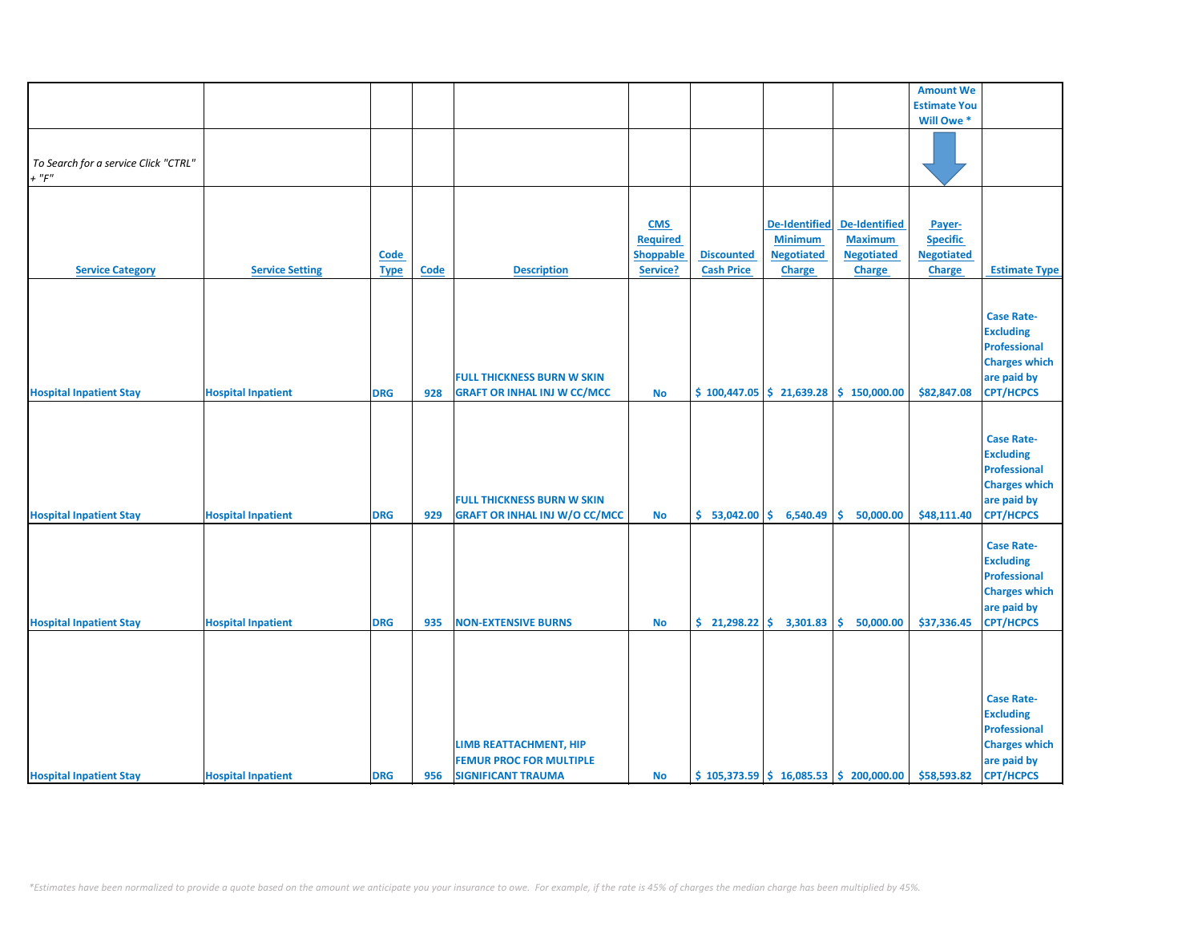|                                      |                           |             |      |                                      |                  |                   |                      |                                                                           | <b>Amount We</b>    |                      |
|--------------------------------------|---------------------------|-------------|------|--------------------------------------|------------------|-------------------|----------------------|---------------------------------------------------------------------------|---------------------|----------------------|
|                                      |                           |             |      |                                      |                  |                   |                      |                                                                           | <b>Estimate You</b> |                      |
|                                      |                           |             |      |                                      |                  |                   |                      |                                                                           | Will Owe *          |                      |
|                                      |                           |             |      |                                      |                  |                   |                      |                                                                           |                     |                      |
|                                      |                           |             |      |                                      |                  |                   |                      |                                                                           |                     |                      |
| To Search for a service Click "CTRL" |                           |             |      |                                      |                  |                   |                      |                                                                           |                     |                      |
|                                      |                           |             |      |                                      |                  |                   |                      |                                                                           |                     |                      |
| $+$ " $F$ "                          |                           |             |      |                                      |                  |                   |                      |                                                                           |                     |                      |
|                                      |                           |             |      |                                      |                  |                   |                      |                                                                           |                     |                      |
|                                      |                           |             |      |                                      |                  |                   |                      |                                                                           |                     |                      |
|                                      |                           |             |      |                                      | <b>CMS</b>       |                   | <b>De-Identified</b> | <b>De-Identified</b>                                                      | Payer-              |                      |
|                                      |                           |             |      |                                      | <b>Required</b>  |                   | <b>Minimum</b>       | <b>Maximum</b>                                                            | <b>Specific</b>     |                      |
|                                      |                           | <b>Code</b> |      |                                      | <b>Shoppable</b> | <b>Discounted</b> | <b>Negotiated</b>    | <b>Negotiated</b>                                                         | <b>Negotiated</b>   |                      |
| <b>Service Category</b>              | <b>Service Setting</b>    |             |      | <b>Description</b>                   | Service?         | <b>Cash Price</b> | <b>Charge</b>        | <b>Charge</b>                                                             | <b>Charge</b>       |                      |
|                                      |                           | <b>Type</b> | Code |                                      |                  |                   |                      |                                                                           |                     | <b>Estimate Type</b> |
|                                      |                           |             |      |                                      |                  |                   |                      |                                                                           |                     |                      |
|                                      |                           |             |      |                                      |                  |                   |                      |                                                                           |                     |                      |
|                                      |                           |             |      |                                      |                  |                   |                      |                                                                           |                     | <b>Case Rate-</b>    |
|                                      |                           |             |      |                                      |                  |                   |                      |                                                                           |                     | <b>Excluding</b>     |
|                                      |                           |             |      |                                      |                  |                   |                      |                                                                           |                     | <b>Professional</b>  |
|                                      |                           |             |      |                                      |                  |                   |                      |                                                                           |                     |                      |
|                                      |                           |             |      |                                      |                  |                   |                      |                                                                           |                     | <b>Charges which</b> |
|                                      |                           |             |      | <b>FULL THICKNESS BURN W SKIN</b>    |                  |                   |                      |                                                                           |                     | are paid by          |
| <b>Hospital Inpatient Stay</b>       | <b>Hospital Inpatient</b> | <b>DRG</b>  | 928  | <b>GRAFT OR INHAL INJ W CC/MCC</b>   | No               |                   |                      | $\frac{1}{2}$ 100,447.05 $\frac{1}{2}$ 21,639.28 $\frac{1}{2}$ 150,000.00 | \$82,847.08         | <b>CPT/HCPCS</b>     |
|                                      |                           |             |      |                                      |                  |                   |                      |                                                                           |                     |                      |
|                                      |                           |             |      |                                      |                  |                   |                      |                                                                           |                     |                      |
|                                      |                           |             |      |                                      |                  |                   |                      |                                                                           |                     | <b>Case Rate-</b>    |
|                                      |                           |             |      |                                      |                  |                   |                      |                                                                           |                     |                      |
|                                      |                           |             |      |                                      |                  |                   |                      |                                                                           |                     | <b>Excluding</b>     |
|                                      |                           |             |      |                                      |                  |                   |                      |                                                                           |                     | <b>Professional</b>  |
|                                      |                           |             |      |                                      |                  |                   |                      |                                                                           |                     | <b>Charges which</b> |
|                                      |                           |             |      | <b>FULL THICKNESS BURN W SKIN</b>    |                  |                   |                      |                                                                           |                     | are paid by          |
| <b>Hospital Inpatient Stay</b>       | <b>Hospital Inpatient</b> | <b>DRG</b>  | 929  | <b>GRAFT OR INHAL INJ W/O CC/MCC</b> | <b>No</b>        | \$53,042.00       | 6,540.49             | 50,000.00<br>Ŝ.                                                           | \$48,111.40         | <b>CPT/HCPCS</b>     |
|                                      |                           |             |      |                                      |                  |                   |                      |                                                                           |                     |                      |
|                                      |                           |             |      |                                      |                  |                   |                      |                                                                           |                     |                      |
|                                      |                           |             |      |                                      |                  |                   |                      |                                                                           |                     | <b>Case Rate-</b>    |
|                                      |                           |             |      |                                      |                  |                   |                      |                                                                           |                     | <b>Excluding</b>     |
|                                      |                           |             |      |                                      |                  |                   |                      |                                                                           |                     | <b>Professional</b>  |
|                                      |                           |             |      |                                      |                  |                   |                      |                                                                           |                     | <b>Charges which</b> |
|                                      |                           |             |      |                                      |                  |                   |                      |                                                                           |                     | are paid by          |
|                                      |                           |             |      | <b>NON-EXTENSIVE BURNS</b>           |                  | \$21,298.22       | 3,301.83             | 50,000.00                                                                 | \$37,336.45         | <b>CPT/HCPCS</b>     |
| <b>Hospital Inpatient Stay</b>       | <b>Hospital Inpatient</b> | <b>DRG</b>  | 935  |                                      | <b>No</b>        |                   |                      | \$                                                                        |                     |                      |
|                                      |                           |             |      |                                      |                  |                   |                      |                                                                           |                     |                      |
|                                      |                           |             |      |                                      |                  |                   |                      |                                                                           |                     |                      |
|                                      |                           |             |      |                                      |                  |                   |                      |                                                                           |                     |                      |
|                                      |                           |             |      |                                      |                  |                   |                      |                                                                           |                     |                      |
|                                      |                           |             |      |                                      |                  |                   |                      |                                                                           |                     | <b>Case Rate-</b>    |
|                                      |                           |             |      |                                      |                  |                   |                      |                                                                           |                     | <b>Excluding</b>     |
|                                      |                           |             |      |                                      |                  |                   |                      |                                                                           |                     |                      |
|                                      |                           |             |      |                                      |                  |                   |                      |                                                                           |                     | <b>Professional</b>  |
|                                      |                           |             |      | LIMB REATTACHMENT, HIP               |                  |                   |                      |                                                                           |                     | <b>Charges which</b> |
|                                      |                           |             |      | <b>FEMUR PROC FOR MULTIPLE</b>       |                  |                   |                      |                                                                           |                     | are paid by          |
| <b>Hospital Inpatient Stay</b>       | <b>Hospital Inpatient</b> | <b>DRG</b>  | 956  | <b>SIGNIFICANT TRAUMA</b>            | <b>No</b>        |                   |                      | $\frac{1}{2}$ 105,373.59 $\frac{1}{2}$ 16,085.53 $\frac{1}{2}$ 200,000.00 | \$58,593.82         | <b>CPT/HCPCS</b>     |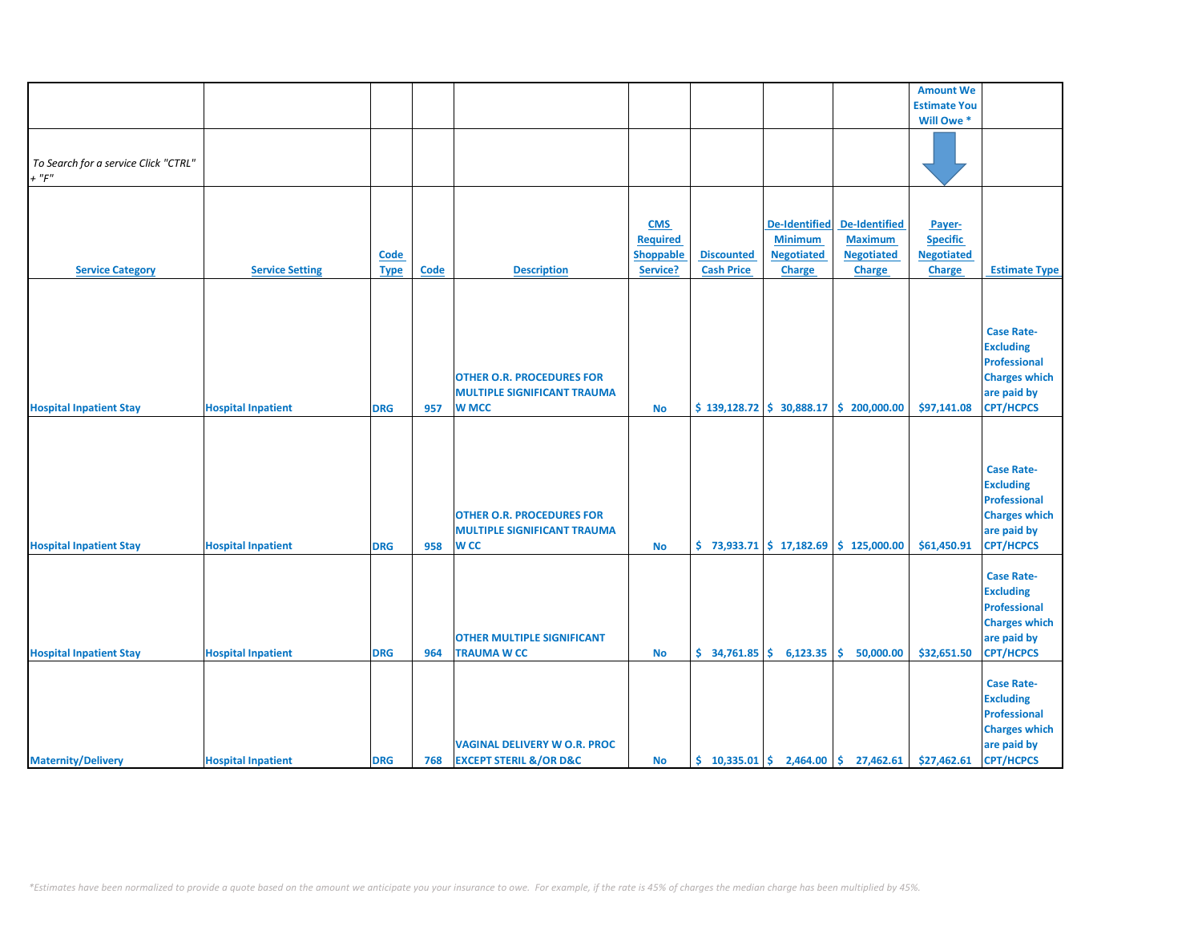|                                      |                           |             |             |                                       |                 |                   |                          |                                                                             | <b>Amount We</b>    |                      |
|--------------------------------------|---------------------------|-------------|-------------|---------------------------------------|-----------------|-------------------|--------------------------|-----------------------------------------------------------------------------|---------------------|----------------------|
|                                      |                           |             |             |                                       |                 |                   |                          |                                                                             | <b>Estimate You</b> |                      |
|                                      |                           |             |             |                                       |                 |                   |                          |                                                                             | Will Owe *          |                      |
|                                      |                           |             |             |                                       |                 |                   |                          |                                                                             |                     |                      |
|                                      |                           |             |             |                                       |                 |                   |                          |                                                                             |                     |                      |
| To Search for a service Click "CTRL" |                           |             |             |                                       |                 |                   |                          |                                                                             |                     |                      |
| $+$ " $F$ "                          |                           |             |             |                                       |                 |                   |                          |                                                                             |                     |                      |
|                                      |                           |             |             |                                       |                 |                   |                          |                                                                             |                     |                      |
|                                      |                           |             |             |                                       |                 |                   |                          |                                                                             |                     |                      |
|                                      |                           |             |             |                                       | <b>CMS</b>      |                   | <b>De-Identified</b>     | <b>De-Identified</b>                                                        |                     |                      |
|                                      |                           |             |             |                                       |                 |                   |                          |                                                                             | Payer-              |                      |
|                                      |                           |             |             |                                       | <b>Required</b> |                   | <b>Minimum</b>           | <b>Maximum</b>                                                              | <b>Specific</b>     |                      |
|                                      |                           | Code        |             |                                       | Shoppable       | <b>Discounted</b> | <b>Negotiated</b>        | <b>Negotiated</b>                                                           | <b>Negotiated</b>   |                      |
| <b>Service Category</b>              | <b>Service Setting</b>    | <b>Type</b> | <b>Code</b> | <b>Description</b>                    | Service?        | <b>Cash Price</b> | <b>Charge</b>            | <b>Charge</b>                                                               | <b>Charge</b>       | <b>Estimate Type</b> |
|                                      |                           |             |             |                                       |                 |                   |                          |                                                                             |                     |                      |
|                                      |                           |             |             |                                       |                 |                   |                          |                                                                             |                     |                      |
|                                      |                           |             |             |                                       |                 |                   |                          |                                                                             |                     |                      |
|                                      |                           |             |             |                                       |                 |                   |                          |                                                                             |                     | <b>Case Rate-</b>    |
|                                      |                           |             |             |                                       |                 |                   |                          |                                                                             |                     | <b>Excluding</b>     |
|                                      |                           |             |             |                                       |                 |                   |                          |                                                                             |                     | <b>Professional</b>  |
|                                      |                           |             |             | <b>OTHER O.R. PROCEDURES FOR</b>      |                 |                   |                          |                                                                             |                     | <b>Charges which</b> |
|                                      |                           |             |             | <b>MULTIPLE SIGNIFICANT TRAUMA</b>    |                 |                   |                          |                                                                             |                     | are paid by          |
| <b>Hospital Inpatient Stay</b>       | <b>Hospital Inpatient</b> | <b>DRG</b>  | 957         | <b>W MCC</b>                          | <b>No</b>       |                   |                          | $$139,128.72 \mid $30,888.17 \mid $200,000.00$                              | \$97,141.08         | <b>CPT/HCPCS</b>     |
|                                      |                           |             |             |                                       |                 |                   |                          |                                                                             |                     |                      |
|                                      |                           |             |             |                                       |                 |                   |                          |                                                                             |                     |                      |
|                                      |                           |             |             |                                       |                 |                   |                          |                                                                             |                     |                      |
|                                      |                           |             |             |                                       |                 |                   |                          |                                                                             |                     | <b>Case Rate-</b>    |
|                                      |                           |             |             |                                       |                 |                   |                          |                                                                             |                     |                      |
|                                      |                           |             |             |                                       |                 |                   |                          |                                                                             |                     | <b>Excluding</b>     |
|                                      |                           |             |             |                                       |                 |                   |                          |                                                                             |                     | <b>Professional</b>  |
|                                      |                           |             |             | <b>OTHER O.R. PROCEDURES FOR</b>      |                 |                   |                          |                                                                             |                     | <b>Charges which</b> |
|                                      |                           |             |             | <b>MULTIPLE SIGNIFICANT TRAUMA</b>    |                 |                   |                          |                                                                             |                     | are paid by          |
| <b>Hospital Inpatient Stay</b>       | <b>Hospital Inpatient</b> | <b>DRG</b>  | 958         | <b>WCC</b>                            | <b>No</b>       |                   |                          | $\binom{1}{2}$ 73,933.71 $\binom{1}{2}$ 17,182.69 $\binom{1}{2}$ 125,000.00 | \$61,450.91         | <b>CPT/HCPCS</b>     |
|                                      |                           |             |             |                                       |                 |                   |                          |                                                                             |                     |                      |
|                                      |                           |             |             |                                       |                 |                   |                          |                                                                             |                     | <b>Case Rate-</b>    |
|                                      |                           |             |             |                                       |                 |                   |                          |                                                                             |                     | <b>Excluding</b>     |
|                                      |                           |             |             |                                       |                 |                   |                          |                                                                             |                     | <b>Professional</b>  |
|                                      |                           |             |             |                                       |                 |                   |                          |                                                                             |                     | <b>Charges which</b> |
|                                      |                           |             |             | <b>OTHER MULTIPLE SIGNIFICANT</b>     |                 |                   |                          |                                                                             |                     | are paid by          |
| <b>Hospital Inpatient Stay</b>       | <b>Hospital Inpatient</b> | <b>DRG</b>  | 964         | <b>TRAUMA W CC</b>                    | <b>No</b>       |                   | $$34,761.85$ $$6,123.35$ | Ŝ.<br>50,000.00                                                             | \$32,651.50         | <b>CPT/HCPCS</b>     |
|                                      |                           |             |             |                                       |                 |                   |                          |                                                                             |                     |                      |
|                                      |                           |             |             |                                       |                 |                   |                          |                                                                             |                     | <b>Case Rate-</b>    |
|                                      |                           |             |             |                                       |                 |                   |                          |                                                                             |                     | <b>Excluding</b>     |
|                                      |                           |             |             |                                       |                 |                   |                          |                                                                             |                     | <b>Professional</b>  |
|                                      |                           |             |             |                                       |                 |                   |                          |                                                                             |                     |                      |
|                                      |                           |             |             |                                       |                 |                   |                          |                                                                             |                     | <b>Charges which</b> |
|                                      |                           |             |             | <b>VAGINAL DELIVERY W O.R. PROC</b>   |                 |                   |                          |                                                                             |                     | are paid by          |
| <b>Maternity/Delivery</b>            | <b>Hospital Inpatient</b> | <b>DRG</b>  | 768         | <b>EXCEPT STERIL &amp;/OR D&amp;C</b> | <b>No</b>       |                   |                          | $\binom{10,335.01}{ }$ \$ 2,464.00 \$ 27,462.61                             | \$27,462.61         | <b>CPT/HCPCS</b>     |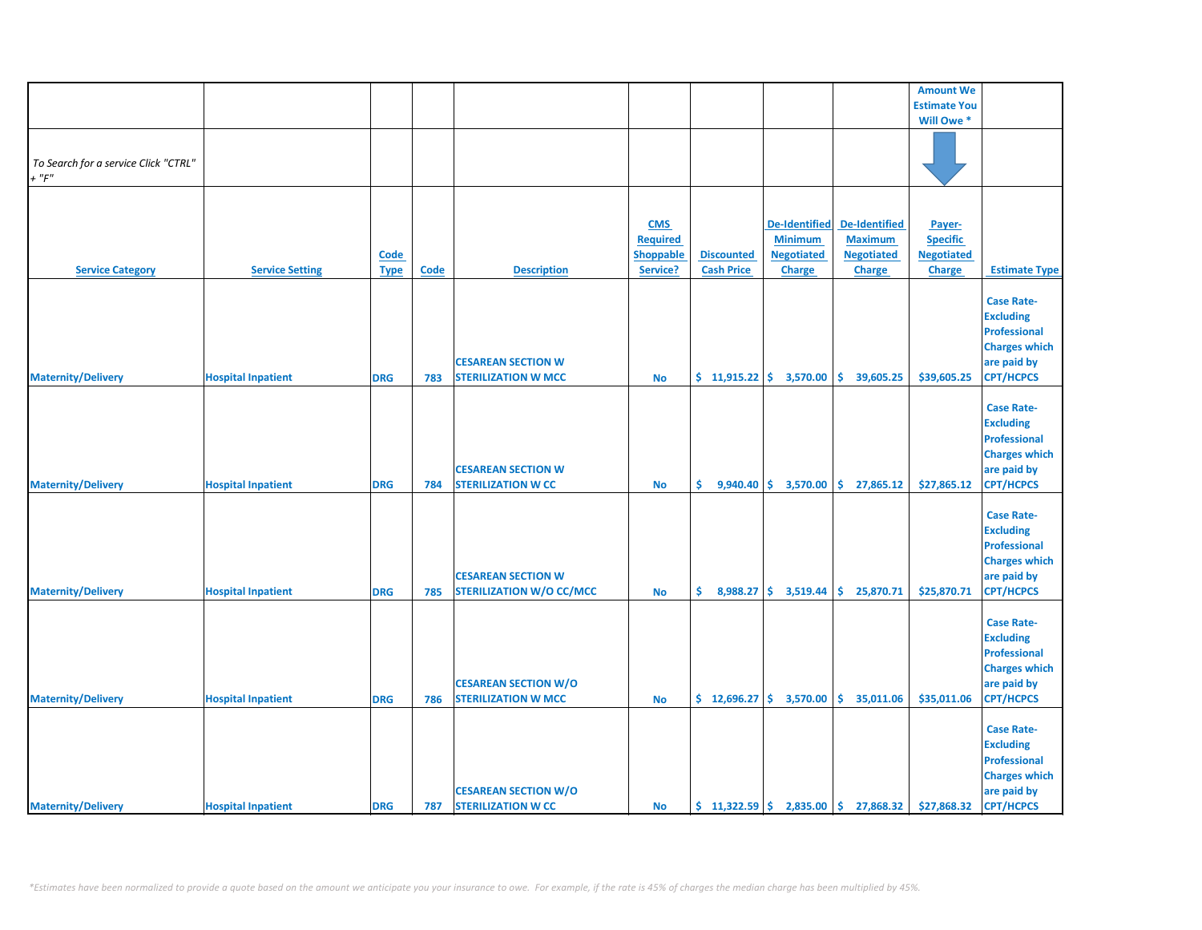|                                                     |                           |                     |             |                                                              |                                                        |                                        |                                                                              |                                                                       | <b>Amount We</b>                                                |                                                                                                                         |
|-----------------------------------------------------|---------------------------|---------------------|-------------|--------------------------------------------------------------|--------------------------------------------------------|----------------------------------------|------------------------------------------------------------------------------|-----------------------------------------------------------------------|-----------------------------------------------------------------|-------------------------------------------------------------------------------------------------------------------------|
|                                                     |                           |                     |             |                                                              |                                                        |                                        |                                                                              |                                                                       | <b>Estimate You</b>                                             |                                                                                                                         |
|                                                     |                           |                     |             |                                                              |                                                        |                                        |                                                                              |                                                                       | Will Owe *                                                      |                                                                                                                         |
| To Search for a service Click "CTRL"<br>$+$ " $F$ " |                           |                     |             |                                                              |                                                        |                                        |                                                                              |                                                                       |                                                                 |                                                                                                                         |
|                                                     |                           |                     |             |                                                              |                                                        |                                        |                                                                              |                                                                       |                                                                 |                                                                                                                         |
| <b>Service Category</b>                             | <b>Service Setting</b>    | Code<br><b>Type</b> | <b>Code</b> | <b>Description</b>                                           | <b>CMS</b><br><b>Required</b><br>Shoppable<br>Service? | <b>Discounted</b><br><b>Cash Price</b> | <b>De-Identified</b><br><b>Minimum</b><br><b>Negotiated</b><br><b>Charge</b> | De-Identified<br><b>Maximum</b><br><b>Negotiated</b><br><b>Charge</b> | Payer-<br><b>Specific</b><br><b>Negotiated</b><br><b>Charge</b> | <b>Estimate Type</b>                                                                                                    |
|                                                     |                           |                     |             |                                                              |                                                        |                                        |                                                                              |                                                                       |                                                                 |                                                                                                                         |
| <b>Maternity/Delivery</b>                           | <b>Hospital Inpatient</b> | <b>DRG</b>          | 783         | <b>CESAREAN SECTION W</b><br><b>STERILIZATION W MCC</b>      | No                                                     | $$11,915.22 \mid $3,570.00$            |                                                                              | \$.<br>39,605.25                                                      | \$39,605.25                                                     | <b>Case Rate-</b><br><b>Excluding</b><br><b>Professional</b><br><b>Charges which</b><br>are paid by<br><b>CPT/HCPCS</b> |
| <b>Maternity/Delivery</b>                           | <b>Hospital Inpatient</b> | <b>DRG</b>          | 784         | <b>CESAREAN SECTION W</b><br><b>STERILIZATION W CC</b>       | <b>No</b>                                              | \$.                                    |                                                                              | $9,940.40 \div 3,570.00 \div 27,865.12$                               | \$27,865.12                                                     | <b>Case Rate-</b><br><b>Excluding</b><br><b>Professional</b><br><b>Charges which</b><br>are paid by<br><b>CPT/HCPCS</b> |
| <b>Maternity/Delivery</b>                           | <b>Hospital Inpatient</b> | <b>DRG</b>          | 785         | <b>CESAREAN SECTION W</b><br><b>STERILIZATION W/O CC/MCC</b> | <b>No</b>                                              | \$.<br>8,988.27                        | \$3,519.44                                                                   | \$<br>25,870.71                                                       | \$25,870.71                                                     | <b>Case Rate-</b><br><b>Excluding</b><br><b>Professional</b><br><b>Charges which</b><br>are paid by<br><b>CPT/HCPCS</b> |
| <b>Maternity/Delivery</b>                           | <b>Hospital Inpatient</b> | <b>DRG</b>          | 786         | <b>CESAREAN SECTION W/O</b><br><b>STERILIZATION W MCC</b>    | <b>No</b>                                              |                                        | $\frac{1}{2}$ 12,696.27 $\frac{1}{2}$ 3,570.00                               | \$35,011.06                                                           | \$35,011.06                                                     | <b>Case Rate-</b><br><b>Excluding</b><br><b>Professional</b><br><b>Charges which</b><br>are paid by<br><b>CPT/HCPCS</b> |
| <b>Maternity/Delivery</b>                           | <b>Hospital Inpatient</b> | <b>DRG</b>          | 787         | <b>CESAREAN SECTION W/O</b><br><b>STERILIZATION W CC</b>     | <b>No</b>                                              | \$11,322.59                            |                                                                              | 2,835.00 \$ 27,868.32                                                 | \$27,868.32                                                     | <b>Case Rate-</b><br><b>Excluding</b><br><b>Professional</b><br><b>Charges which</b><br>are paid by<br><b>CPT/HCPCS</b> |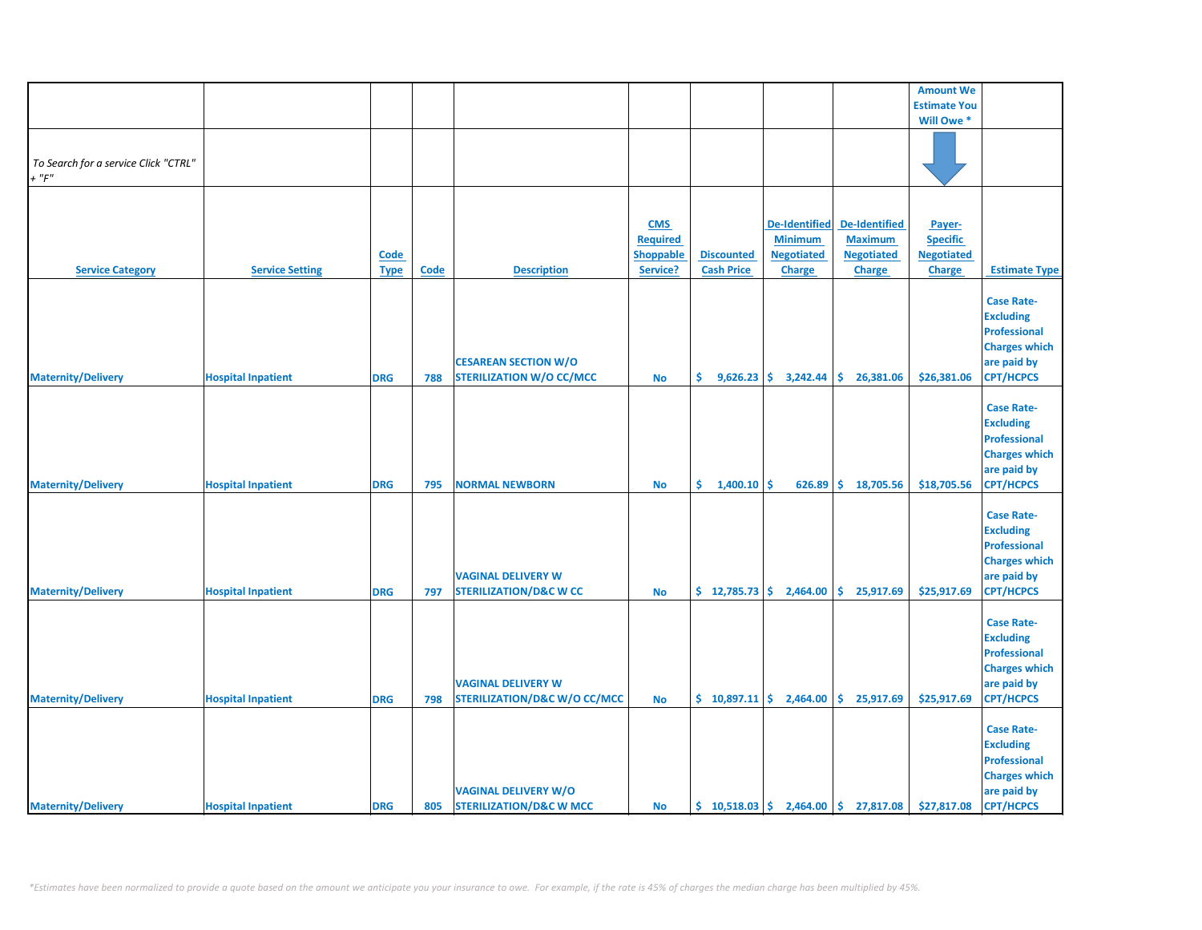|                                                     |                           |             |      |                                         |                  |                                                  |                        |                                                                            | <b>Amount We</b>    |                      |
|-----------------------------------------------------|---------------------------|-------------|------|-----------------------------------------|------------------|--------------------------------------------------|------------------------|----------------------------------------------------------------------------|---------------------|----------------------|
|                                                     |                           |             |      |                                         |                  |                                                  |                        |                                                                            | <b>Estimate You</b> |                      |
|                                                     |                           |             |      |                                         |                  |                                                  |                        |                                                                            | Will Owe *          |                      |
|                                                     |                           |             |      |                                         |                  |                                                  |                        |                                                                            |                     |                      |
|                                                     |                           |             |      |                                         |                  |                                                  |                        |                                                                            |                     |                      |
| To Search for a service Click "CTRL"<br>$+$ " $F$ " |                           |             |      |                                         |                  |                                                  |                        |                                                                            |                     |                      |
|                                                     |                           |             |      |                                         |                  |                                                  |                        |                                                                            |                     |                      |
|                                                     |                           |             |      |                                         |                  |                                                  |                        |                                                                            |                     |                      |
|                                                     |                           |             |      |                                         | <b>CMS</b>       |                                                  | <b>De-Identified</b>   | <b>De-Identified</b>                                                       | Payer-              |                      |
|                                                     |                           |             |      |                                         | <b>Required</b>  |                                                  | <b>Minimum</b>         | <b>Maximum</b>                                                             | <b>Specific</b>     |                      |
|                                                     |                           | <b>Code</b> |      |                                         | <b>Shoppable</b> | <b>Discounted</b>                                | <b>Negotiated</b>      | <b>Negotiated</b>                                                          | <b>Negotiated</b>   |                      |
|                                                     |                           |             |      | <b>Description</b>                      | Service?         | <b>Cash Price</b>                                |                        |                                                                            |                     |                      |
| <b>Service Category</b>                             | <b>Service Setting</b>    | <b>Type</b> | Code |                                         |                  |                                                  | <b>Charge</b>          | <b>Charge</b>                                                              | <b>Charge</b>       | <b>Estimate Type</b> |
|                                                     |                           |             |      |                                         |                  |                                                  |                        |                                                                            |                     | <b>Case Rate-</b>    |
|                                                     |                           |             |      |                                         |                  |                                                  |                        |                                                                            |                     | <b>Excluding</b>     |
|                                                     |                           |             |      |                                         |                  |                                                  |                        |                                                                            |                     |                      |
|                                                     |                           |             |      |                                         |                  |                                                  |                        |                                                                            |                     | <b>Professional</b>  |
|                                                     |                           |             |      |                                         |                  |                                                  |                        |                                                                            |                     | <b>Charges which</b> |
|                                                     |                           |             |      | <b>CESAREAN SECTION W/O</b>             |                  |                                                  |                        |                                                                            |                     | are paid by          |
| <b>Maternity/Delivery</b>                           | <b>Hospital Inpatient</b> | <b>DRG</b>  | 788  | <b>STERILIZATION W/O CC/MCC</b>         | <b>No</b>        | \$.                                              | $9,626.23$ \$ 3,242.44 | \$26,381.06                                                                | \$26,381.06         | <b>CPT/HCPCS</b>     |
|                                                     |                           |             |      |                                         |                  |                                                  |                        |                                                                            |                     |                      |
|                                                     |                           |             |      |                                         |                  |                                                  |                        |                                                                            |                     | <b>Case Rate-</b>    |
|                                                     |                           |             |      |                                         |                  |                                                  |                        |                                                                            |                     | <b>Excluding</b>     |
|                                                     |                           |             |      |                                         |                  |                                                  |                        |                                                                            |                     | <b>Professional</b>  |
|                                                     |                           |             |      |                                         |                  |                                                  |                        |                                                                            |                     | <b>Charges which</b> |
|                                                     |                           |             |      |                                         |                  |                                                  |                        |                                                                            |                     | are paid by          |
| <b>Maternity/Delivery</b>                           | <b>Hospital Inpatient</b> | <b>DRG</b>  | 795  | <b>NORMAL NEWBORN</b>                   | <b>No</b>        | \$.<br>1,400.10                                  | \$<br>626.89           | \$18,705.56                                                                | \$18,705.56         | <b>CPT/HCPCS</b>     |
|                                                     |                           |             |      |                                         |                  |                                                  |                        |                                                                            |                     |                      |
|                                                     |                           |             |      |                                         |                  |                                                  |                        |                                                                            |                     | <b>Case Rate-</b>    |
|                                                     |                           |             |      |                                         |                  |                                                  |                        |                                                                            |                     | <b>Excluding</b>     |
|                                                     |                           |             |      |                                         |                  |                                                  |                        |                                                                            |                     | <b>Professional</b>  |
|                                                     |                           |             |      |                                         |                  |                                                  |                        |                                                                            |                     | <b>Charges which</b> |
|                                                     |                           |             |      | <b>VAGINAL DELIVERY W</b>               |                  |                                                  |                        |                                                                            |                     | are paid by          |
| <b>Maternity/Delivery</b>                           | <b>Hospital Inpatient</b> | <b>DRG</b>  | 797  | <b>STERILIZATION/D&amp;C W CC</b>       | <b>No</b>        | \$12,785.73                                      | 2,464.00               | \$.<br>25,917.69                                                           | \$25,917.69         | <b>CPT/HCPCS</b>     |
|                                                     |                           |             |      |                                         |                  |                                                  |                        |                                                                            |                     |                      |
|                                                     |                           |             |      |                                         |                  |                                                  |                        |                                                                            |                     | <b>Case Rate-</b>    |
|                                                     |                           |             |      |                                         |                  |                                                  |                        |                                                                            |                     | <b>Excluding</b>     |
|                                                     |                           |             |      |                                         |                  |                                                  |                        |                                                                            |                     | <b>Professional</b>  |
|                                                     |                           |             |      |                                         |                  |                                                  |                        |                                                                            |                     | <b>Charges which</b> |
|                                                     |                           |             |      |                                         |                  |                                                  |                        |                                                                            |                     | are paid by          |
|                                                     |                           |             |      | <b>VAGINAL DELIVERY W</b>               |                  |                                                  |                        |                                                                            |                     |                      |
| <b>Maternity/Delivery</b>                           | <b>Hospital Inpatient</b> | <b>DRG</b>  | 798  | <b>STERILIZATION/D&amp;C W/O CC/MCC</b> | <b>No</b>        | $\binom{6}{5}$ 10,897.11 $\binom{6}{5}$ 2,464.00 |                        | \$25,917.69                                                                | \$25,917.69         | <b>CPT/HCPCS</b>     |
|                                                     |                           |             |      |                                         |                  |                                                  |                        |                                                                            |                     |                      |
|                                                     |                           |             |      |                                         |                  |                                                  |                        |                                                                            |                     | <b>Case Rate-</b>    |
|                                                     |                           |             |      |                                         |                  |                                                  |                        |                                                                            |                     | <b>Excluding</b>     |
|                                                     |                           |             |      |                                         |                  |                                                  |                        |                                                                            |                     | <b>Professional</b>  |
|                                                     |                           |             |      |                                         |                  |                                                  |                        |                                                                            |                     | <b>Charges which</b> |
|                                                     |                           |             |      | <b>VAGINAL DELIVERY W/O</b>             |                  |                                                  |                        |                                                                            |                     | are paid by          |
| <b>Maternity/Delivery</b>                           | <b>Hospital Inpatient</b> | <b>DRG</b>  |      | 805 STERILIZATION/D&C W MCC             | <b>No</b>        |                                                  |                        | $\binom{10}{5}$ 10,518.03 $\binom{2}{1}$ 2,464.00 $\binom{2}{3}$ 27,817.08 | \$27,817.08         | <b>CPT/HCPCS</b>     |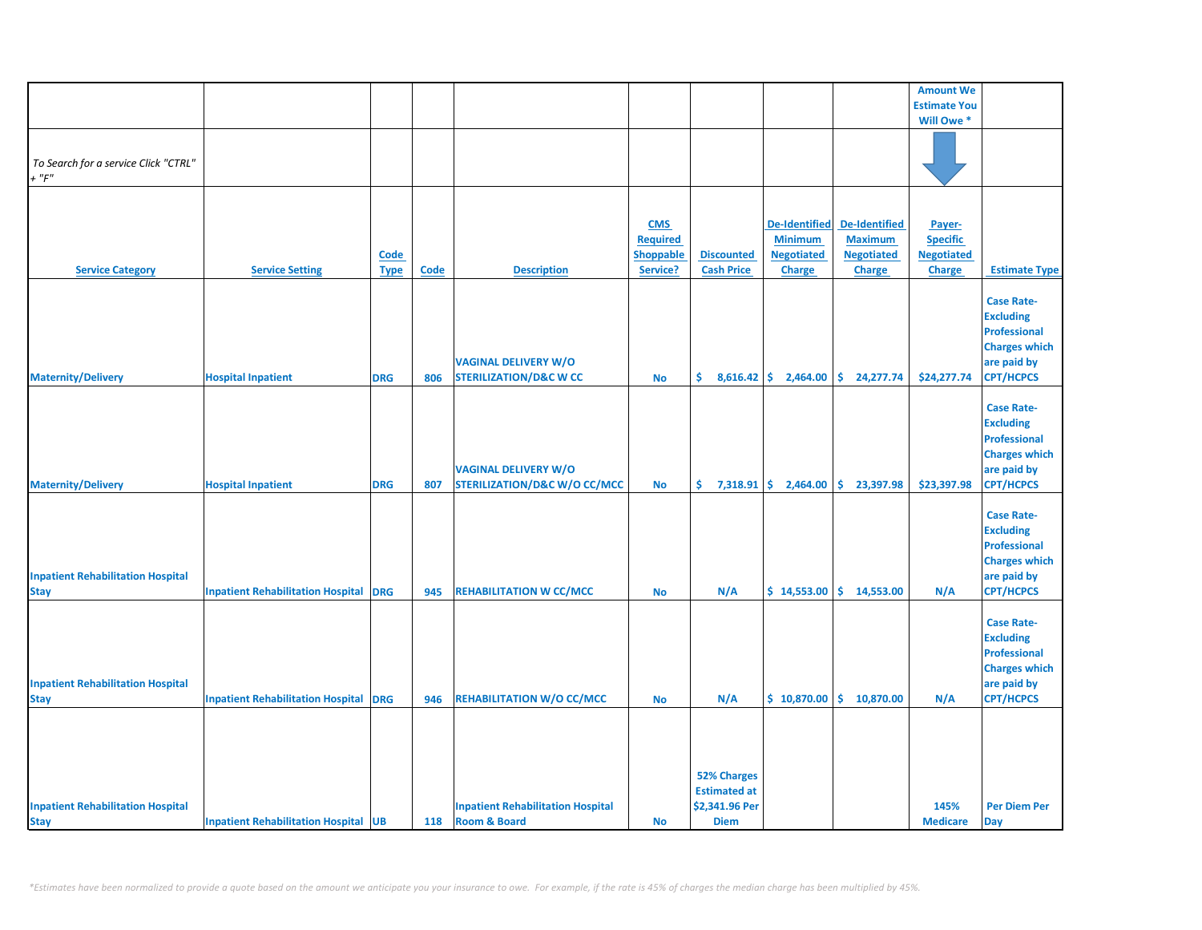|                                                         |                                              |                            |             |                                                                        |                                                        |                                                                            |                                                                              |                                                                              | <b>Amount We</b>                                                |                                                                                                                         |
|---------------------------------------------------------|----------------------------------------------|----------------------------|-------------|------------------------------------------------------------------------|--------------------------------------------------------|----------------------------------------------------------------------------|------------------------------------------------------------------------------|------------------------------------------------------------------------------|-----------------------------------------------------------------|-------------------------------------------------------------------------------------------------------------------------|
|                                                         |                                              |                            |             |                                                                        |                                                        |                                                                            |                                                                              |                                                                              | <b>Estimate You</b>                                             |                                                                                                                         |
|                                                         |                                              |                            |             |                                                                        |                                                        |                                                                            |                                                                              |                                                                              | Will Owe *                                                      |                                                                                                                         |
| To Search for a service Click "CTRL"<br>$+$ " $F$ "     |                                              |                            |             |                                                                        |                                                        |                                                                            |                                                                              |                                                                              |                                                                 |                                                                                                                         |
| <b>Service Category</b>                                 | <b>Service Setting</b>                       | <b>Code</b><br><b>Type</b> | <b>Code</b> | <b>Description</b>                                                     | <b>CMS</b><br><b>Required</b><br>Shoppable<br>Service? | <b>Discounted</b><br><b>Cash Price</b>                                     | <b>De-Identified</b><br><b>Minimum</b><br><b>Negotiated</b><br><b>Charge</b> | <b>De-Identified</b><br><b>Maximum</b><br><b>Negotiated</b><br><b>Charge</b> | Payer-<br><b>Specific</b><br><b>Negotiated</b><br><b>Charge</b> | <b>Estimate Type</b><br><b>Case Rate-</b><br><b>Excluding</b>                                                           |
| <b>Maternity/Delivery</b>                               | <b>Hospital Inpatient</b>                    | <b>DRG</b>                 | 806         | <b>VAGINAL DELIVERY W/O</b><br><b>STERILIZATION/D&amp;C W CC</b>       | <b>No</b>                                              | \$.                                                                        | $8,616.42$ \$ 2,464.00                                                       | \$.<br>24,277.74                                                             | \$24,277.74                                                     | <b>Professional</b><br><b>Charges which</b><br>are paid by<br><b>CPT/HCPCS</b>                                          |
| <b>Maternity/Delivery</b>                               | <b>Hospital Inpatient</b>                    | <b>DRG</b>                 | 807         | <b>VAGINAL DELIVERY W/O</b><br><b>STERILIZATION/D&amp;C W/O CC/MCC</b> | <b>No</b>                                              | \$.                                                                        | $7,318.91$ \$ 2,464.00                                                       | \$23,397.98                                                                  | \$23,397.98                                                     | <b>Case Rate-</b><br><b>Excluding</b><br><b>Professional</b><br><b>Charges which</b><br>are paid by<br><b>CPT/HCPCS</b> |
| <b>Inpatient Rehabilitation Hospital</b><br><b>Stay</b> | <b>Inpatient Rehabilitation Hospital</b>     | <b>DRG</b>                 | 945         | <b>REHABILITATION W CC/MCC</b>                                         | <b>No</b>                                              | N/A                                                                        | \$14,553.00                                                                  | \$14,553.00                                                                  | N/A                                                             | <b>Case Rate-</b><br><b>Excluding</b><br><b>Professional</b><br><b>Charges which</b><br>are paid by<br><b>CPT/HCPCS</b> |
| <b>Inpatient Rehabilitation Hospital</b><br><b>Stay</b> | <b>Inpatient Rehabilitation Hospital DRG</b> |                            | 946         | <b>REHABILITATION W/O CC/MCC</b>                                       | <b>No</b>                                              | N/A                                                                        | \$10,870.00                                                                  | \$10,870.00                                                                  | N/A                                                             | <b>Case Rate-</b><br><b>Excluding</b><br><b>Professional</b><br><b>Charges which</b><br>are paid by<br><b>CPT/HCPCS</b> |
| <b>Inpatient Rehabilitation Hospital</b><br><b>Stay</b> | <b>Inpatient Rehabilitation Hospital UB</b>  |                            | 118         | <b>Inpatient Rehabilitation Hospital</b><br><b>Room &amp; Board</b>    | <b>No</b>                                              | <b>52% Charges</b><br><b>Estimated at</b><br>\$2,341.96 Per<br><b>Diem</b> |                                                                              |                                                                              | 145%<br><b>Medicare</b>                                         | <b>Per Diem Per</b><br>Day                                                                                              |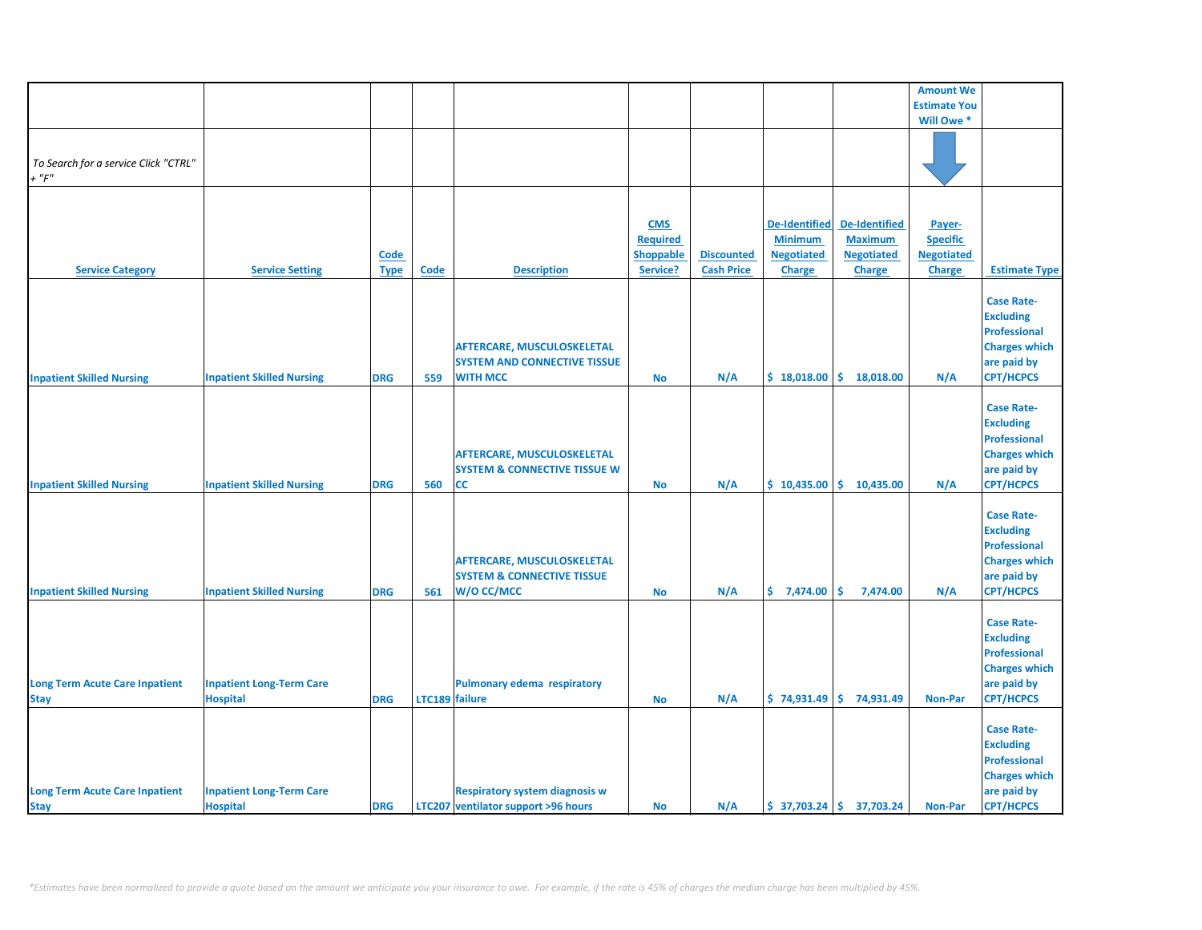|                                       |                                  |             |                |                                         |                  |                   |                      |                              | <b>Amount We</b>    |                      |
|---------------------------------------|----------------------------------|-------------|----------------|-----------------------------------------|------------------|-------------------|----------------------|------------------------------|---------------------|----------------------|
|                                       |                                  |             |                |                                         |                  |                   |                      |                              | <b>Estimate You</b> |                      |
|                                       |                                  |             |                |                                         |                  |                   |                      |                              | Will Owe *          |                      |
|                                       |                                  |             |                |                                         |                  |                   |                      |                              |                     |                      |
|                                       |                                  |             |                |                                         |                  |                   |                      |                              |                     |                      |
| To Search for a service Click "CTRL"  |                                  |             |                |                                         |                  |                   |                      |                              |                     |                      |
| $+$ " $F$ "                           |                                  |             |                |                                         |                  |                   |                      |                              |                     |                      |
|                                       |                                  |             |                |                                         |                  |                   |                      |                              |                     |                      |
|                                       |                                  |             |                |                                         |                  |                   |                      |                              |                     |                      |
|                                       |                                  |             |                |                                         |                  |                   |                      |                              |                     |                      |
|                                       |                                  |             |                |                                         | <b>CMS</b>       |                   | <b>De-Identified</b> | <b>De-Identified</b>         | Payer-              |                      |
|                                       |                                  |             |                |                                         | <b>Required</b>  |                   | <b>Minimum</b>       | <b>Maximum</b>               | <b>Specific</b>     |                      |
|                                       |                                  | Code        |                |                                         | <b>Shoppable</b> | <b>Discounted</b> | <b>Negotiated</b>    | <b>Negotiated</b>            | <b>Negotiated</b>   |                      |
| <b>Service Category</b>               | <b>Service Setting</b>           | <b>Type</b> | <b>Code</b>    | <b>Description</b>                      | Service?         | <b>Cash Price</b> | <b>Charge</b>        | <b>Charge</b>                | <b>Charge</b>       | <b>Estimate Type</b> |
|                                       |                                  |             |                |                                         |                  |                   |                      |                              |                     |                      |
|                                       |                                  |             |                |                                         |                  |                   |                      |                              |                     |                      |
|                                       |                                  |             |                |                                         |                  |                   |                      |                              |                     | <b>Case Rate-</b>    |
|                                       |                                  |             |                |                                         |                  |                   |                      |                              |                     | <b>Excluding</b>     |
|                                       |                                  |             |                |                                         |                  |                   |                      |                              |                     | <b>Professional</b>  |
|                                       |                                  |             |                | AFTERCARE, MUSCULOSKELETAL              |                  |                   |                      |                              |                     | <b>Charges which</b> |
|                                       |                                  |             |                | <b>SYSTEM AND CONNECTIVE TISSUE</b>     |                  |                   |                      |                              |                     | are paid by          |
|                                       |                                  |             |                |                                         |                  |                   |                      |                              |                     |                      |
| <b>Inpatient Skilled Nursing</b>      | <b>Inpatient Skilled Nursing</b> | <b>DRG</b>  | 559            | <b>WITH MCC</b>                         | <b>No</b>        | N/A               | \$18,018.00          | \$18,018.00                  | N/A                 | <b>CPT/HCPCS</b>     |
|                                       |                                  |             |                |                                         |                  |                   |                      |                              |                     |                      |
|                                       |                                  |             |                |                                         |                  |                   |                      |                              |                     | <b>Case Rate-</b>    |
|                                       |                                  |             |                |                                         |                  |                   |                      |                              |                     | <b>Excluding</b>     |
|                                       |                                  |             |                |                                         |                  |                   |                      |                              |                     | <b>Professional</b>  |
|                                       |                                  |             |                | AFTERCARE, MUSCULOSKELETAL              |                  |                   |                      |                              |                     | <b>Charges which</b> |
|                                       |                                  |             |                |                                         |                  |                   |                      |                              |                     |                      |
|                                       |                                  |             |                | <b>SYSTEM &amp; CONNECTIVE TISSUE W</b> |                  |                   |                      |                              |                     | are paid by          |
| <b>Inpatient Skilled Nursing</b>      | <b>Inpatient Skilled Nursing</b> | <b>DRG</b>  | 560            | CC                                      | <b>No</b>        | N/A               |                      | $$10,435.00 \mid $10,435.00$ | N/A                 | <b>CPT/HCPCS</b>     |
|                                       |                                  |             |                |                                         |                  |                   |                      |                              |                     |                      |
|                                       |                                  |             |                |                                         |                  |                   |                      |                              |                     | <b>Case Rate-</b>    |
|                                       |                                  |             |                |                                         |                  |                   |                      |                              |                     | <b>Excluding</b>     |
|                                       |                                  |             |                |                                         |                  |                   |                      |                              |                     | <b>Professional</b>  |
|                                       |                                  |             |                |                                         |                  |                   |                      |                              |                     |                      |
|                                       |                                  |             |                | AFTERCARE, MUSCULOSKELETAL              |                  |                   |                      |                              |                     | <b>Charges which</b> |
|                                       |                                  |             |                | <b>SYSTEM &amp; CONNECTIVE TISSUE</b>   |                  |                   |                      |                              |                     | are paid by          |
| <b>Inpatient Skilled Nursing</b>      | <b>Inpatient Skilled Nursing</b> | <b>DRG</b>  | 561            | W/O CC/MCC                              | <b>No</b>        | N/A               | \$7,474.00           | \$<br>7,474.00               | N/A                 | <b>CPT/HCPCS</b>     |
|                                       |                                  |             |                |                                         |                  |                   |                      |                              |                     |                      |
|                                       |                                  |             |                |                                         |                  |                   |                      |                              |                     | <b>Case Rate-</b>    |
|                                       |                                  |             |                |                                         |                  |                   |                      |                              |                     |                      |
|                                       |                                  |             |                |                                         |                  |                   |                      |                              |                     | <b>Excluding</b>     |
|                                       |                                  |             |                |                                         |                  |                   |                      |                              |                     | <b>Professional</b>  |
|                                       |                                  |             |                |                                         |                  |                   |                      |                              |                     | <b>Charges which</b> |
| <b>Long Term Acute Care Inpatient</b> | <b>Inpatient Long-Term Care</b>  |             |                | <b>Pulmonary edema respiratory</b>      |                  |                   |                      |                              |                     | are paid by          |
| <b>Stay</b>                           | <b>Hospital</b>                  | <b>DRG</b>  | LTC189 failure |                                         | No               | N/A               |                      | $$74,931.49$ $$74,931.49$    | <b>Non-Par</b>      | <b>CPT/HCPCS</b>     |
|                                       |                                  |             |                |                                         |                  |                   |                      |                              |                     |                      |
|                                       |                                  |             |                |                                         |                  |                   |                      |                              |                     |                      |
|                                       |                                  |             |                |                                         |                  |                   |                      |                              |                     | <b>Case Rate-</b>    |
|                                       |                                  |             |                |                                         |                  |                   |                      |                              |                     | <b>Excluding</b>     |
|                                       |                                  |             |                |                                         |                  |                   |                      |                              |                     | <b>Professional</b>  |
|                                       |                                  |             |                |                                         |                  |                   |                      |                              |                     | <b>Charges which</b> |
| <b>Long Term Acute Care Inpatient</b> | <b>Inpatient Long-Term Care</b>  |             |                | <b>Respiratory system diagnosis w</b>   |                  |                   |                      |                              |                     | are paid by          |
|                                       |                                  |             |                |                                         |                  |                   |                      |                              |                     |                      |
| <b>Stay</b>                           | <b>Hospital</b>                  | <b>DRG</b>  |                | LTC207 ventilator support >96 hours     | <b>No</b>        | N/A               |                      | $$37,703.24 \mid $37,703.24$ | <b>Non-Par</b>      | <b>CPT/HCPCS</b>     |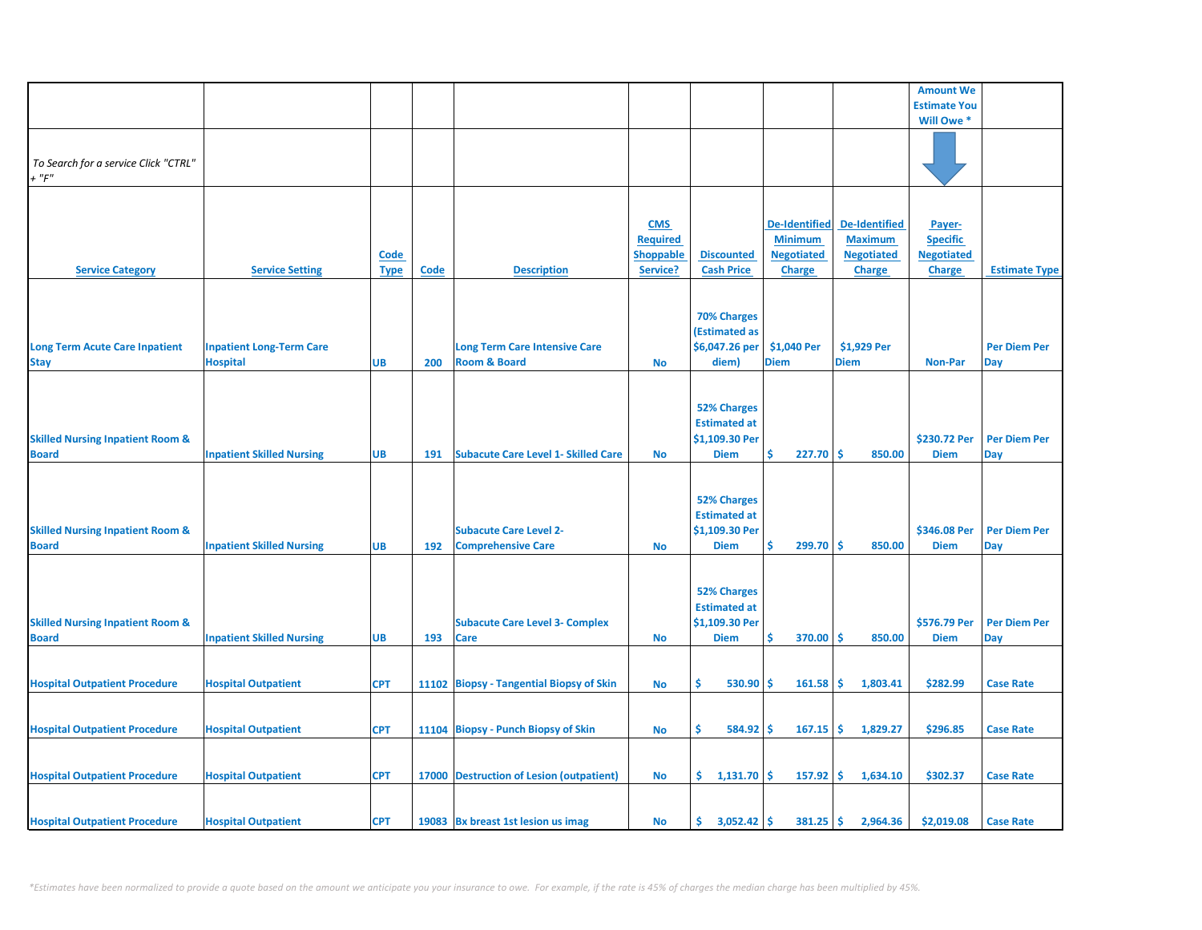|                                                             |                                                    |                            |      |                                                                 |                                                               |                                                                            |                                                                              |                                                                              | <b>Amount We</b>                                         |                                   |
|-------------------------------------------------------------|----------------------------------------------------|----------------------------|------|-----------------------------------------------------------------|---------------------------------------------------------------|----------------------------------------------------------------------------|------------------------------------------------------------------------------|------------------------------------------------------------------------------|----------------------------------------------------------|-----------------------------------|
|                                                             |                                                    |                            |      |                                                                 |                                                               |                                                                            |                                                                              |                                                                              | <b>Estimate You</b>                                      |                                   |
|                                                             |                                                    |                            |      |                                                                 |                                                               |                                                                            |                                                                              |                                                                              | Will Owe *                                               |                                   |
| To Search for a service Click "CTRL"<br>$+$ " $F$ "         |                                                    |                            |      |                                                                 |                                                               |                                                                            |                                                                              |                                                                              |                                                          |                                   |
| <b>Service Category</b>                                     | <b>Service Setting</b>                             | <b>Code</b><br><b>Type</b> | Code | <b>Description</b>                                              | <b>CMS</b><br><b>Required</b><br><b>Shoppable</b><br>Service? | <b>Discounted</b><br><b>Cash Price</b>                                     | <b>De-Identified</b><br><b>Minimum</b><br><b>Negotiated</b><br><b>Charge</b> | <b>De-Identified</b><br><b>Maximum</b><br><b>Negotiated</b><br><b>Charge</b> | Payer-<br><b>Specific</b><br><b>Negotiated</b><br>Charge | <b>Estimate Type</b>              |
| <b>Long Term Acute Care Inpatient</b><br><b>Stay</b>        | <b>Inpatient Long-Term Care</b><br><b>Hospital</b> | UB                         | 200  | <b>Long Term Care Intensive Care</b><br><b>Room &amp; Board</b> | <b>No</b>                                                     | <b>70% Charges</b><br><b>(Estimated as</b><br>\$6,047.26 per<br>diem)      | \$1,040 Per<br><b>Diem</b>                                                   | \$1,929 Per<br><b>Diem</b>                                                   | <b>Non-Par</b>                                           | <b>Per Diem Per</b><br>Day        |
| <b>Skilled Nursing Inpatient Room &amp;</b><br><b>Board</b> | <b>Inpatient Skilled Nursing</b>                   | UB                         | 191  | <b>Subacute Care Level 1- Skilled Care</b>                      | <b>No</b>                                                     | <b>52% Charges</b><br><b>Estimated at</b><br>\$1,109.30 Per<br><b>Diem</b> | 227.70<br>\$                                                                 | \$.<br>850.00                                                                | \$230.72 Per<br><b>Diem</b>                              | <b>Per Diem Per</b><br>Day        |
| <b>Skilled Nursing Inpatient Room &amp;</b><br><b>Board</b> | <b>Inpatient Skilled Nursing</b>                   | <b>UB</b>                  | 192  | <b>Subacute Care Level 2-</b><br><b>Comprehensive Care</b>      | <b>No</b>                                                     | <b>52% Charges</b><br><b>Estimated at</b><br>\$1,109.30 Per<br><b>Diem</b> | Ś<br>299.70                                                                  | -\$<br>850.00                                                                | \$346.08 Per<br><b>Diem</b>                              | <b>Per Diem Per</b><br><b>Day</b> |
| <b>Skilled Nursing Inpatient Room &amp;</b><br><b>Board</b> | <b>Inpatient Skilled Nursing</b>                   | UB                         | 193  | <b>Subacute Care Level 3- Complex</b><br><b>Care</b>            | <b>No</b>                                                     | <b>52% Charges</b><br><b>Estimated at</b><br>\$1,109.30 Per<br><b>Diem</b> | Ś<br>370.00                                                                  | <b>S</b><br>850.00                                                           | \$576.79 Per<br><b>Diem</b>                              | <b>Per Diem Per</b><br>Day        |
|                                                             |                                                    |                            |      |                                                                 |                                                               |                                                                            |                                                                              |                                                                              |                                                          |                                   |
| <b>Hospital Outpatient Procedure</b>                        | <b>Hospital Outpatient</b>                         | <b>CPT</b>                 |      | 11102 Biopsy - Tangential Biopsy of Skin                        | <b>No</b>                                                     | Ŝ.<br>530.90                                                               | 161.58<br>\$.                                                                | -\$<br>1,803.41                                                              | \$282.99                                                 | <b>Case Rate</b>                  |
| <b>Hospital Outpatient Procedure</b>                        | <b>Hospital Outpatient</b>                         | <b>CPT</b>                 |      | 11104 Biopsy - Punch Biopsy of Skin                             | <b>No</b>                                                     | Ŝ.<br>584.92                                                               | 167.15<br>\$                                                                 | \$<br>1,829.27                                                               | \$296.85                                                 | <b>Case Rate</b>                  |
| <b>Hospital Outpatient Procedure</b>                        | <b>Hospital Outpatient</b>                         | <b>CPT</b>                 |      | 17000 Destruction of Lesion (outpatient)                        | <b>No</b>                                                     | \$1,131.70                                                                 | \$.<br>157.92                                                                | Ŝ.<br>1,634.10                                                               | \$302.37                                                 | <b>Case Rate</b>                  |
| <b>Hospital Outpatient Procedure</b>                        | <b>Hospital Outpatient</b>                         | <b>CPT</b>                 |      | 19083 Bx breast 1st lesion us imag                              | <b>No</b>                                                     | \$.<br>3,052.42                                                            | \$<br>381.25                                                                 | \$.<br>2,964.36                                                              | \$2,019.08                                               | <b>Case Rate</b>                  |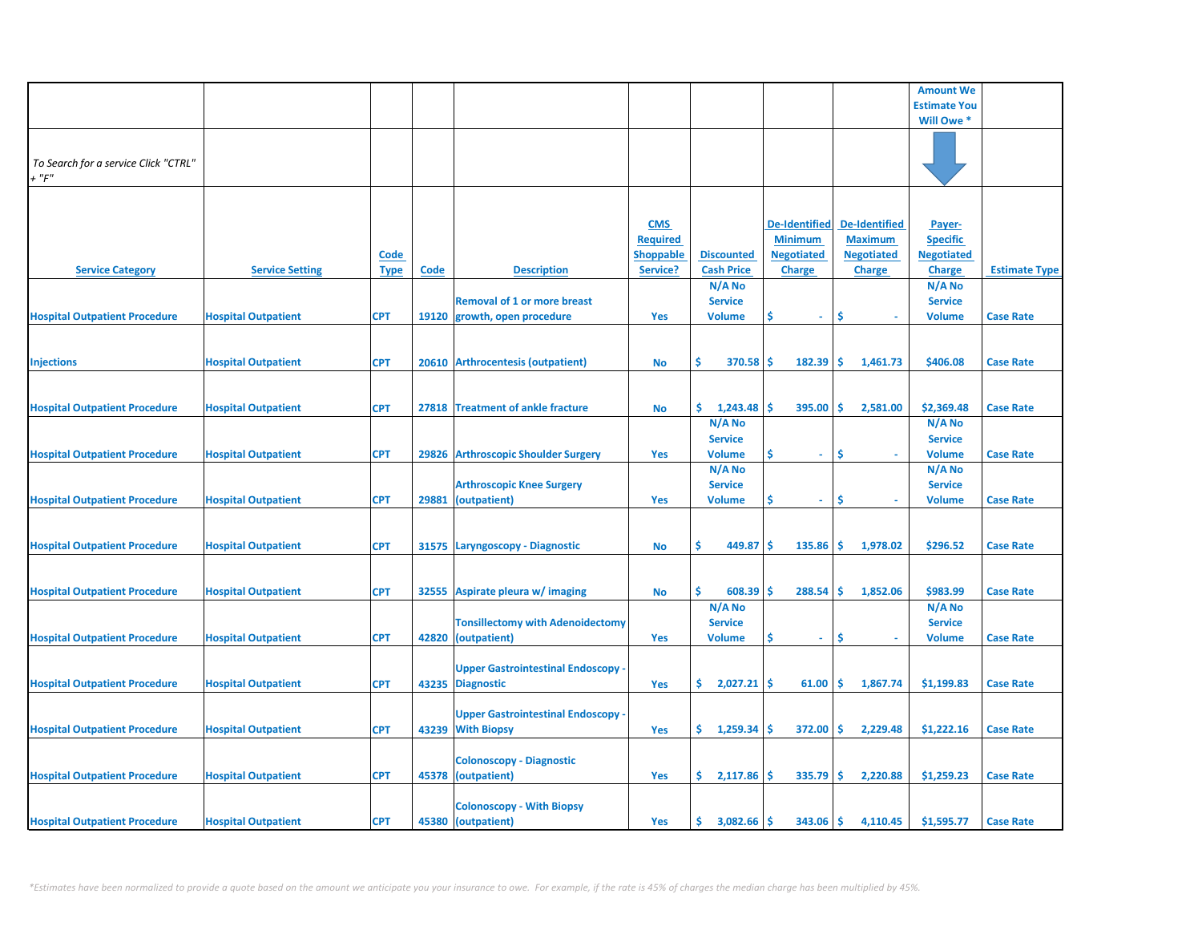|                                      |                            |             |             |                                           |                  |                   |                      |                      | <b>Amount We</b>    |                      |
|--------------------------------------|----------------------------|-------------|-------------|-------------------------------------------|------------------|-------------------|----------------------|----------------------|---------------------|----------------------|
|                                      |                            |             |             |                                           |                  |                   |                      |                      | <b>Estimate You</b> |                      |
|                                      |                            |             |             |                                           |                  |                   |                      |                      | Will Owe *          |                      |
|                                      |                            |             |             |                                           |                  |                   |                      |                      |                     |                      |
|                                      |                            |             |             |                                           |                  |                   |                      |                      |                     |                      |
| To Search for a service Click "CTRL" |                            |             |             |                                           |                  |                   |                      |                      |                     |                      |
|                                      |                            |             |             |                                           |                  |                   |                      |                      |                     |                      |
| $+$ " $F$ "                          |                            |             |             |                                           |                  |                   |                      |                      |                     |                      |
|                                      |                            |             |             |                                           |                  |                   |                      |                      |                     |                      |
|                                      |                            |             |             |                                           |                  |                   |                      |                      |                     |                      |
|                                      |                            |             |             |                                           | <b>CMS</b>       |                   | <b>De-Identified</b> | <b>De-Identified</b> | Payer-              |                      |
|                                      |                            |             |             |                                           |                  |                   |                      |                      |                     |                      |
|                                      |                            |             |             |                                           | <b>Required</b>  |                   | <b>Minimum</b>       | <b>Maximum</b>       | <b>Specific</b>     |                      |
|                                      |                            | <b>Code</b> |             |                                           | <b>Shoppable</b> | <b>Discounted</b> | <b>Negotiated</b>    | <b>Negotiated</b>    | <b>Negotiated</b>   |                      |
| <b>Service Category</b>              | <b>Service Setting</b>     | <b>Type</b> | <b>Code</b> | <b>Description</b>                        | Service?         | <b>Cash Price</b> | <b>Charge</b>        | <b>Charge</b>        | <b>Charge</b>       | <b>Estimate Type</b> |
|                                      |                            |             |             |                                           |                  | N/A No            |                      |                      | N/A No              |                      |
|                                      |                            |             |             | <b>Removal of 1 or more breast</b>        |                  | <b>Service</b>    |                      |                      | <b>Service</b>      |                      |
|                                      |                            |             |             |                                           |                  |                   |                      |                      |                     |                      |
| <b>Hospital Outpatient Procedure</b> | <b>Hospital Outpatient</b> | <b>CPT</b>  |             | 19120 growth, open procedure              | Yes              | <b>Volume</b>     | \$.<br>$\omega$      | \$                   | <b>Volume</b>       | <b>Case Rate</b>     |
|                                      |                            |             |             |                                           |                  |                   |                      |                      |                     |                      |
|                                      |                            |             |             |                                           |                  |                   |                      |                      |                     |                      |
| <b>Injections</b>                    | <b>Hospital Outpatient</b> | <b>CPT</b>  |             | 20610 Arthrocentesis (outpatient)         | <b>No</b>        | Ś.<br>370.58      | 182.39<br>Ŝ          | Ŝ<br>1,461.73        | \$406.08            | <b>Case Rate</b>     |
|                                      |                            |             |             |                                           |                  |                   |                      |                      |                     |                      |
|                                      |                            |             |             |                                           |                  |                   |                      |                      |                     |                      |
|                                      |                            |             |             |                                           |                  |                   |                      |                      |                     |                      |
| <b>Hospital Outpatient Procedure</b> | <b>Hospital Outpatient</b> | <b>CPT</b>  |             | 27818 Treatment of ankle fracture         | <b>No</b>        | \$.<br>1,243.48   | \$<br>395.00         | Ŝ.<br>2,581.00       | \$2,369.48          | <b>Case Rate</b>     |
|                                      |                            |             |             |                                           |                  | $N/A$ No          |                      |                      | $N/A$ No            |                      |
|                                      |                            |             |             |                                           |                  | <b>Service</b>    |                      |                      | <b>Service</b>      |                      |
| <b>Hospital Outpatient Procedure</b> | <b>Hospital Outpatient</b> | <b>CPT</b>  |             | 29826 Arthroscopic Shoulder Surgery       |                  | <b>Volume</b>     | \$<br>$\sim$         | <b>S</b>             | <b>Volume</b>       | <b>Case Rate</b>     |
|                                      |                            |             |             |                                           | Yes              |                   |                      |                      |                     |                      |
|                                      |                            |             |             |                                           |                  | N/A No            |                      |                      | N/A No              |                      |
|                                      |                            |             |             | <b>Arthroscopic Knee Surgery</b>          |                  | <b>Service</b>    |                      |                      | <b>Service</b>      |                      |
| <b>Hospital Outpatient Procedure</b> | <b>Hospital Outpatient</b> | <b>CPT</b>  |             | 29881 (outpatient)                        | Yes              | <b>Volume</b>     | \$<br>$\sim$         | \$                   | <b>Volume</b>       | <b>Case Rate</b>     |
|                                      |                            |             |             |                                           |                  |                   |                      |                      |                     |                      |
|                                      |                            |             |             |                                           |                  |                   |                      |                      |                     |                      |
|                                      |                            |             |             |                                           |                  |                   |                      |                      |                     |                      |
| <b>Hospital Outpatient Procedure</b> | <b>Hospital Outpatient</b> | <b>CPT</b>  |             | 31575 Laryngoscopy - Diagnostic           | <b>No</b>        | Ŝ<br>449.87       | \$.<br>135.86        | Ŝ.<br>1,978.02       | \$296.52            | <b>Case Rate</b>     |
|                                      |                            |             |             |                                           |                  |                   |                      |                      |                     |                      |
|                                      |                            |             |             |                                           |                  |                   |                      |                      |                     |                      |
| <b>Hospital Outpatient Procedure</b> | <b>Hospital Outpatient</b> | <b>CPT</b>  |             | 32555 Aspirate pleura w/ imaging          | <b>No</b>        | Ŝ.<br>608.39      | \$<br>288.54         | Ŝ.<br>1,852.06       | \$983.99            | <b>Case Rate</b>     |
|                                      |                            |             |             |                                           |                  | $N/A$ No          |                      |                      | $N/A$ No            |                      |
|                                      |                            |             |             |                                           |                  |                   |                      |                      |                     |                      |
|                                      |                            |             |             | <b>Tonsillectomy with Adenoidectomy</b>   |                  | <b>Service</b>    |                      |                      | <b>Service</b>      |                      |
| <b>Hospital Outpatient Procedure</b> | <b>Hospital Outpatient</b> | <b>CPT</b>  |             | 42820 (outpatient)                        | Yes              | <b>Volume</b>     | \$<br>$\sim$         | \$                   | <b>Volume</b>       | <b>Case Rate</b>     |
|                                      |                            |             |             |                                           |                  |                   |                      |                      |                     |                      |
|                                      |                            |             |             | <b>Upper Gastrointestinal Endoscopy ·</b> |                  |                   |                      |                      |                     |                      |
| <b>Hospital Outpatient Procedure</b> | <b>Hospital Outpatient</b> | <b>CPT</b>  |             | 43235 Diagnostic                          | Yes              | \$2,027.21        | 61.00<br>\$          | \$<br>1,867.74       | \$1,199.83          | <b>Case Rate</b>     |
|                                      |                            |             |             |                                           |                  |                   |                      |                      |                     |                      |
|                                      |                            |             |             |                                           |                  |                   |                      |                      |                     |                      |
|                                      |                            |             |             | <b>Upper Gastrointestinal Endoscopy</b>   |                  |                   |                      |                      |                     |                      |
| <b>Hospital Outpatient Procedure</b> | <b>Hospital Outpatient</b> | <b>CPT</b>  |             | 43239 With Biopsy                         | Yes              | 1,259.34<br>Ş.    | S<br>372.00          | \$.<br>2,229.48      | \$1,222.16          | <b>Case Rate</b>     |
|                                      |                            |             |             |                                           |                  |                   |                      |                      |                     |                      |
|                                      |                            |             |             | <b>Colonoscopy - Diagnostic</b>           |                  |                   |                      |                      |                     |                      |
|                                      |                            |             |             |                                           |                  |                   |                      |                      |                     |                      |
| <b>Hospital Outpatient Procedure</b> | <b>Hospital Outpatient</b> | <b>CPT</b>  |             | 45378 (outpatient)                        | Yes              | \$.<br>2,117.86   | Ŝ<br>335.79          | Ŝ.<br>2,220.88       | \$1,259.23          | <b>Case Rate</b>     |
|                                      |                            |             |             |                                           |                  |                   |                      |                      |                     |                      |
|                                      |                            |             |             | <b>Colonoscopy - With Biopsy</b>          |                  |                   |                      |                      |                     |                      |
| <b>Hospital Outpatient Procedure</b> | <b>Hospital Outpatient</b> | <b>CPT</b>  |             | 45380 (outpatient)                        | Yes              | 3,082.66<br>\$.   | Ś<br>343.06          | Ś.<br>4,110.45       | \$1,595.77          | <b>Case Rate</b>     |
|                                      |                            |             |             |                                           |                  |                   |                      |                      |                     |                      |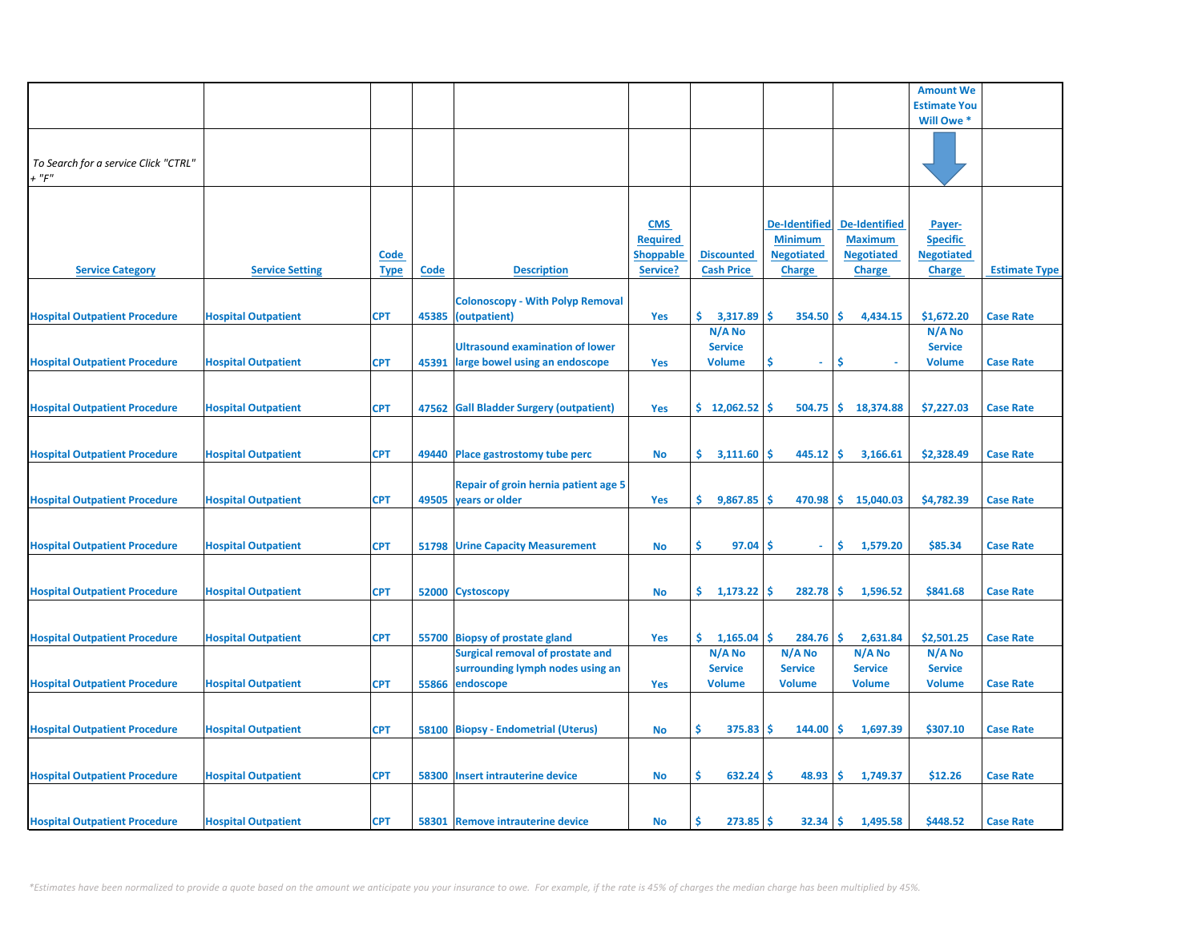|                                      |                            |             |       |                                         |                                     |                      |                                     |                                     | <b>Amount We</b>                     |                      |
|--------------------------------------|----------------------------|-------------|-------|-----------------------------------------|-------------------------------------|----------------------|-------------------------------------|-------------------------------------|--------------------------------------|----------------------|
|                                      |                            |             |       |                                         |                                     |                      |                                     |                                     | <b>Estimate You</b>                  |                      |
|                                      |                            |             |       |                                         |                                     |                      |                                     |                                     | Will Owe *                           |                      |
|                                      |                            |             |       |                                         |                                     |                      |                                     |                                     |                                      |                      |
| To Search for a service Click "CTRL" |                            |             |       |                                         |                                     |                      |                                     |                                     |                                      |                      |
| $+$ " $F$ "                          |                            |             |       |                                         |                                     |                      |                                     |                                     |                                      |                      |
|                                      |                            |             |       |                                         |                                     |                      |                                     |                                     |                                      |                      |
|                                      |                            |             |       |                                         |                                     |                      |                                     |                                     |                                      |                      |
|                                      |                            |             |       |                                         | <b>CMS</b>                          |                      | <b>De-Identified</b>                | <b>De-Identified</b>                | Payer-                               |                      |
|                                      |                            | <b>Code</b> |       |                                         | <b>Required</b><br><b>Shoppable</b> | <b>Discounted</b>    | <b>Minimum</b><br><b>Negotiated</b> | <b>Maximum</b><br><b>Negotiated</b> | <b>Specific</b><br><b>Negotiated</b> |                      |
| <b>Service Category</b>              | <b>Service Setting</b>     | <b>Type</b> | Code  | <b>Description</b>                      | Service?                            | <b>Cash Price</b>    | <b>Charge</b>                       | <b>Charge</b>                       | <b>Charge</b>                        | <b>Estimate Type</b> |
|                                      |                            |             |       |                                         |                                     |                      |                                     |                                     |                                      |                      |
|                                      |                            |             |       | <b>Colonoscopy - With Polyp Removal</b> |                                     |                      |                                     |                                     |                                      |                      |
| <b>Hospital Outpatient Procedure</b> | <b>Hospital Outpatient</b> | <b>CPT</b>  |       | 45385 (outpatient)                      | Yes                                 | \$.<br>3,317.89      | \$.<br>354.50                       | -\$<br>4,434.15                     | \$1,672.20                           | <b>Case Rate</b>     |
|                                      |                            |             |       |                                         |                                     | N/A No               |                                     |                                     | N/A No                               |                      |
|                                      |                            |             |       | <b>Ultrasound examination of lower</b>  |                                     | <b>Service</b>       |                                     |                                     | <b>Service</b>                       |                      |
| <b>Hospital Outpatient Procedure</b> | <b>Hospital Outpatient</b> | <b>CPT</b>  | 45391 | large bowel using an endoscope          | <b>Yes</b>                          | <b>Volume</b>        | S<br>÷                              | \$.                                 | <b>Volume</b>                        | <b>Case Rate</b>     |
|                                      |                            |             |       |                                         |                                     |                      |                                     |                                     |                                      |                      |
| <b>Hospital Outpatient Procedure</b> | <b>Hospital Outpatient</b> | <b>CPT</b>  |       | 47562 Gall Bladder Surgery (outpatient) | Yes                                 | \$12,062.52          | -Ś<br>504.75                        | ∣\$.<br>18,374.88                   | \$7,227.03                           | <b>Case Rate</b>     |
|                                      |                            |             |       |                                         |                                     |                      |                                     |                                     |                                      |                      |
|                                      |                            |             |       |                                         |                                     |                      |                                     |                                     |                                      |                      |
| <b>Hospital Outpatient Procedure</b> | <b>Hospital Outpatient</b> | <b>CPT</b>  |       | 49440 Place gastrostomy tube perc       | No                                  | \$.<br>3,111.60      | 445.12<br><b>S</b>                  | \$<br>3,166.61                      | \$2,328.49                           | <b>Case Rate</b>     |
|                                      |                            |             |       |                                         |                                     |                      |                                     |                                     |                                      |                      |
|                                      |                            |             |       | Repair of groin hernia patient age 5    |                                     |                      |                                     |                                     |                                      |                      |
| <b>Hospital Outpatient Procedure</b> | <b>Hospital Outpatient</b> | <b>CPT</b>  |       | 49505 years or older                    | Yes                                 | \$.<br>9,867.85      | $470.98$ \$<br>-S                   | 15,040.03                           | \$4,782.39                           | <b>Case Rate</b>     |
|                                      |                            |             |       |                                         |                                     |                      |                                     |                                     |                                      |                      |
| <b>Hospital Outpatient Procedure</b> | <b>Hospital Outpatient</b> | <b>CPT</b>  |       | <b>51798 Urine Capacity Measurement</b> |                                     | \$.<br>97.04         | -\$<br>$\omega$                     | \$<br>1,579.20                      | \$85.34                              | <b>Case Rate</b>     |
|                                      |                            |             |       |                                         | No                                  |                      |                                     |                                     |                                      |                      |
|                                      |                            |             |       |                                         |                                     |                      |                                     |                                     |                                      |                      |
| <b>Hospital Outpatient Procedure</b> | <b>Hospital Outpatient</b> | <b>CPT</b>  |       | 52000 Cystoscopy                        | No                                  | \$.<br>$1,173.22$ \$ | 282.78                              | -\$<br>1,596.52                     | \$841.68                             | <b>Case Rate</b>     |
|                                      |                            |             |       |                                         |                                     |                      |                                     |                                     |                                      |                      |
|                                      |                            |             |       |                                         |                                     |                      |                                     |                                     |                                      |                      |
| <b>Hospital Outpatient Procedure</b> | <b>Hospital Outpatient</b> | <b>CPT</b>  |       | 55700 Biopsy of prostate gland          | Yes                                 | \$.<br>1,165.04      | Ŝ.<br>284.76                        | -Ś<br>2,631.84                      | \$2,501.25                           | <b>Case Rate</b>     |
|                                      |                            |             |       | <b>Surgical removal of prostate and</b> |                                     | N/A No               | N/A No                              | N/A No                              | N/A No                               |                      |
|                                      |                            |             |       | surrounding lymph nodes using an        |                                     | <b>Service</b>       | <b>Service</b>                      | <b>Service</b>                      | <b>Service</b>                       |                      |
| <b>Hospital Outpatient Procedure</b> | <b>Hospital Outpatient</b> | <b>CPT</b>  | 55866 | endoscope                               | Yes                                 | <b>Volume</b>        | <b>Volume</b>                       | <b>Volume</b>                       | <b>Volume</b>                        | <b>Case Rate</b>     |
|                                      |                            |             |       |                                         |                                     |                      |                                     |                                     |                                      |                      |
| <b>Hospital Outpatient Procedure</b> | <b>Hospital Outpatient</b> | <b>CPT</b>  |       | 58100 Biopsy - Endometrial (Uterus)     | No                                  | \$<br>375.83         | 144.00<br>-\$                       | -\$<br>1,697.39                     | \$307.10                             | <b>Case Rate</b>     |
|                                      |                            |             |       |                                         |                                     |                      |                                     |                                     |                                      |                      |
|                                      |                            |             |       |                                         |                                     |                      |                                     |                                     |                                      |                      |
| <b>Hospital Outpatient Procedure</b> | <b>Hospital Outpatient</b> | <b>CPT</b>  |       | 58300 Insert intrauterine device        | No                                  | $632.24$ \$<br>\$    | 48.93                               | -\$<br>1,749.37                     | \$12.26                              | <b>Case Rate</b>     |
|                                      |                            |             |       |                                         |                                     |                      |                                     |                                     |                                      |                      |
|                                      |                            |             |       |                                         |                                     |                      |                                     |                                     |                                      |                      |
| <b>Hospital Outpatient Procedure</b> | <b>Hospital Outpatient</b> | <b>CPT</b>  |       | 58301 Remove intrauterine device        | No                                  | $273.85$ \$<br>Ś     | $32.34$ \$                          | 1,495.58                            | \$448.52                             | <b>Case Rate</b>     |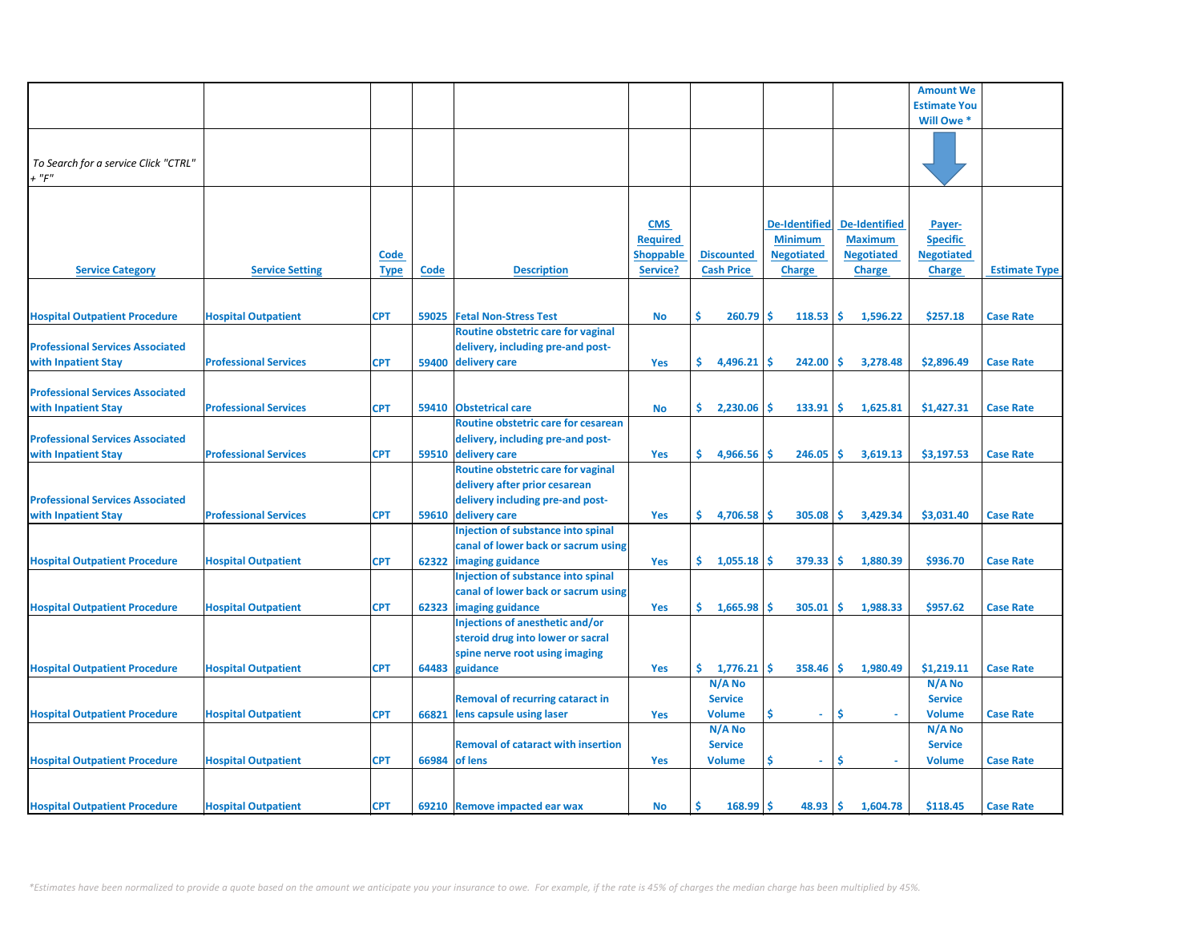|                                         |                              |             |       |                                           |                  |                   |                      |                      | <b>Amount We</b>    |                      |
|-----------------------------------------|------------------------------|-------------|-------|-------------------------------------------|------------------|-------------------|----------------------|----------------------|---------------------|----------------------|
|                                         |                              |             |       |                                           |                  |                   |                      |                      | <b>Estimate You</b> |                      |
|                                         |                              |             |       |                                           |                  |                   |                      |                      | Will Owe *          |                      |
|                                         |                              |             |       |                                           |                  |                   |                      |                      |                     |                      |
|                                         |                              |             |       |                                           |                  |                   |                      |                      |                     |                      |
| To Search for a service Click "CTRL"    |                              |             |       |                                           |                  |                   |                      |                      |                     |                      |
| $+$ " $F$ "                             |                              |             |       |                                           |                  |                   |                      |                      |                     |                      |
|                                         |                              |             |       |                                           |                  |                   |                      |                      |                     |                      |
|                                         |                              |             |       |                                           |                  |                   |                      |                      |                     |                      |
|                                         |                              |             |       |                                           |                  |                   |                      |                      |                     |                      |
|                                         |                              |             |       |                                           | <b>CMS</b>       |                   | <b>De-Identified</b> | <b>De-Identified</b> | Payer-              |                      |
|                                         |                              |             |       |                                           | <b>Required</b>  |                   | <b>Minimum</b>       | <b>Maximum</b>       | <b>Specific</b>     |                      |
|                                         |                              | Code        |       |                                           | <b>Shoppable</b> | <b>Discounted</b> | <b>Negotiated</b>    | <b>Negotiated</b>    | <b>Negotiated</b>   |                      |
| <b>Service Category</b>                 | <b>Service Setting</b>       | <b>Type</b> | Code  | <b>Description</b>                        | Service?         | <b>Cash Price</b> | <b>Charge</b>        | <b>Charge</b>        | <b>Charge</b>       | <b>Estimate Type</b> |
|                                         |                              |             |       |                                           |                  |                   |                      |                      |                     |                      |
|                                         |                              |             |       |                                           |                  |                   |                      |                      |                     |                      |
| <b>Hospital Outpatient Procedure</b>    | <b>Hospital Outpatient</b>   | <b>CPT</b>  | 59025 | <b>Fetal Non-Stress Test</b>              | <b>No</b>        | Ś.<br>260.79      | 118.53<br>Ŝ          | Ŝ.<br>1,596.22       | \$257.18            | <b>Case Rate</b>     |
|                                         |                              |             |       | Routine obstetric care for vaginal        |                  |                   |                      |                      |                     |                      |
| <b>Professional Services Associated</b> |                              |             |       | delivery, including pre-and post-         |                  |                   |                      |                      |                     |                      |
| with Inpatient Stay                     | <b>Professional Services</b> | <b>CPT</b>  |       | 59400 delivery care                       | Yes              | \$.<br>4,496.21   | 242.00<br>Ŝ          | 3,278.48<br>-Ś.      | \$2,896.49          | <b>Case Rate</b>     |
|                                         |                              |             |       |                                           |                  |                   |                      |                      |                     |                      |
| <b>Professional Services Associated</b> |                              |             |       |                                           |                  |                   |                      |                      |                     |                      |
| with Inpatient Stay                     | <b>Professional Services</b> | <b>CPT</b>  | 59410 | <b>Obstetrical care</b>                   | <b>No</b>        | \$.<br>2,230.06   | Ŝ.<br>133.91         | 1\$<br>1,625.81      | \$1,427.31          | <b>Case Rate</b>     |
|                                         |                              |             |       | Routine obstetric care for cesarean       |                  |                   |                      |                      |                     |                      |
| <b>Professional Services Associated</b> |                              |             |       | delivery, including pre-and post-         |                  |                   |                      |                      |                     |                      |
| with Inpatient Stay                     | <b>Professional Services</b> | <b>CPT</b>  |       | 59510 delivery care                       | Yes              | \$.<br>4,966.56   | 246.05<br>.Ŝ         | <b>S</b><br>3,619.13 | \$3,197.53          | <b>Case Rate</b>     |
|                                         |                              |             |       | Routine obstetric care for vaginal        |                  |                   |                      |                      |                     |                      |
|                                         |                              |             |       |                                           |                  |                   |                      |                      |                     |                      |
|                                         |                              |             |       | delivery after prior cesarean             |                  |                   |                      |                      |                     |                      |
| <b>Professional Services Associated</b> |                              |             |       | delivery including pre-and post-          |                  |                   |                      |                      |                     |                      |
| with Inpatient Stay                     | <b>Professional Services</b> | <b>CPT</b>  |       | 59610 delivery care                       | Yes              | \$.<br>4,706.58   | 305.08               | Ŝ.<br>3,429.34       | \$3,031.40          | <b>Case Rate</b>     |
|                                         |                              |             |       | Injection of substance into spinal        |                  |                   |                      |                      |                     |                      |
|                                         |                              |             |       | canal of lower back or sacrum using       |                  |                   |                      |                      |                     |                      |
| <b>Hospital Outpatient Procedure</b>    | <b>Hospital Outpatient</b>   | <b>CPT</b>  | 62322 | imaging guidance                          | Yes              | \$.<br>1,055.18   | 379.33<br>-S         | ١\$<br>1,880.39      | \$936.70            | <b>Case Rate</b>     |
|                                         |                              |             |       | Injection of substance into spinal        |                  |                   |                      |                      |                     |                      |
|                                         |                              |             |       | canal of lower back or sacrum using       |                  |                   |                      |                      |                     |                      |
| <b>Hospital Outpatient Procedure</b>    | <b>Hospital Outpatient</b>   | <b>CPT</b>  | 62323 | imaging guidance                          | Yes              | \$.<br>1,665.98   | Ŝ.<br>305.01         | -\$<br>1,988.33      | \$957.62            | <b>Case Rate</b>     |
|                                         |                              |             |       | Injections of anesthetic and/or           |                  |                   |                      |                      |                     |                      |
|                                         |                              |             |       | steroid drug into lower or sacral         |                  |                   |                      |                      |                     |                      |
|                                         |                              |             |       | spine nerve root using imaging            |                  |                   |                      |                      |                     |                      |
| <b>Hospital Outpatient Procedure</b>    | <b>Hospital Outpatient</b>   | <b>CPT</b>  | 64483 | guidance                                  | Yes              | \$.<br>1,776.21   | $358.46$ \$<br>'\$   | 1,980.49             | \$1,219.11          | <b>Case Rate</b>     |
|                                         |                              |             |       |                                           |                  | N/A No            |                      |                      | N/A No              |                      |
|                                         |                              |             |       | <b>Removal of recurring cataract in</b>   |                  | <b>Service</b>    |                      |                      | <b>Service</b>      |                      |
| <b>Hospital Outpatient Procedure</b>    | <b>Hospital Outpatient</b>   | <b>CPT</b>  | 66821 | lens capsule using laser                  | Yes              | <b>Volume</b>     | \$<br>$\omega$       | Ŝ<br>$\sim$          | <b>Volume</b>       | <b>Case Rate</b>     |
|                                         |                              |             |       |                                           |                  | N/A No            |                      |                      | N/A No              |                      |
|                                         |                              |             |       | <b>Removal of cataract with insertion</b> |                  |                   |                      |                      |                     |                      |
|                                         |                              |             |       |                                           |                  | <b>Service</b>    |                      |                      | <b>Service</b>      |                      |
| <b>Hospital Outpatient Procedure</b>    | <b>Hospital Outpatient</b>   | <b>CPT</b>  |       | 66984 of lens                             | Yes              | <b>Volume</b>     | Ś<br>$\sim$          | -\$                  | <b>Volume</b>       | <b>Case Rate</b>     |
|                                         |                              |             |       |                                           |                  |                   |                      |                      |                     |                      |
|                                         |                              |             |       |                                           |                  |                   |                      |                      |                     |                      |
| <b>Hospital Outpatient Procedure</b>    | <b>Hospital Outpatient</b>   | <b>CPT</b>  |       | 69210 Remove impacted ear wax             | <b>No</b>        | 168.99            | 48.93                | -\$<br>1,604.78      | \$118.45            | <b>Case Rate</b>     |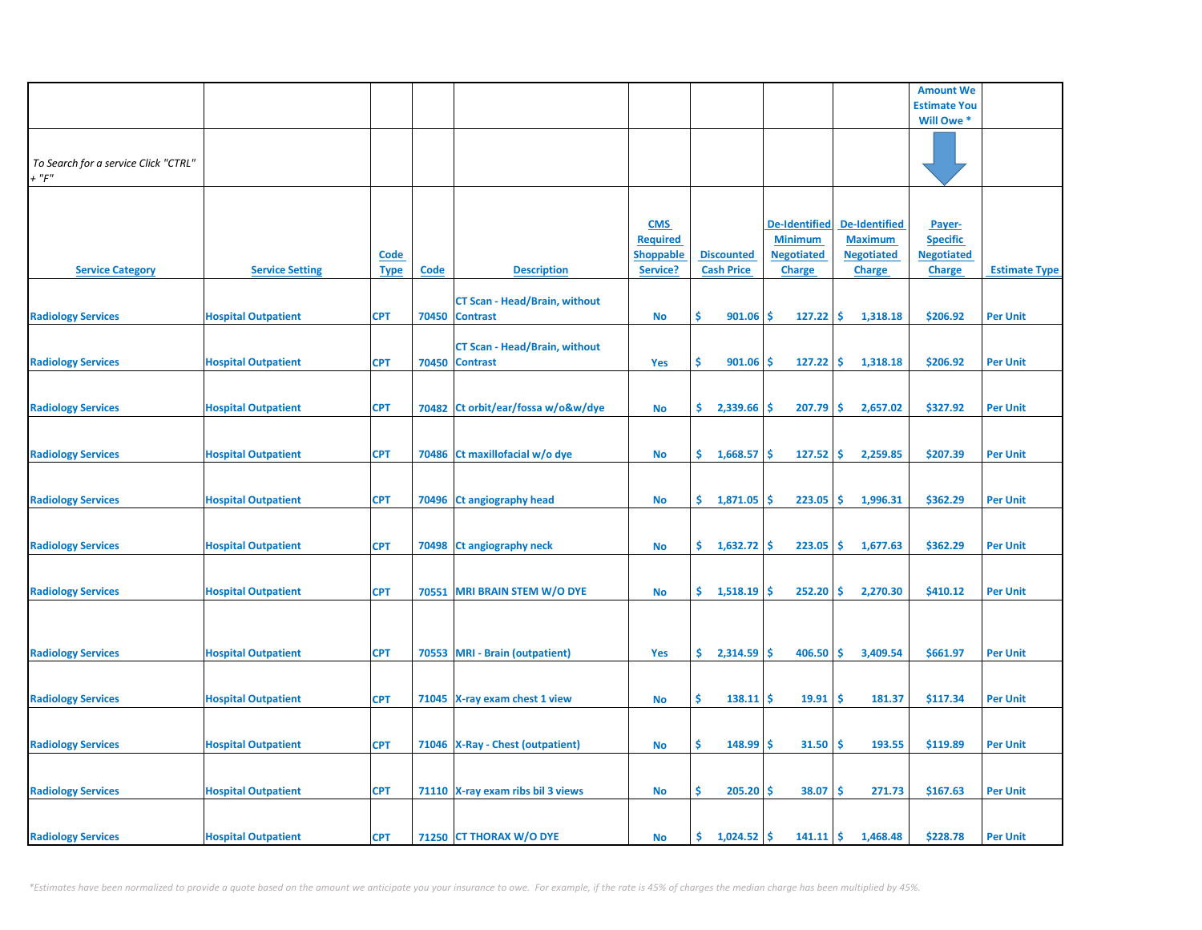|                                                     |                            |             |             |                                      |                  |                      |                      |                      | <b>Amount We</b>    |                      |
|-----------------------------------------------------|----------------------------|-------------|-------------|--------------------------------------|------------------|----------------------|----------------------|----------------------|---------------------|----------------------|
|                                                     |                            |             |             |                                      |                  |                      |                      |                      | <b>Estimate You</b> |                      |
|                                                     |                            |             |             |                                      |                  |                      |                      |                      | Will Owe *          |                      |
|                                                     |                            |             |             |                                      |                  |                      |                      |                      |                     |                      |
| To Search for a service Click "CTRL"<br>$+$ " $F$ " |                            |             |             |                                      |                  |                      |                      |                      |                     |                      |
|                                                     |                            |             |             |                                      |                  |                      |                      |                      |                     |                      |
|                                                     |                            |             |             |                                      | <b>CMS</b>       |                      | <b>De-Identified</b> | <b>De-Identified</b> | Payer-              |                      |
|                                                     |                            |             |             |                                      | <b>Required</b>  |                      | <b>Minimum</b>       | <b>Maximum</b>       | <b>Specific</b>     |                      |
|                                                     |                            | <b>Code</b> |             |                                      | <b>Shoppable</b> | <b>Discounted</b>    | <b>Negotiated</b>    | <b>Negotiated</b>    | <b>Negotiated</b>   |                      |
| <b>Service Category</b>                             | <b>Service Setting</b>     | <b>Type</b> | <b>Code</b> | <b>Description</b>                   | Service?         | <b>Cash Price</b>    | <b>Charge</b>        | <b>Charge</b>        | <b>Charge</b>       | <b>Estimate Type</b> |
|                                                     |                            |             |             | <b>CT Scan - Head/Brain, without</b> |                  |                      |                      |                      |                     |                      |
| <b>Radiology Services</b>                           | <b>Hospital Outpatient</b> | <b>CPT</b>  |             | 70450 Contrast                       | No               | \$<br>901.06         | Ŝ.<br>127.22         | -\$<br>1,318.18      | \$206.92            | <b>Per Unit</b>      |
|                                                     |                            |             |             | <b>CT Scan - Head/Brain, without</b> |                  |                      |                      |                      |                     |                      |
| <b>Radiology Services</b>                           | <b>Hospital Outpatient</b> | <b>CPT</b>  |             | 70450 Contrast                       | <b>Yes</b>       | Ŝ<br>901.06          | $127.22$ \$<br>s     | 1,318.18             | \$206.92            | <b>Per Unit</b>      |
|                                                     |                            |             |             |                                      |                  |                      |                      |                      |                     |                      |
| <b>Radiology Services</b>                           | <b>Hospital Outpatient</b> | <b>CPT</b>  |             | 70482 Ct orbit/ear/fossa w/o&w/dye   | No               | \$.<br>2,339.66      | 207.79<br>-S         | -\$<br>2,657.02      | \$327.92            | <b>Per Unit</b>      |
|                                                     |                            |             |             |                                      |                  |                      |                      |                      |                     |                      |
| <b>Radiology Services</b>                           | <b>Hospital Outpatient</b> | <b>CPT</b>  |             | 70486 Ct maxillofacial w/o dye       | <b>No</b>        | \$.<br>1,668.57      | 127.52<br>Ŝ.         | -\$<br>2,259.85      | \$207.39            | <b>Per Unit</b>      |
|                                                     |                            |             |             |                                      |                  |                      |                      |                      |                     |                      |
|                                                     |                            |             |             |                                      |                  |                      |                      |                      |                     |                      |
| <b>Radiology Services</b>                           | <b>Hospital Outpatient</b> | <b>CPT</b>  |             | 70496 Ct angiography head            | No               | \$.<br>1,871.05      | 223.05<br>-S         | -\$<br>1,996.31      | \$362.29            | <b>Per Unit</b>      |
|                                                     |                            |             |             |                                      |                  |                      |                      |                      |                     |                      |
| <b>Radiology Services</b>                           | <b>Hospital Outpatient</b> | <b>CPT</b>  |             | 70498 Ct angiography neck            | No               | \$.<br>$1,632.72$ \$ | 223.05               | ۱\$.<br>1,677.63     | \$362.29            | <b>Per Unit</b>      |
|                                                     |                            |             |             |                                      |                  |                      |                      |                      |                     |                      |
| <b>Radiology Services</b>                           | <b>Hospital Outpatient</b> | <b>CPT</b>  |             | 70551 MRI BRAIN STEM W/O DYE         | No               | \$.<br>1,518.19      | 252.20<br>-S         | ١\$<br>2,270.30      | \$410.12            | <b>Per Unit</b>      |
|                                                     |                            |             |             |                                      |                  |                      |                      |                      |                     |                      |
|                                                     |                            |             |             |                                      |                  |                      |                      |                      |                     |                      |
| <b>Radiology Services</b>                           | <b>Hospital Outpatient</b> | <b>CPT</b>  |             | 70553 MRI - Brain (outpatient)       | Yes              | \$.<br>2,314.59      | 406.50<br>-S         | ١\$<br>3,409.54      | \$661.97            | <b>Per Unit</b>      |
|                                                     |                            |             |             |                                      |                  |                      |                      |                      |                     |                      |
| <b>Radiology Services</b>                           | <b>Hospital Outpatient</b> | <b>CPT</b>  |             | 71045 X-ray exam chest 1 view        | No               | \$<br>138.11         | 19.91<br>-S          | -\$<br>181.37        | \$117.34            | <b>Per Unit</b>      |
|                                                     |                            |             |             |                                      |                  |                      |                      |                      |                     |                      |
| <b>Radiology Services</b>                           | <b>Hospital Outpatient</b> | <b>CPT</b>  |             | 71046   X-Ray - Chest (outpatient)   | No               | \$<br>$148.99$ \$    | 31.50                | -\$<br>193.55        | \$119.89            | <b>Per Unit</b>      |
|                                                     |                            |             |             |                                      |                  |                      |                      |                      |                     |                      |
| <b>Radiology Services</b>                           | <b>Hospital Outpatient</b> | <b>CPT</b>  |             | 71110 X-ray exam ribs bil 3 views    | No               | \$.<br>205.20        | 38.07<br><b>S</b>    | \$.<br>271.73        | \$167.63            | <b>Per Unit</b>      |
|                                                     |                            |             |             |                                      |                  |                      |                      |                      |                     |                      |
|                                                     |                            |             |             |                                      |                  |                      |                      |                      |                     |                      |
| <b>Radiology Services</b>                           | <b>Hospital Outpatient</b> | <b>CPT</b>  |             | 71250 CT THORAX W/O DYE              | <b>No</b>        | $1,024.52$ \$<br>\$. | 141.11               | <b>S</b><br>1,468.48 | \$228.78            | <b>Per Unit</b>      |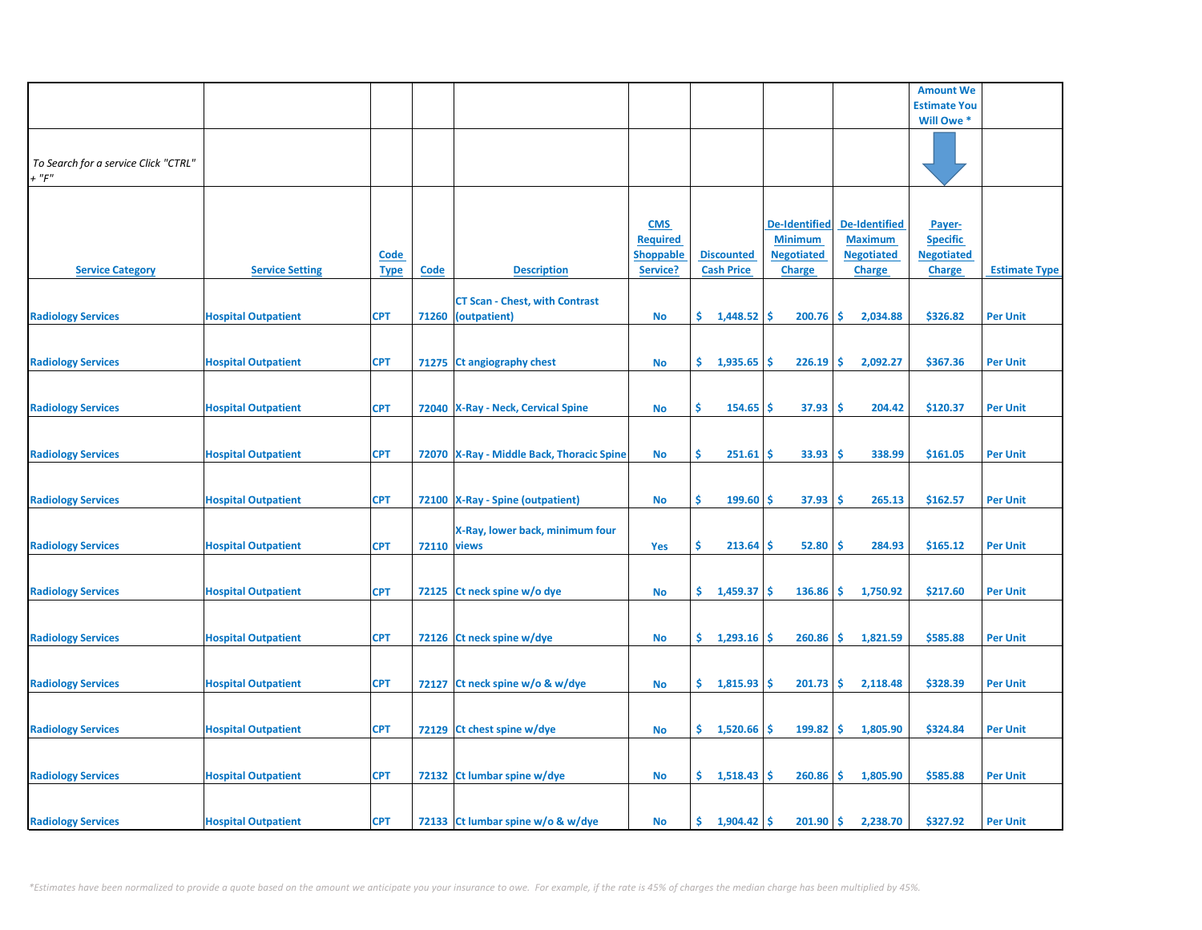|                                                     |                            |                            |                    |                                                             |                                                               |                                        |                                                                              |                                                                              | <b>Amount We</b>                                                |                      |
|-----------------------------------------------------|----------------------------|----------------------------|--------------------|-------------------------------------------------------------|---------------------------------------------------------------|----------------------------------------|------------------------------------------------------------------------------|------------------------------------------------------------------------------|-----------------------------------------------------------------|----------------------|
|                                                     |                            |                            |                    |                                                             |                                                               |                                        |                                                                              |                                                                              | <b>Estimate You</b>                                             |                      |
|                                                     |                            |                            |                    |                                                             |                                                               |                                        |                                                                              |                                                                              | Will Owe *                                                      |                      |
| To Search for a service Click "CTRL"<br>$+$ " $F$ " |                            |                            |                    |                                                             |                                                               |                                        |                                                                              |                                                                              |                                                                 |                      |
| <b>Service Category</b>                             | <b>Service Setting</b>     | <b>Code</b><br><b>Type</b> | <b>Code</b>        | <b>Description</b>                                          | <b>CMS</b><br><b>Required</b><br><b>Shoppable</b><br>Service? | <b>Discounted</b><br><b>Cash Price</b> | <b>De-Identified</b><br><b>Minimum</b><br><b>Negotiated</b><br><b>Charge</b> | <b>De-Identified</b><br><b>Maximum</b><br><b>Negotiated</b><br><b>Charge</b> | Payer-<br><b>Specific</b><br><b>Negotiated</b><br><b>Charge</b> | <b>Estimate Type</b> |
| <b>Radiology Services</b>                           | <b>Hospital Outpatient</b> | <b>CPT</b>                 |                    | <b>CT Scan - Chest, with Contrast</b><br>71260 (outpatient) | No                                                            | \$.<br>$1,448.52$ \$                   | 200.76                                                                       | -\$<br>2,034.88                                                              | \$326.82                                                        | <b>Per Unit</b>      |
| <b>Radiology Services</b>                           | <b>Hospital Outpatient</b> | <b>CPT</b>                 |                    | 71275 Ct angiography chest                                  | No                                                            | \$.<br>1,935.65                        | 226.19<br>Ŝ                                                                  | -\$<br>2,092.27                                                              | \$367.36                                                        | <b>Per Unit</b>      |
| <b>Radiology Services</b>                           | <b>Hospital Outpatient</b> | <b>CPT</b>                 |                    | 72040 X-Ray - Neck, Cervical Spine                          | <b>No</b>                                                     | Ŝ.<br>154.65                           | 37.93<br>-\$                                                                 | -\$<br>204.42                                                                | \$120.37                                                        | <b>Per Unit</b>      |
| <b>Radiology Services</b>                           | <b>Hospital Outpatient</b> | <b>CPT</b>                 |                    | 72070 X-Ray - Middle Back, Thoracic Spine                   | <b>No</b>                                                     | \$<br>251.61                           | 33.93<br><b>S</b>                                                            | \$,<br>338.99                                                                | \$161.05                                                        | <b>Per Unit</b>      |
| <b>Radiology Services</b>                           | <b>Hospital Outpatient</b> | <b>CPT</b>                 |                    | 72100   X-Ray - Spine (outpatient)                          | No                                                            | \$<br>$199.60$ \$                      | 37.93                                                                        | ۱\$<br>265.13                                                                | \$162.57                                                        | <b>Per Unit</b>      |
| <b>Radiology Services</b>                           | <b>Hospital Outpatient</b> | <b>CPT</b>                 | <b>72110 views</b> | X-Ray, lower back, minimum four                             | Yes                                                           | \$<br>$213.64$ \$                      | 52.80                                                                        | -\$<br>284.93                                                                | \$165.12                                                        | <b>Per Unit</b>      |
| <b>Radiology Services</b>                           | <b>Hospital Outpatient</b> | <b>CPT</b>                 | 72125              | Ct neck spine w/o dye                                       | <b>No</b>                                                     | \$.<br>1,459.37                        | 136.86<br>-S                                                                 | -\$<br>1,750.92                                                              | \$217.60                                                        | <b>Per Unit</b>      |
| <b>Radiology Services</b>                           | <b>Hospital Outpatient</b> | <b>CPT</b>                 |                    | 72126 Ct neck spine w/dye                                   | No                                                            | 1,293.16<br>\$.                        | 260.86<br>-Ś                                                                 | -\$<br>1,821.59                                                              | \$585.88                                                        | <b>Per Unit</b>      |
| <b>Radiology Services</b>                           | <b>Hospital Outpatient</b> | <b>CPT</b>                 |                    | 72127 Ct neck spine w/o & w/dye                             | <b>No</b>                                                     | \$1,815.93                             | 201.73<br>\$.                                                                | \$<br>2,118.48                                                               | \$328.39                                                        | <b>Per Unit</b>      |
| <b>Radiology Services</b>                           | <b>Hospital Outpatient</b> | <b>CPT</b>                 |                    | 72129 Ct chest spine w/dye                                  | No                                                            | \$.<br>1,520.66                        | 199.82<br>-S                                                                 | -\$<br>1,805.90                                                              | \$324.84                                                        | <b>Per Unit</b>      |
| <b>Radiology Services</b>                           | <b>Hospital Outpatient</b> | <b>CPT</b>                 |                    | 72132 Ct lumbar spine w/dye                                 | No                                                            | \$1,518.43                             | $260.86$ \$                                                                  | 1,805.90                                                                     | \$585.88                                                        | <b>Per Unit</b>      |
| <b>Radiology Services</b>                           | <b>Hospital Outpatient</b> | <b>CPT</b>                 |                    | 72133 Ct lumbar spine w/o & w/dye                           | No                                                            | 1,904.42<br>\$.                        | 201.90<br>-Ś                                                                 | l \$<br>2,238.70                                                             | \$327.92                                                        | <b>Per Unit</b>      |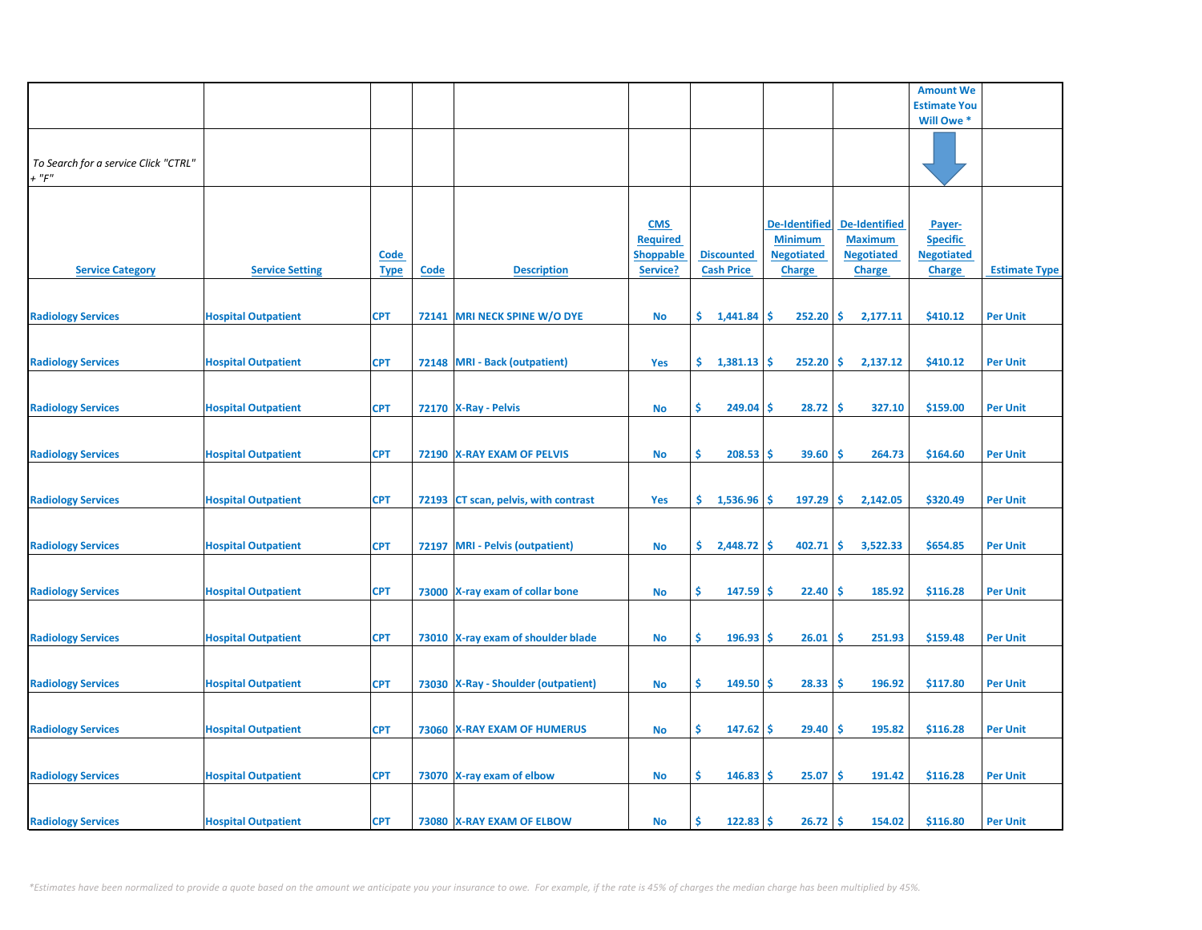|                                                     |                            |                            |             |                                       |                                                               |                                        |                                                                              |                                                                              | <b>Amount We</b>                                                |                      |
|-----------------------------------------------------|----------------------------|----------------------------|-------------|---------------------------------------|---------------------------------------------------------------|----------------------------------------|------------------------------------------------------------------------------|------------------------------------------------------------------------------|-----------------------------------------------------------------|----------------------|
|                                                     |                            |                            |             |                                       |                                                               |                                        |                                                                              |                                                                              | <b>Estimate You</b>                                             |                      |
|                                                     |                            |                            |             |                                       |                                                               |                                        |                                                                              |                                                                              | Will Owe *                                                      |                      |
| To Search for a service Click "CTRL"<br>$+$ " $F$ " |                            |                            |             |                                       |                                                               |                                        |                                                                              |                                                                              |                                                                 |                      |
| <b>Service Category</b>                             | <b>Service Setting</b>     | <u>Code</u><br><b>Type</b> | <u>Code</u> | <b>Description</b>                    | <b>CMS</b><br><b>Required</b><br><u>Shoppable</u><br>Service? | <b>Discounted</b><br><b>Cash Price</b> | <b>De-Identified</b><br><b>Minimum</b><br><b>Negotiated</b><br><b>Charge</b> | <b>De-Identified</b><br><b>Maximum</b><br><b>Negotiated</b><br><b>Charge</b> | Payer-<br><b>Specific</b><br><b>Negotiated</b><br><b>Charge</b> | <b>Estimate Type</b> |
| <b>Radiology Services</b>                           | <b>Hospital Outpatient</b> | <b>CPT</b>                 |             | 72141 MRI NECK SPINE W/O DYE          | No                                                            | \$.<br>1,441.84                        | \$<br>252.20                                                                 | \$<br>2,177.11                                                               | \$410.12                                                        | <b>Per Unit</b>      |
| <b>Radiology Services</b>                           | <b>Hospital Outpatient</b> | <b>CPT</b>                 |             | 72148 MRI - Back (outpatient)         | Yes                                                           | \$.<br>1,381.13                        | 252.20<br>\$.                                                                | \$<br>2,137.12                                                               | \$410.12                                                        | <b>Per Unit</b>      |
| <b>Radiology Services</b>                           | <b>Hospital Outpatient</b> | <b>CPT</b>                 |             | 72170   X-Ray - Pelvis                | <b>No</b>                                                     | \$<br>249.04                           | \$<br>28.72                                                                  | \$<br>327.10                                                                 | \$159.00                                                        | <b>Per Unit</b>      |
| <b>Radiology Services</b>                           | <b>Hospital Outpatient</b> | <b>CPT</b>                 |             | 72190 X-RAY EXAM OF PELVIS            | No                                                            | Ŝ.<br>208.53                           | \$<br>39.60                                                                  | Ŝ<br>264.73                                                                  | \$164.60                                                        | <b>Per Unit</b>      |
| <b>Radiology Services</b>                           | <b>Hospital Outpatient</b> | <b>CPT</b>                 |             | 72193 CT scan, pelvis, with contrast  | Yes                                                           | \$.<br>1,536.96                        | 197.29<br>\$                                                                 | \$<br>2,142.05                                                               | \$320.49                                                        | <b>Per Unit</b>      |
| <b>Radiology Services</b>                           | <b>Hospital Outpatient</b> | <b>CPT</b>                 |             | 72197 MRI - Pelvis (outpatient)       | No                                                            | \$.<br>2,448.72                        | \$<br>402.71                                                                 | \$<br>3,522.33                                                               | \$654.85                                                        | <b>Per Unit</b>      |
| <b>Radiology Services</b>                           | <b>Hospital Outpatient</b> | <b>CPT</b>                 |             | 73000 X-ray exam of collar bone       | <b>No</b>                                                     | \$<br>147.59                           | 22.40<br>\$                                                                  | -\$<br>185.92                                                                | \$116.28                                                        | <b>Per Unit</b>      |
| <b>Radiology Services</b>                           | <b>Hospital Outpatient</b> | <b>CPT</b>                 |             | 73010 X-ray exam of shoulder blade    | <b>No</b>                                                     | \$<br>$196.93$ \$                      | 26.01                                                                        | \$<br>251.93                                                                 | \$159.48                                                        | <b>Per Unit</b>      |
| <b>Radiology Services</b>                           | <b>Hospital Outpatient</b> | <b>CPT</b>                 |             | 73030   X-Ray - Shoulder (outpatient) | <b>No</b>                                                     | \$<br>149.50                           | \$<br>28.33                                                                  | \$.<br>196.92                                                                | \$117.80                                                        | <b>Per Unit</b>      |
| <b>Radiology Services</b>                           | <b>Hospital Outpatient</b> | <b>CPT</b>                 |             | 73060 X-RAY EXAM OF HUMERUS           | No                                                            | \$<br>147.62                           | 29.40<br>\$.                                                                 | \$.<br>195.82                                                                | \$116.28                                                        | <b>Per Unit</b>      |
| <b>Radiology Services</b>                           | <b>Hospital Outpatient</b> | <b>CPT</b>                 |             | 73070 X-ray exam of elbow             | No                                                            | \$.<br>146.83                          | \$.<br>25.07                                                                 | \$.<br>191.42                                                                | \$116.28                                                        | <b>Per Unit</b>      |
| <b>Radiology Services</b>                           | <b>Hospital Outpatient</b> | <b>CPT</b>                 |             | 73080 X-RAY EXAM OF ELBOW             | <b>No</b>                                                     | $122.83$ \$<br>Ś                       | 26.72                                                                        | \$ ا<br>154.02                                                               | \$116.80                                                        | <b>Per Unit</b>      |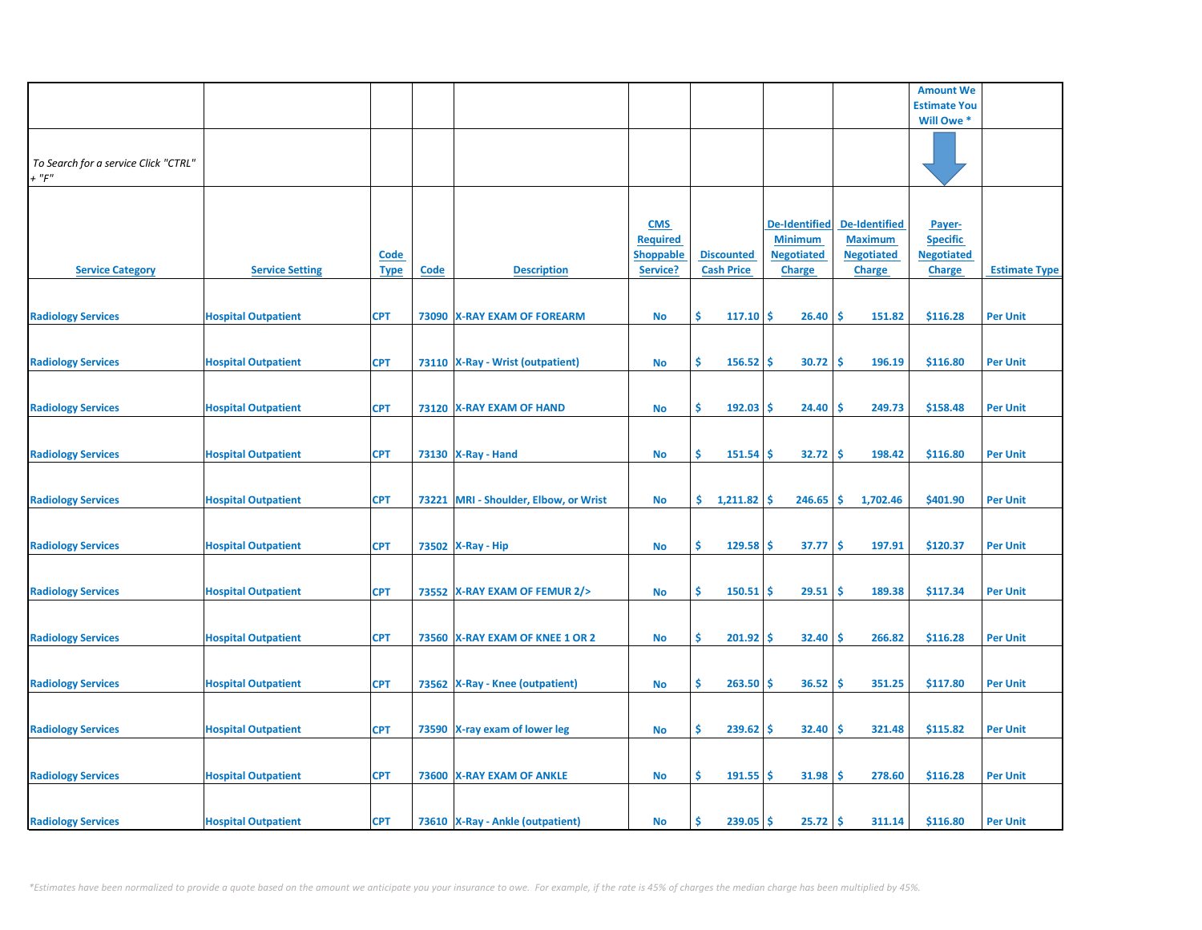|                                                     |                            |                            |             |                                       |                                                               |                                        |                                                                              |                                                                              | <b>Amount We</b>                                                |                      |
|-----------------------------------------------------|----------------------------|----------------------------|-------------|---------------------------------------|---------------------------------------------------------------|----------------------------------------|------------------------------------------------------------------------------|------------------------------------------------------------------------------|-----------------------------------------------------------------|----------------------|
|                                                     |                            |                            |             |                                       |                                                               |                                        |                                                                              |                                                                              | <b>Estimate You</b>                                             |                      |
|                                                     |                            |                            |             |                                       |                                                               |                                        |                                                                              |                                                                              | Will Owe *                                                      |                      |
| To Search for a service Click "CTRL"<br>$+$ " $F$ " |                            |                            |             |                                       |                                                               |                                        |                                                                              |                                                                              |                                                                 |                      |
| <b>Service Category</b>                             | <b>Service Setting</b>     | <u>Code</u><br><b>Type</b> | <b>Code</b> | <b>Description</b>                    | <b>CMS</b><br><b>Required</b><br><b>Shoppable</b><br>Service? | <b>Discounted</b><br><b>Cash Price</b> | <b>De-Identified</b><br><b>Minimum</b><br><b>Negotiated</b><br><b>Charge</b> | <b>De-Identified</b><br><b>Maximum</b><br><b>Negotiated</b><br><b>Charge</b> | Payer-<br><b>Specific</b><br><b>Negotiated</b><br><b>Charge</b> | <b>Estimate Type</b> |
| <b>Radiology Services</b>                           | <b>Hospital Outpatient</b> | <b>CPT</b>                 |             | 73090 X-RAY EXAM OF FOREARM           | No                                                            | Ŝ.<br>117.10                           | -\$<br>26.40                                                                 | \$.<br>151.82                                                                | \$116.28                                                        | <b>Per Unit</b>      |
| <b>Radiology Services</b>                           | <b>Hospital Outpatient</b> | <b>CPT</b>                 |             | 73110   X-Ray - Wrist (outpatient)    | <b>No</b>                                                     | \$<br>156.52                           | -\$<br>30.72                                                                 | \$<br>196.19                                                                 | \$116.80                                                        | <b>Per Unit</b>      |
| <b>Radiology Services</b>                           | <b>Hospital Outpatient</b> | <b>CPT</b>                 |             | 73120 X-RAY EXAM OF HAND              | <b>No</b>                                                     | \$<br>192.03                           | 24.40<br>\$                                                                  | 249.73<br><b>S</b>                                                           | \$158.48                                                        | <b>Per Unit</b>      |
| <b>Radiology Services</b>                           | <b>Hospital Outpatient</b> | <b>CPT</b>                 |             | 73130   X-Ray - Hand                  | <b>No</b>                                                     | \$<br>151.54                           | \$<br>32.72                                                                  | \$.<br>198.42                                                                | \$116.80                                                        | <b>Per Unit</b>      |
| <b>Radiology Services</b>                           | <b>Hospital Outpatient</b> | <b>CPT</b>                 |             | 73221 MRI - Shoulder, Elbow, or Wrist | <b>No</b>                                                     | \$.<br>1,211.82                        | -\$<br>246.65                                                                | \$<br>1,702.46                                                               | \$401.90                                                        | <b>Per Unit</b>      |
| <b>Radiology Services</b>                           | <b>Hospital Outpatient</b> | <b>CPT</b>                 |             | 73502 X-Ray - Hip                     | <b>No</b>                                                     | \$<br>129.58                           | \$<br>37.77                                                                  | \$<br>197.91                                                                 | \$120.37                                                        | <b>Per Unit</b>      |
| <b>Radiology Services</b>                           | <b>Hospital Outpatient</b> | <b>CPT</b>                 |             | 73552 X-RAY EXAM OF FEMUR 2/>         | No                                                            | \$<br>150.51                           | 29.51<br>-\$                                                                 | -\$<br>189.38                                                                | \$117.34                                                        | <b>Per Unit</b>      |
| <b>Radiology Services</b>                           | <b>Hospital Outpatient</b> | <b>CPT</b>                 |             | 73560 X-RAY EXAM OF KNEE 1 OR 2       | <b>No</b>                                                     | \$<br>201.92                           | 32.40<br>-\$                                                                 | \$<br>266.82                                                                 | \$116.28                                                        | <b>Per Unit</b>      |
| <b>Radiology Services</b>                           | <b>Hospital Outpatient</b> | <b>CPT</b>                 |             | 73562   X-Ray - Knee (outpatient)     | No                                                            | \$<br>263.50                           | -\$<br>36.52                                                                 | \$<br>351.25                                                                 | \$117.80                                                        | <b>Per Unit</b>      |
| <b>Radiology Services</b>                           | <b>Hospital Outpatient</b> | <b>CPT</b>                 |             | 73590 X-ray exam of lower leg         | <b>No</b>                                                     | \$<br>239.62                           | \$<br>32.40                                                                  | \$<br>321.48                                                                 | \$115.82                                                        | <b>Per Unit</b>      |
| <b>Radiology Services</b>                           | <b>Hospital Outpatient</b> | <b>CPT</b>                 |             | 73600 X-RAY EXAM OF ANKLE             | No                                                            | \$<br>191.55                           | \$<br>31.98                                                                  | Ŝ<br>278.60                                                                  | \$116.28                                                        | <b>Per Unit</b>      |
| <b>Radiology Services</b>                           | <b>Hospital Outpatient</b> | <b>CPT</b>                 |             | 73610 X-Ray - Ankle (outpatient)      | No                                                            | 239.05<br>Ś                            | 25.72<br>\$                                                                  | -\$<br>311.14                                                                | \$116.80                                                        | <b>Per Unit</b>      |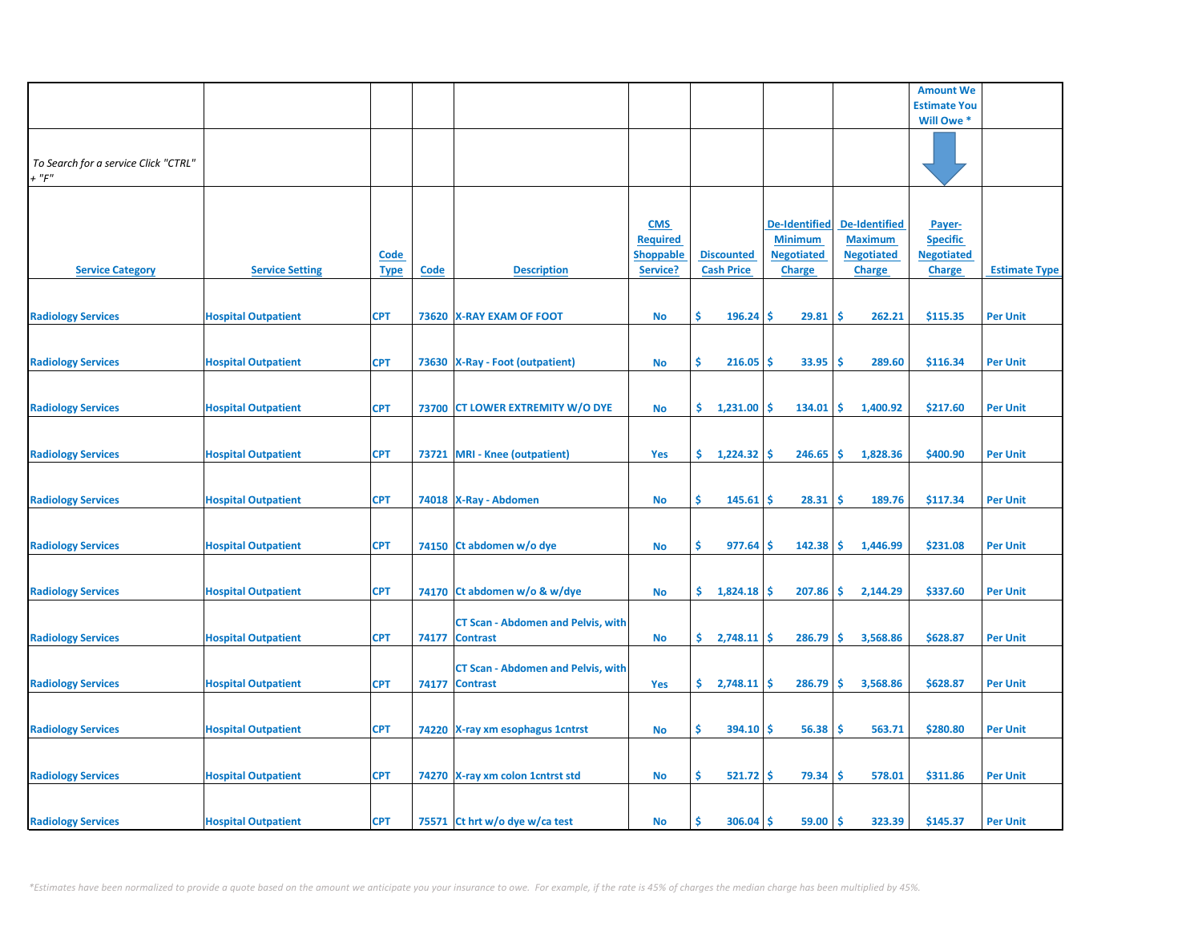|                                                     |                            |                            |      |                                                             |                                                               |                                        |                                                                              |                                                                              | <b>Amount We</b>                                                |                      |
|-----------------------------------------------------|----------------------------|----------------------------|------|-------------------------------------------------------------|---------------------------------------------------------------|----------------------------------------|------------------------------------------------------------------------------|------------------------------------------------------------------------------|-----------------------------------------------------------------|----------------------|
|                                                     |                            |                            |      |                                                             |                                                               |                                        |                                                                              |                                                                              | <b>Estimate You</b>                                             |                      |
|                                                     |                            |                            |      |                                                             |                                                               |                                        |                                                                              |                                                                              | Will Owe *                                                      |                      |
| To Search for a service Click "CTRL"<br>$+$ " $F$ " |                            |                            |      |                                                             |                                                               |                                        |                                                                              |                                                                              |                                                                 |                      |
| <b>Service Category</b>                             | <b>Service Setting</b>     | <b>Code</b><br><b>Type</b> | Code | <b>Description</b>                                          | <b>CMS</b><br><b>Required</b><br><b>Shoppable</b><br>Service? | <b>Discounted</b><br><b>Cash Price</b> | <b>De-Identified</b><br><b>Minimum</b><br><b>Negotiated</b><br><b>Charge</b> | <b>De-Identified</b><br><b>Maximum</b><br><b>Negotiated</b><br><b>Charge</b> | Payer-<br><b>Specific</b><br><b>Negotiated</b><br><b>Charge</b> | <b>Estimate Type</b> |
| <b>Radiology Services</b>                           | <b>Hospital Outpatient</b> | <b>CPT</b>                 |      | 73620 X-RAY EXAM OF FOOT                                    | <b>No</b>                                                     | \$<br>$196.24$ \$                      | 29.81                                                                        | -\$<br>262.21                                                                | \$115.35                                                        | <b>Per Unit</b>      |
| <b>Radiology Services</b>                           | <b>Hospital Outpatient</b> | <b>CPT</b>                 |      | 73630 X-Ray - Foot (outpatient)                             | No                                                            | \$<br>216.05                           | Ŝ<br>33.95                                                                   | -\$<br>289.60                                                                | \$116.34                                                        | <b>Per Unit</b>      |
| <b>Radiology Services</b>                           | <b>Hospital Outpatient</b> | <b>CPT</b>                 |      | 73700 CT LOWER EXTREMITY W/O DYE                            | No                                                            | 1,231.00<br>\$.                        | 134.01<br><b>S</b>                                                           | -\$<br>1,400.92                                                              | \$217.60                                                        | <b>Per Unit</b>      |
| <b>Radiology Services</b>                           | <b>Hospital Outpatient</b> | <b>CPT</b>                 |      | 73721 MRI - Knee (outpatient)                               | Yes                                                           | \$1,224.32                             | 246.65<br><b>S</b>                                                           | -\$<br>1,828.36                                                              | \$400.90                                                        | <b>Per Unit</b>      |
| <b>Radiology Services</b>                           | <b>Hospital Outpatient</b> | <b>CPT</b>                 |      | 74018 X-Ray - Abdomen                                       | No                                                            | \$<br>$145.61$ \$                      | 28.31                                                                        | -\$<br>189.76                                                                | \$117.34                                                        | <b>Per Unit</b>      |
| <b>Radiology Services</b>                           | <b>Hospital Outpatient</b> | <b>CPT</b>                 |      | 74150 Ct abdomen w/o dye                                    | <b>No</b>                                                     | \$<br>977.64                           | 142.38<br>Ŝ.                                                                 | \$<br>1,446.99                                                               | \$231.08                                                        | <b>Per Unit</b>      |
| <b>Radiology Services</b>                           | <b>Hospital Outpatient</b> | <b>CPT</b>                 |      | 74170 Ct abdomen w/o & w/dye                                | <b>No</b>                                                     | \$.<br>1,824.18                        | 207.86<br>-S                                                                 | -\$<br>2,144.29                                                              | \$337.60                                                        | <b>Per Unit</b>      |
| <b>Radiology Services</b>                           | <b>Hospital Outpatient</b> | <b>CPT</b>                 |      | <b>CT Scan - Abdomen and Pelvis, with</b><br>74177 Contrast | No                                                            | $2,748.11$ \$<br>\$.                   | 286.79                                                                       | -\$<br>3,568.86                                                              | \$628.87                                                        | <b>Per Unit</b>      |
| <b>Radiology Services</b>                           | <b>Hospital Outpatient</b> | <b>CPT</b>                 |      | <b>CT Scan - Abdomen and Pelvis, with</b><br>74177 Contrast | Yes                                                           | \$.<br>2,748.11                        | 286.79<br><b>S</b>                                                           | -\$<br>3,568.86                                                              | \$628.87                                                        | <b>Per Unit</b>      |
| <b>Radiology Services</b>                           | <b>Hospital Outpatient</b> | <b>CPT</b>                 |      | 74220 X-ray xm esophagus 1 cntrst                           | <b>No</b>                                                     | \$<br>$394.10$ \$                      | 56.38                                                                        | -\$<br>563.71                                                                | \$280.80                                                        | <b>Per Unit</b>      |
|                                                     |                            |                            |      |                                                             |                                                               |                                        |                                                                              |                                                                              |                                                                 |                      |
| <b>Radiology Services</b>                           | <b>Hospital Outpatient</b> | <b>CPT</b>                 |      | 74270 X-ray xm colon 1 cntrst std                           | No                                                            | \$<br>$521.72$ \$                      | 79.34                                                                        | -\$<br>578.01                                                                | \$311.86                                                        | <b>Per Unit</b>      |
| <b>Radiology Services</b>                           | <b>Hospital Outpatient</b> | <b>CPT</b>                 |      | 75571 Ct hrt w/o dye w/ca test                              | No                                                            | $306.04$ \$<br>Ŝ                       | 59.00                                                                        | ۱Ś<br>323.39                                                                 | \$145.37                                                        | <b>Per Unit</b>      |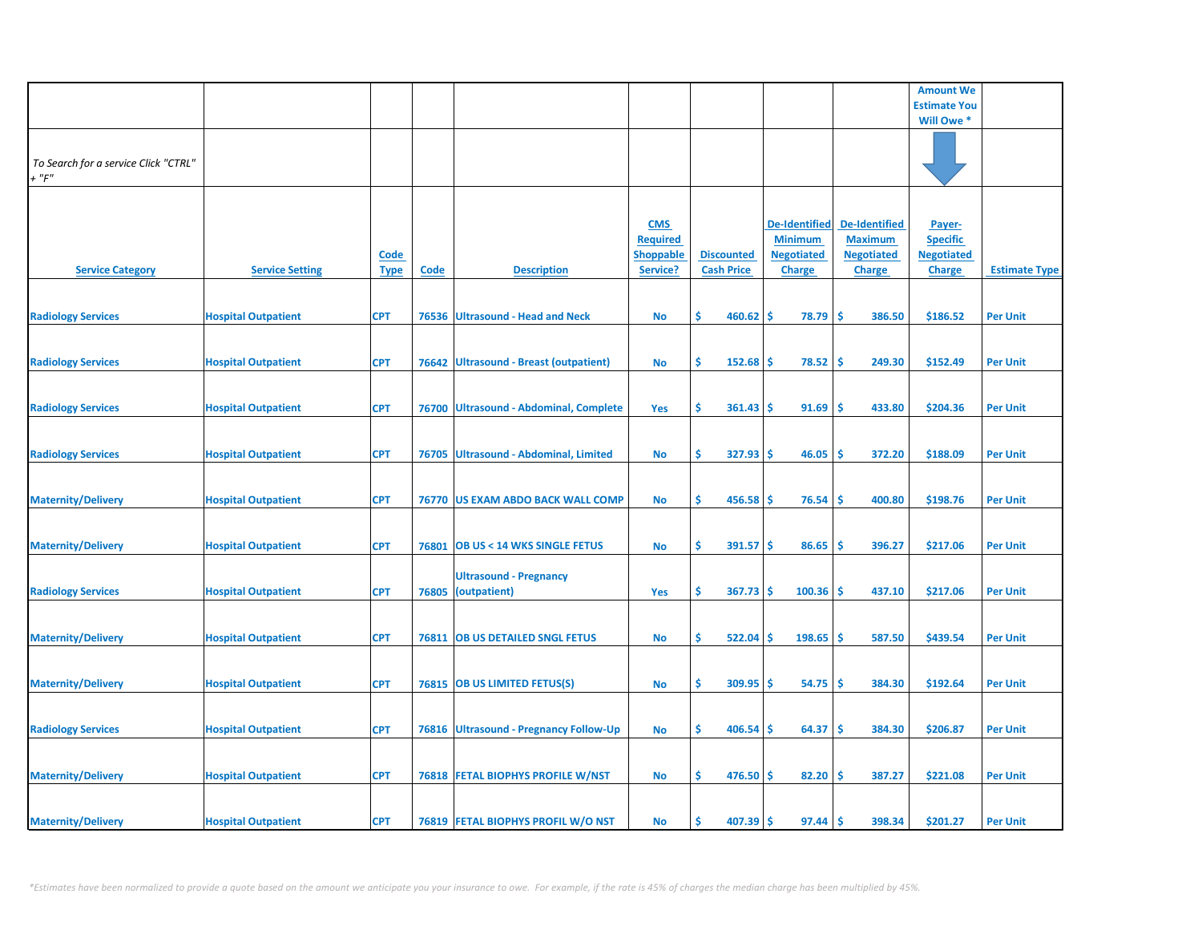|                                                     |                            |                            |             |                                               |                                                               |                                        |                                                                              |                                                                              | <b>Amount We</b>                                                |                      |
|-----------------------------------------------------|----------------------------|----------------------------|-------------|-----------------------------------------------|---------------------------------------------------------------|----------------------------------------|------------------------------------------------------------------------------|------------------------------------------------------------------------------|-----------------------------------------------------------------|----------------------|
|                                                     |                            |                            |             |                                               |                                                               |                                        |                                                                              |                                                                              | <b>Estimate You</b>                                             |                      |
|                                                     |                            |                            |             |                                               |                                                               |                                        |                                                                              |                                                                              | Will Owe *                                                      |                      |
| To Search for a service Click "CTRL"<br>$+$ " $F$ " |                            |                            |             |                                               |                                                               |                                        |                                                                              |                                                                              |                                                                 |                      |
| <b>Service Category</b>                             | <b>Service Setting</b>     | <u>Code</u><br><b>Type</b> | <b>Code</b> | <b>Description</b>                            | <b>CMS</b><br><b>Required</b><br><b>Shoppable</b><br>Service? | <b>Discounted</b><br><b>Cash Price</b> | <b>De-Identified</b><br><b>Minimum</b><br><b>Negotiated</b><br><b>Charge</b> | <b>De-Identified</b><br><b>Maximum</b><br><b>Negotiated</b><br><b>Charge</b> | Payer-<br><b>Specific</b><br><b>Negotiated</b><br><b>Charge</b> | <b>Estimate Type</b> |
| <b>Radiology Services</b>                           | <b>Hospital Outpatient</b> | <b>CPT</b>                 |             | 76536 Ultrasound - Head and Neck              | <b>No</b>                                                     | Ŝ.<br>460.62                           | \$<br>78.79                                                                  | <b>S</b><br>386.50                                                           | \$186.52                                                        | <b>Per Unit</b>      |
| <b>Radiology Services</b>                           | <b>Hospital Outpatient</b> | <b>CPT</b>                 | 76642       | <b>Ultrasound - Breast (outpatient)</b>       | <b>No</b>                                                     | \$<br>152.68                           | \$<br>78.52                                                                  | \$<br>249.30                                                                 | \$152.49                                                        | <b>Per Unit</b>      |
| <b>Radiology Services</b>                           | <b>Hospital Outpatient</b> | <b>CPT</b>                 |             | 76700 Ultrasound - Abdominal, Complete        | Yes                                                           | \$<br>361.43                           | 91.69<br>\$                                                                  | 433.80<br><b>S</b>                                                           | \$204.36                                                        | <b>Per Unit</b>      |
| <b>Radiology Services</b>                           | <b>Hospital Outpatient</b> | <b>CPT</b>                 |             | 76705 Ultrasound - Abdominal, Limited         | <b>No</b>                                                     | \$<br>327.93                           | 46.05<br>\$                                                                  | Ś<br>372.20                                                                  | \$188.09                                                        | <b>Per Unit</b>      |
| <b>Maternity/Delivery</b>                           | <b>Hospital Outpatient</b> | <b>CPT</b>                 |             | 76770 US EXAM ABDO BACK WALL COMP             | <b>No</b>                                                     | \$.<br>456.58                          | \$<br>76.54                                                                  | <b>S</b><br>400.80                                                           | \$198.76                                                        | <b>Per Unit</b>      |
| <b>Maternity/Delivery</b>                           | <b>Hospital Outpatient</b> | <b>CPT</b>                 |             | 76801 OB US < 14 WKS SINGLE FETUS             | <b>No</b>                                                     | \$<br>391.57                           | -\$<br>86.65                                                                 | \$<br>396.27                                                                 | \$217.06                                                        | <b>Per Unit</b>      |
| <b>Radiology Services</b>                           | <b>Hospital Outpatient</b> | <b>CPT</b>                 | 76805       | <b>Ultrasound - Pregnancy</b><br>(outpatient) | Yes                                                           | Ŝ.<br>367.73                           | 100.36<br>\$                                                                 | <b>S</b><br>437.10                                                           | \$217.06                                                        | <b>Per Unit</b>      |
| <b>Maternity/Delivery</b>                           | <b>Hospital Outpatient</b> | <b>CPT</b>                 |             | 76811 OB US DETAILED SNGL FETUS               | <b>No</b>                                                     | Ŝ.<br>522.04                           | 198.65<br>\$                                                                 | <b>S</b><br>587.50                                                           | \$439.54                                                        | <b>Per Unit</b>      |
| <b>Maternity/Delivery</b>                           | <b>Hospital Outpatient</b> | <b>CPT</b>                 |             | 76815 OB US LIMITED FETUS(S)                  | <b>No</b>                                                     | \$<br>309.95                           | 54.75<br>\$                                                                  | \$.<br>384.30                                                                | \$192.64                                                        | <b>Per Unit</b>      |
| <b>Radiology Services</b>                           | <b>Hospital Outpatient</b> | <b>CPT</b>                 |             | 76816 Ultrasound - Pregnancy Follow-Up        | <b>No</b>                                                     | \$<br>406.54                           | 64.37<br>\$                                                                  | \$<br>384.30                                                                 | \$206.87                                                        | <b>Per Unit</b>      |
| <b>Maternity/Delivery</b>                           | <b>Hospital Outpatient</b> | <b>CPT</b>                 |             | <b>76818 FETAL BIOPHYS PROFILE W/NST</b>      | <b>No</b>                                                     | Ŝ.<br>476.50                           | 82.20<br>s                                                                   | Ŝ<br>387.27                                                                  | \$221.08                                                        | <b>Per Unit</b>      |
| <b>Maternity/Delivery</b>                           | <b>Hospital Outpatient</b> | <b>CPT</b>                 |             | 76819 FETAL BIOPHYS PROFIL W/O NST            | <b>No</b>                                                     | 407.39<br>Ŝ                            | 97.44<br>\$                                                                  | \$<br>398.34                                                                 | \$201.27                                                        | <b>Per Unit</b>      |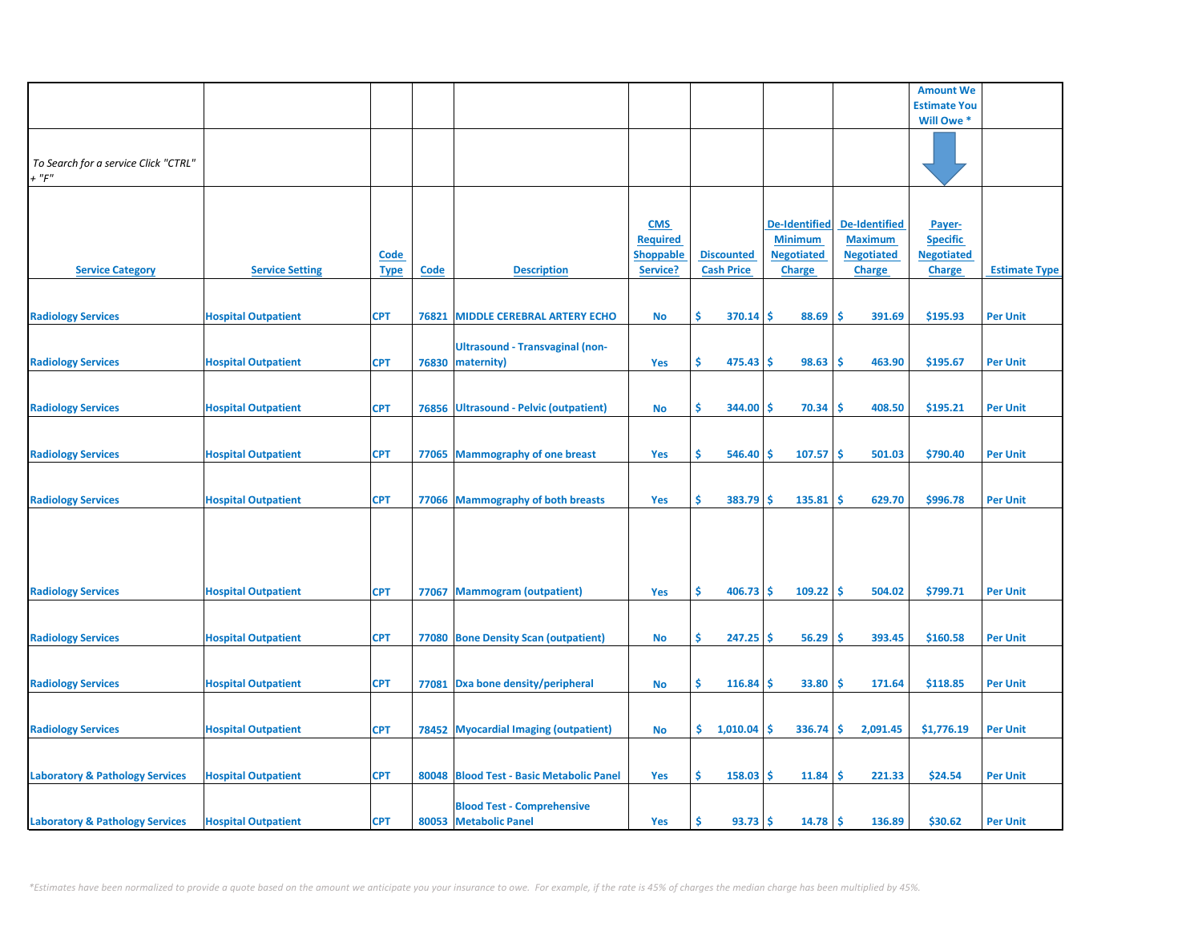|                                            |                            |             |             |                                          |                  |     |                   |                      |                      | <b>Amount We</b>    |                      |
|--------------------------------------------|----------------------------|-------------|-------------|------------------------------------------|------------------|-----|-------------------|----------------------|----------------------|---------------------|----------------------|
|                                            |                            |             |             |                                          |                  |     |                   |                      |                      | <b>Estimate You</b> |                      |
|                                            |                            |             |             |                                          |                  |     |                   |                      |                      | Will Owe *          |                      |
|                                            |                            |             |             |                                          |                  |     |                   |                      |                      |                     |                      |
|                                            |                            |             |             |                                          |                  |     |                   |                      |                      |                     |                      |
| To Search for a service Click "CTRL"       |                            |             |             |                                          |                  |     |                   |                      |                      |                     |                      |
| $+$ " $F$ "                                |                            |             |             |                                          |                  |     |                   |                      |                      |                     |                      |
|                                            |                            |             |             |                                          |                  |     |                   |                      |                      |                     |                      |
|                                            |                            |             |             |                                          |                  |     |                   |                      |                      |                     |                      |
|                                            |                            |             |             |                                          | <b>CMS</b>       |     |                   | <b>De-Identified</b> | <b>De-Identified</b> | Payer-              |                      |
|                                            |                            |             |             |                                          | <b>Required</b>  |     |                   | <b>Minimum</b>       | <b>Maximum</b>       | <b>Specific</b>     |                      |
|                                            |                            | <u>Code</u> |             |                                          | <b>Shoppable</b> |     | <b>Discounted</b> | <b>Negotiated</b>    | <b>Negotiated</b>    | <b>Negotiated</b>   |                      |
| <b>Service Category</b>                    | <b>Service Setting</b>     | <b>Type</b> | <b>Code</b> | <b>Description</b>                       | Service?         |     | <b>Cash Price</b> | <b>Charge</b>        | <b>Charge</b>        | <b>Charge</b>       | <b>Estimate Type</b> |
|                                            |                            |             |             |                                          |                  |     |                   |                      |                      |                     |                      |
|                                            |                            |             |             |                                          |                  |     |                   |                      |                      |                     |                      |
| <b>Radiology Services</b>                  | <b>Hospital Outpatient</b> | <b>CPT</b>  | 76821       | <b>MIDDLE CEREBRAL ARTERY ECHO</b>       | No               | Ŝ.  | 370.14            | \$<br>88.69          | \$.<br>391.69        | \$195.93            | <b>Per Unit</b>      |
|                                            |                            |             |             |                                          |                  |     |                   |                      |                      |                     |                      |
|                                            |                            |             |             | <b>Ultrasound - Transvaginal (non-</b>   |                  |     |                   |                      |                      |                     |                      |
| <b>Radiology Services</b>                  | <b>Hospital Outpatient</b> | <b>CPT</b>  | 76830       | maternity)                               | Yes              | \$  | 475.43            | \$<br>98.63          | \$<br>463.90         | \$195.67            | <b>Per Unit</b>      |
|                                            |                            |             |             |                                          |                  |     |                   |                      |                      |                     |                      |
|                                            |                            |             |             |                                          |                  |     |                   |                      |                      |                     |                      |
|                                            |                            |             |             | 76856 Ultrasound - Pelvic (outpatient)   |                  | \$  | 344.00            | 70.34<br>\$.         | 408.50<br><b>S</b>   | \$195.21            | <b>Per Unit</b>      |
| <b>Radiology Services</b>                  | <b>Hospital Outpatient</b> | <b>CPT</b>  |             |                                          | <b>No</b>        |     |                   |                      |                      |                     |                      |
|                                            |                            |             |             |                                          |                  |     |                   |                      |                      |                     |                      |
|                                            |                            |             |             |                                          |                  |     |                   |                      |                      |                     |                      |
| <b>Radiology Services</b>                  | <b>Hospital Outpatient</b> | <b>CPT</b>  |             | 77065 Mammography of one breast          | Yes              | \$  | 546.40            | 107.57<br>\$         | Ŝ<br>501.03          | \$790.40            | <b>Per Unit</b>      |
|                                            |                            |             |             |                                          |                  |     |                   |                      |                      |                     |                      |
|                                            |                            |             |             |                                          |                  |     |                   |                      |                      |                     |                      |
| <b>Radiology Services</b>                  | <b>Hospital Outpatient</b> | <b>CPT</b>  |             | 77066 Mammography of both breasts        | Yes              | \$  | 383.79            | \$<br>135.81         | \$<br>629.70         | \$996.78            | <b>Per Unit</b>      |
|                                            |                            |             |             |                                          |                  |     |                   |                      |                      |                     |                      |
|                                            |                            |             |             |                                          |                  |     |                   |                      |                      |                     |                      |
|                                            |                            |             |             |                                          |                  |     |                   |                      |                      |                     |                      |
|                                            |                            |             |             |                                          |                  |     |                   |                      |                      |                     |                      |
|                                            |                            |             |             |                                          |                  |     |                   |                      |                      |                     |                      |
| <b>Radiology Services</b>                  | <b>Hospital Outpatient</b> | <b>CPT</b>  |             | 77067 Mammogram (outpatient)             | Yes              | Ŝ.  | 406.73            | 109.22<br>-\$        | <b>S</b><br>504.02   | \$799.71            | <b>Per Unit</b>      |
|                                            |                            |             |             |                                          |                  |     |                   |                      |                      |                     |                      |
|                                            |                            |             |             |                                          |                  |     |                   |                      |                      |                     |                      |
| <b>Radiology Services</b>                  | <b>Hospital Outpatient</b> | <b>CPT</b>  |             | 77080 Bone Density Scan (outpatient)     | <b>No</b>        | \$  | 247.25            | \$<br>56.29          | \$<br>393.45         | \$160.58            | <b>Per Unit</b>      |
|                                            |                            |             |             |                                          |                  |     |                   |                      |                      |                     |                      |
|                                            |                            |             |             |                                          |                  |     |                   |                      |                      |                     |                      |
| <b>Radiology Services</b>                  | <b>Hospital Outpatient</b> | <b>CPT</b>  | 77081       | Dxa bone density/peripheral              | No               | \$  | 116.84            | \$<br>33.80          | \$.<br>171.64        | \$118.85            | <b>Per Unit</b>      |
|                                            |                            |             |             |                                          |                  |     |                   |                      |                      |                     |                      |
|                                            |                            |             |             |                                          |                  |     |                   |                      |                      |                     |                      |
| <b>Radiology Services</b>                  | <b>Hospital Outpatient</b> | <b>CPT</b>  |             | 78452 Myocardial Imaging (outpatient)    | <b>No</b>        | \$. | 1,010.04          | 336.74<br>\$         | \$<br>2,091.45       | \$1,776.19          | <b>Per Unit</b>      |
|                                            |                            |             |             |                                          |                  |     |                   |                      |                      |                     |                      |
|                                            |                            |             |             |                                          |                  |     |                   |                      |                      |                     |                      |
| <b>Laboratory &amp; Pathology Services</b> | <b>Hospital Outpatient</b> | <b>CPT</b>  |             | 80048 Blood Test - Basic Metabolic Panel | Yes              | Ŝ.  | 158.03            | \$.<br>11.84         | Ŝ<br>221.33          | \$24.54             | <b>Per Unit</b>      |
|                                            |                            |             |             |                                          |                  |     |                   |                      |                      |                     |                      |
|                                            |                            |             |             | <b>Blood Test - Comprehensive</b>        |                  |     |                   |                      |                      |                     |                      |
| <b>Laboratory &amp; Pathology Services</b> | <b>Hospital Outpatient</b> | <b>CPT</b>  |             | 80053 Metabolic Panel                    | Yes              | Ś   | 93.73             | \$<br>14.78          | -\$<br>136.89        | \$30.62             | <b>Per Unit</b>      |
|                                            |                            |             |             |                                          |                  |     |                   |                      |                      |                     |                      |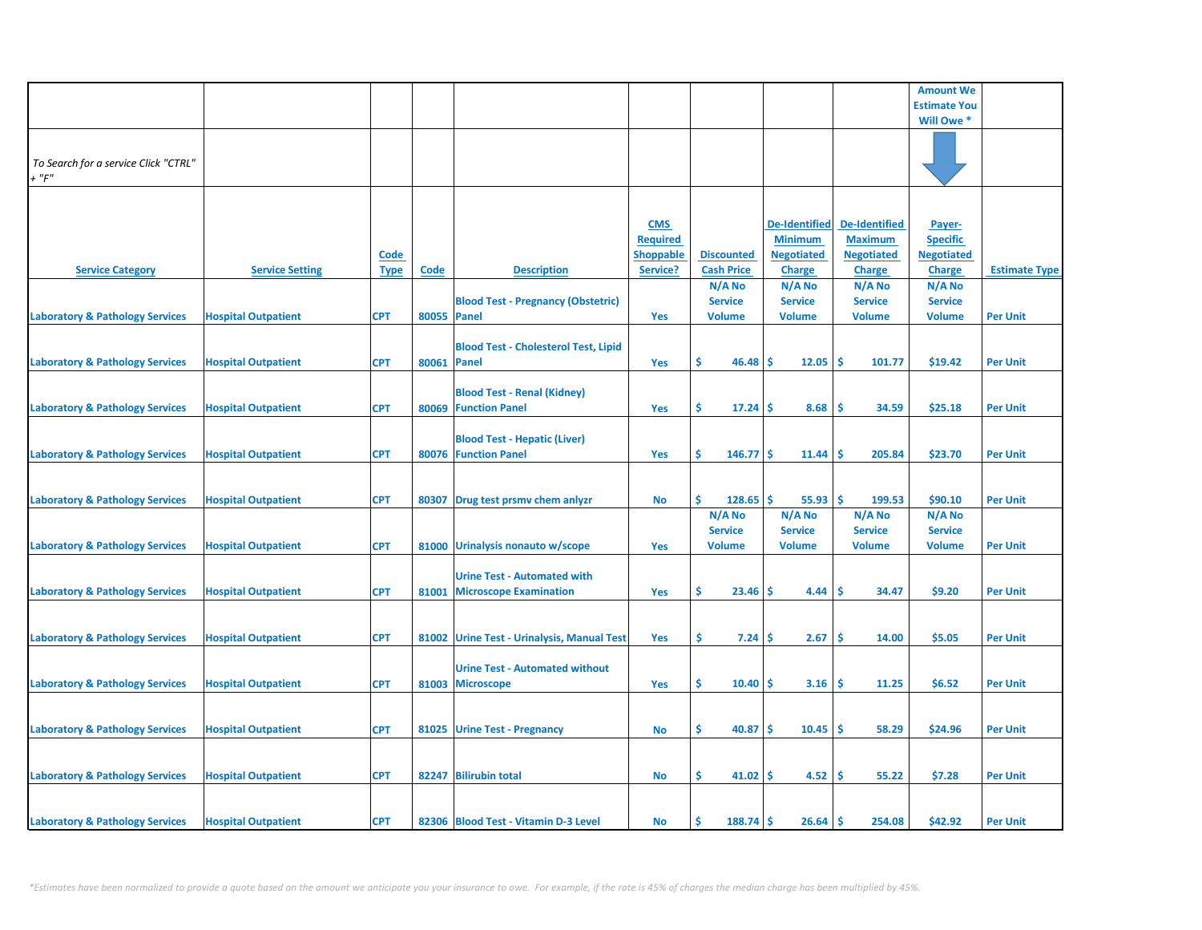|                                                     |                            |                            |             |                                                                     |                                                               |                                           |                                                                              |                                                                              | <b>Amount We</b>                                                |                      |
|-----------------------------------------------------|----------------------------|----------------------------|-------------|---------------------------------------------------------------------|---------------------------------------------------------------|-------------------------------------------|------------------------------------------------------------------------------|------------------------------------------------------------------------------|-----------------------------------------------------------------|----------------------|
|                                                     |                            |                            |             |                                                                     |                                                               |                                           |                                                                              |                                                                              | <b>Estimate You</b>                                             |                      |
|                                                     |                            |                            |             |                                                                     |                                                               |                                           |                                                                              |                                                                              | Will Owe *                                                      |                      |
| To Search for a service Click "CTRL"<br>$+$ " $F$ " |                            |                            |             |                                                                     |                                                               |                                           |                                                                              |                                                                              |                                                                 |                      |
| <b>Service Category</b>                             | <b>Service Setting</b>     | <b>Code</b><br><b>Type</b> | Code        | <b>Description</b>                                                  | <b>CMS</b><br><b>Required</b><br><b>Shoppable</b><br>Service? | <b>Discounted</b><br><b>Cash Price</b>    | <b>De-Identified</b><br><b>Minimum</b><br><b>Negotiated</b><br><b>Charge</b> | <b>De-Identified</b><br><b>Maximum</b><br><b>Negotiated</b><br><b>Charge</b> | Payer-<br><b>Specific</b><br><b>Negotiated</b><br><b>Charge</b> | <b>Estimate Type</b> |
|                                                     |                            |                            |             |                                                                     |                                                               | N/A No                                    | N/A No                                                                       | N/A No                                                                       | N/A No                                                          |                      |
| <b>Laboratory &amp; Pathology Services</b>          | <b>Hospital Outpatient</b> | <b>CPT</b>                 | 80055 Panel | <b>Blood Test - Pregnancy (Obstetric)</b>                           | Yes                                                           | <b>Service</b><br><b>Volume</b>           | <b>Service</b><br><b>Volume</b>                                              | <b>Service</b><br><b>Volume</b>                                              | <b>Service</b><br><b>Volume</b>                                 | <b>Per Unit</b>      |
| <b>Laboratory &amp; Pathology Services</b>          | <b>Hospital Outpatient</b> | <b>CPT</b>                 | 80061 Panel | <b>Blood Test - Cholesterol Test, Lipid</b>                         | Yes                                                           | \$<br>46.48                               | 12.05<br>Ŝ                                                                   | \$.<br>101.77                                                                | \$19.42                                                         | <b>Per Unit</b>      |
| <b>Laboratory &amp; Pathology Services</b>          | <b>Hospital Outpatient</b> | <b>CPT</b>                 |             | <b>Blood Test - Renal (Kidney)</b><br>80069 Function Panel          | Yes                                                           | \$.<br>17.24                              | 8.68<br>-S                                                                   | Ŝ.<br>34.59                                                                  | \$25.18                                                         | <b>Per Unit</b>      |
| <b>Laboratory &amp; Pathology Services</b>          | <b>Hospital Outpatient</b> | <b>CPT</b>                 |             | <b>Blood Test - Hepatic (Liver)</b><br>80076 Function Panel         | Yes                                                           | \$<br>146.77                              | <b>S</b><br>11.44                                                            | \$,<br>205.84                                                                | \$23.70                                                         | <b>Per Unit</b>      |
| <b>Laboratory &amp; Pathology Services</b>          | <b>Hospital Outpatient</b> | <b>CPT</b>                 | 80307       | Drug test prsmv chem anlyzr                                         | No                                                            | Ŝ<br>$128.65$ \$                          | 55.93                                                                        | ١\$<br>199.53                                                                | \$90.10                                                         | <b>Per Unit</b>      |
| <b>Laboratory &amp; Pathology Services</b>          | <b>Hospital Outpatient</b> | <b>CPT</b>                 |             | 81000 Urinalysis nonauto w/scope                                    | Yes                                                           | N/A No<br><b>Service</b><br><b>Volume</b> | N/A No<br><b>Service</b><br><b>Volume</b>                                    | N/A No<br><b>Service</b><br><b>Volume</b>                                    | N/A No<br><b>Service</b><br><b>Volume</b>                       | <b>Per Unit</b>      |
| <b>Laboratory &amp; Pathology Services</b>          | <b>Hospital Outpatient</b> | <b>CPT</b>                 | 81001       | <b>Urine Test - Automated with</b><br><b>Microscope Examination</b> | Yes                                                           | \$.<br>23.46                              | Ŝ.<br>4.44                                                                   | -Ś<br>34.47                                                                  | \$9.20                                                          | <b>Per Unit</b>      |
| <b>Laboratory &amp; Pathology Services</b>          | <b>Hospital Outpatient</b> | <b>CPT</b>                 |             | 81002 Urine Test - Urinalysis, Manual Test                          | <b>Yes</b>                                                    | \$.<br>7.24                               | 2.67<br><b>S</b>                                                             | -\$<br>14.00                                                                 | \$5.05                                                          | <b>Per Unit</b>      |
| <b>Laboratory &amp; Pathology Services</b>          | <b>Hospital Outpatient</b> | <b>CPT</b>                 |             | <b>Urine Test - Automated without</b><br>81003 Microscope           | Yes                                                           | \$<br>10.40                               | Ŝ.<br>3.16                                                                   | -\$<br>11.25                                                                 | \$6.52                                                          | <b>Per Unit</b>      |
|                                                     |                            |                            |             |                                                                     |                                                               |                                           |                                                                              |                                                                              |                                                                 |                      |
| <b>Laboratory &amp; Pathology Services</b>          | <b>Hospital Outpatient</b> | <b>CPT</b>                 |             | 81025 Urine Test - Pregnancy                                        | No                                                            | \$.<br>40.87                              | 10.45<br>-S                                                                  | -\$<br>58.29                                                                 | \$24.96                                                         | <b>Per Unit</b>      |
| <b>Laboratory &amp; Pathology Services</b>          | <b>Hospital Outpatient</b> | <b>CPT</b>                 |             | 82247 Bilirubin total                                               | No                                                            | \$<br>41.02                               | 4.52<br>-Ś                                                                   | -\$<br>55.22                                                                 | \$7.28                                                          | <b>Per Unit</b>      |
| <b>Laboratory &amp; Pathology Services</b>          | <b>Hospital Outpatient</b> | <b>CPT</b>                 |             | 82306 Blood Test - Vitamin D-3 Level                                | No                                                            | Ś<br>$188.74$ \$                          | $26.64$ \$                                                                   | 254.08                                                                       | \$42.92                                                         | <b>Per Unit</b>      |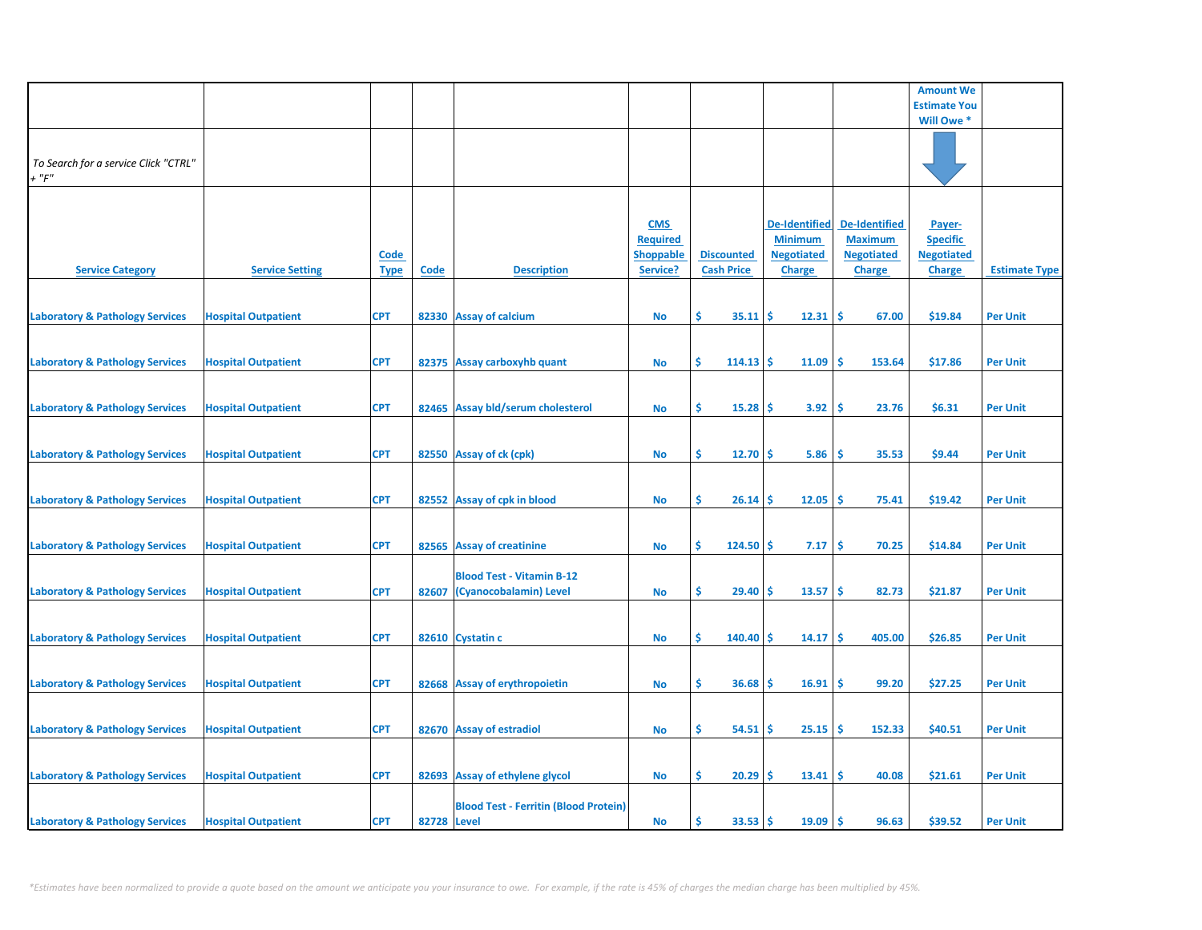|                                                     |                            |                            |             |                                                            |                                                               |                                        |                                                                              |                                                                              | <b>Amount We</b>                                                |                      |
|-----------------------------------------------------|----------------------------|----------------------------|-------------|------------------------------------------------------------|---------------------------------------------------------------|----------------------------------------|------------------------------------------------------------------------------|------------------------------------------------------------------------------|-----------------------------------------------------------------|----------------------|
|                                                     |                            |                            |             |                                                            |                                                               |                                        |                                                                              |                                                                              | <b>Estimate You</b>                                             |                      |
|                                                     |                            |                            |             |                                                            |                                                               |                                        |                                                                              |                                                                              | Will Owe *                                                      |                      |
| To Search for a service Click "CTRL"<br>$+$ " $F$ " |                            |                            |             |                                                            |                                                               |                                        |                                                                              |                                                                              |                                                                 |                      |
| <b>Service Category</b>                             | <b>Service Setting</b>     | <b>Code</b><br><b>Type</b> | Code        | <b>Description</b>                                         | <b>CMS</b><br><b>Required</b><br><b>Shoppable</b><br>Service? | <b>Discounted</b><br><b>Cash Price</b> | <b>De-Identified</b><br><b>Minimum</b><br><b>Negotiated</b><br><b>Charge</b> | <b>De-Identified</b><br><b>Maximum</b><br><b>Negotiated</b><br><b>Charge</b> | Payer-<br><b>Specific</b><br><b>Negotiated</b><br><b>Charge</b> | <b>Estimate Type</b> |
| <b>Laboratory &amp; Pathology Services</b>          | <b>Hospital Outpatient</b> | <b>CPT</b>                 |             | 82330 Assay of calcium                                     | No                                                            | \$<br>35.11                            | 12.31<br>-Ś                                                                  | -\$<br>67.00                                                                 | \$19.84                                                         | <b>Per Unit</b>      |
| <b>Laboratory &amp; Pathology Services</b>          | <b>Hospital Outpatient</b> | <b>CPT</b>                 |             | 82375 Assay carboxyhb quant                                | No                                                            | \$<br>$114.13$ \$                      | 11.09                                                                        | \$.<br>153.64                                                                | \$17.86                                                         | <b>Per Unit</b>      |
| <b>Laboratory &amp; Pathology Services</b>          | <b>Hospital Outpatient</b> | <b>CPT</b>                 |             | 82465 Assay bld/serum cholesterol                          | No                                                            | \$.<br>15.28                           | 3.92<br><b>S</b>                                                             | -\$<br>23.76                                                                 | \$6.31                                                          | <b>Per Unit</b>      |
| <b>Laboratory &amp; Pathology Services</b>          | <b>Hospital Outpatient</b> | <b>CPT</b>                 |             | 82550 Assay of ck (cpk)                                    | <b>No</b>                                                     | \$.<br>12.70                           | <b>S</b><br>5.86                                                             | \$,<br>35.53                                                                 | \$9.44                                                          | <b>Per Unit</b>      |
| <b>Laboratory &amp; Pathology Services</b>          | <b>Hospital Outpatient</b> | <b>CPT</b>                 |             | 82552 Assay of cpk in blood                                | No                                                            | \$.<br>$26.14$ \$                      | 12.05                                                                        | ١\$<br>75.41                                                                 | \$19.42                                                         | <b>Per Unit</b>      |
| <b>Laboratory &amp; Pathology Services</b>          | <b>Hospital Outpatient</b> | <b>CPT</b>                 |             | 82565 Assay of creatinine                                  | <b>No</b>                                                     | \$<br>$124.50$ \$                      | 7.17                                                                         | \$<br>70.25                                                                  | \$14.84                                                         | <b>Per Unit</b>      |
| <b>Laboratory &amp; Pathology Services</b>          | <b>Hospital Outpatient</b> | <b>CPT</b>                 | 82607       | <b>Blood Test - Vitamin B-12</b><br>(Cyanocobalamin) Level | No                                                            | \$.<br>29.40                           | 13.57<br>-S                                                                  | -\$<br>82.73                                                                 | \$21.87                                                         | <b>Per Unit</b>      |
| <b>Laboratory &amp; Pathology Services</b>          | <b>Hospital Outpatient</b> | <b>CPT</b>                 |             | 82610 Cystatin c                                           | No                                                            | Ŝ.<br>140.40                           | Ŝ<br>14.17                                                                   | -\$<br>405.00                                                                | \$26.85                                                         | <b>Per Unit</b>      |
| <b>Laboratory &amp; Pathology Services</b>          | <b>Hospital Outpatient</b> | <b>CPT</b>                 |             | 82668 Assay of erythropoietin                              | <b>No</b>                                                     | \$<br>36.68                            | 16.91<br><b>S</b>                                                            | -\$<br>99.20                                                                 | \$27.25                                                         | <b>Per Unit</b>      |
|                                                     |                            |                            |             |                                                            |                                                               |                                        |                                                                              |                                                                              |                                                                 |                      |
| <b>Laboratory &amp; Pathology Services</b>          | <b>Hospital Outpatient</b> | <b>CPT</b>                 |             | 82670 Assay of estradiol                                   | No                                                            | \$.<br>54.51                           | 25.15<br>S                                                                   | -\$<br>152.33                                                                | \$40.51                                                         | <b>Per Unit</b>      |
| <b>Laboratory &amp; Pathology Services</b>          | <b>Hospital Outpatient</b> | <b>CPT</b>                 |             | 82693 Assay of ethylene glycol                             | No                                                            | \$<br>20.29                            | 13.41<br>-Ś                                                                  | -\$<br>40.08                                                                 | \$21.61                                                         | <b>Per Unit</b>      |
| <b>Laboratory &amp; Pathology Services</b>          | <b>Hospital Outpatient</b> | <b>CPT</b>                 | 82728 Level | <b>Blood Test - Ferritin (Blood Protein)</b>               | No                                                            | \$<br>33.53                            | 19.09<br>-Ś                                                                  | ١ś<br>96.63                                                                  | \$39.52                                                         | <b>Per Unit</b>      |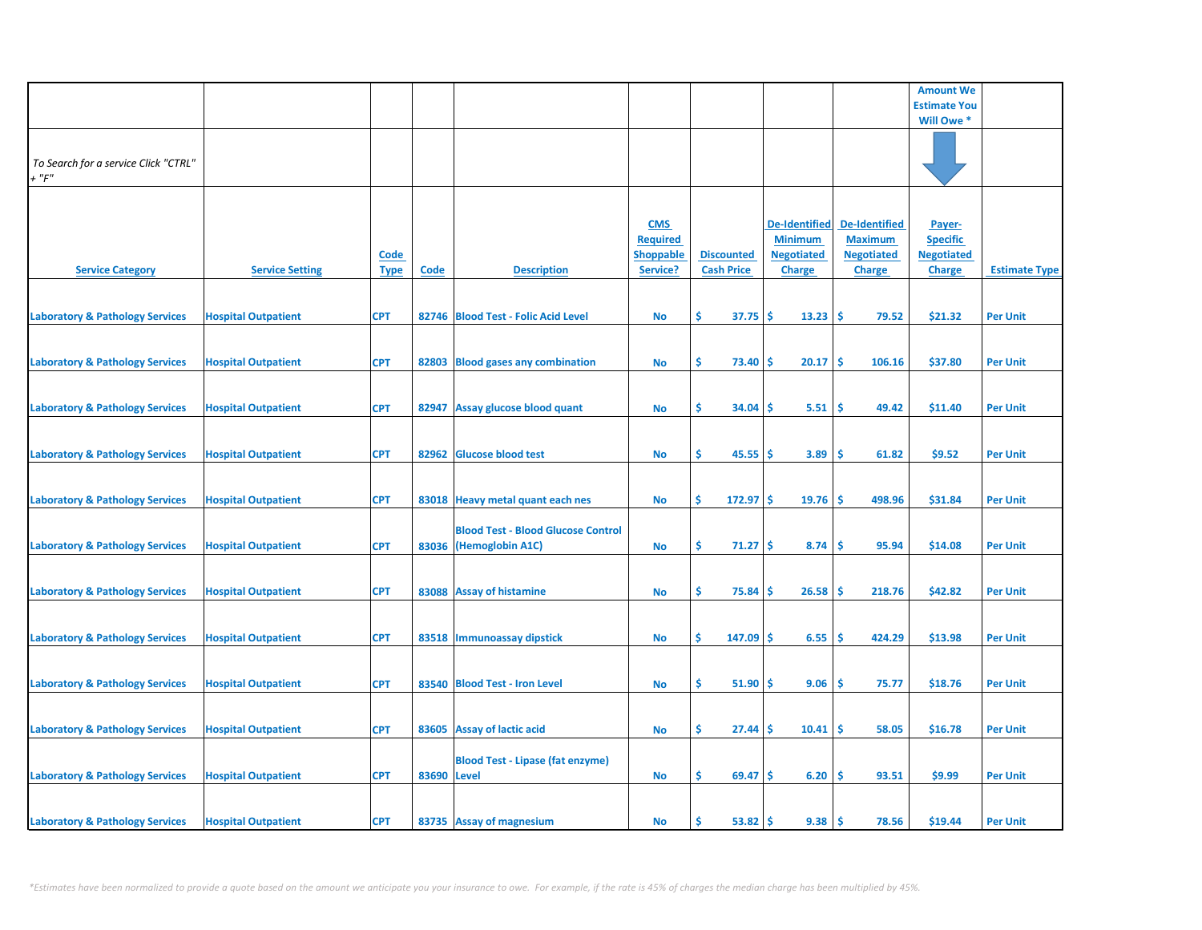|                                                     |                            |                            |             |                                                                     |                                                               |                                        |                                                                              |                                                                              | <b>Amount We</b>                                                |                      |
|-----------------------------------------------------|----------------------------|----------------------------|-------------|---------------------------------------------------------------------|---------------------------------------------------------------|----------------------------------------|------------------------------------------------------------------------------|------------------------------------------------------------------------------|-----------------------------------------------------------------|----------------------|
|                                                     |                            |                            |             |                                                                     |                                                               |                                        |                                                                              |                                                                              | <b>Estimate You</b>                                             |                      |
|                                                     |                            |                            |             |                                                                     |                                                               |                                        |                                                                              |                                                                              | Will Owe *                                                      |                      |
| To Search for a service Click "CTRL"<br>$+$ " $F$ " |                            |                            |             |                                                                     |                                                               |                                        |                                                                              |                                                                              |                                                                 |                      |
| <b>Service Category</b>                             | <b>Service Setting</b>     | <b>Code</b><br><b>Type</b> | Code        | <b>Description</b>                                                  | <b>CMS</b><br><b>Required</b><br><b>Shoppable</b><br>Service? | <b>Discounted</b><br><b>Cash Price</b> | <b>De-Identified</b><br><b>Minimum</b><br><b>Negotiated</b><br><b>Charge</b> | <b>De-Identified</b><br><b>Maximum</b><br><b>Negotiated</b><br><b>Charge</b> | Payer-<br><b>Specific</b><br><b>Negotiated</b><br><b>Charge</b> | <b>Estimate Type</b> |
| <b>Laboratory &amp; Pathology Services</b>          | <b>Hospital Outpatient</b> | <b>CPT</b>                 |             | 82746 Blood Test - Folic Acid Level                                 | <b>No</b>                                                     | \$<br>37.75                            | \$<br>13.23                                                                  | -\$<br>79.52                                                                 | \$21.32                                                         | <b>Per Unit</b>      |
| <b>Laboratory &amp; Pathology Services</b>          | <b>Hospital Outpatient</b> | <b>CPT</b>                 | 82803       | <b>Blood gases any combination</b>                                  | No                                                            | \$<br>73.40                            | \$.<br>20.17                                                                 | Ŝ<br>106.16                                                                  | \$37.80                                                         | <b>Per Unit</b>      |
| <b>Laboratory &amp; Pathology Services</b>          | <b>Hospital Outpatient</b> | <b>CPT</b>                 | 82947       | Assay glucose blood quant                                           | <b>No</b>                                                     | Ŝ.<br>34.04                            | 5.51<br>S                                                                    | \$.<br>49.42                                                                 | \$11.40                                                         | <b>Per Unit</b>      |
| <b>Laboratory &amp; Pathology Services</b>          | <b>Hospital Outpatient</b> | <b>CPT</b>                 |             | 82962 Glucose blood test                                            | <b>No</b>                                                     | \$.<br>45.55                           | \$<br>3.89                                                                   | \$.<br>61.82                                                                 | \$9.52                                                          | <b>Per Unit</b>      |
| <b>Laboratory &amp; Pathology Services</b>          | <b>Hospital Outpatient</b> | <b>CPT</b>                 |             | 83018 Heavy metal quant each nes                                    | <b>No</b>                                                     | \$<br>$172.97$ \$                      | 19.76                                                                        | -\$<br>498.96                                                                | \$31.84                                                         | <b>Per Unit</b>      |
| <b>Laboratory &amp; Pathology Services</b>          | <b>Hospital Outpatient</b> | <b>CPT</b>                 |             | <b>Blood Test - Blood Glucose Control</b><br>83036 (Hemoglobin A1C) | <b>No</b>                                                     | \$<br>71.27                            | 8.74<br>\$                                                                   | -\$<br>95.94                                                                 | \$14.08                                                         | <b>Per Unit</b>      |
| <b>Laboratory &amp; Pathology Services</b>          | <b>Hospital Outpatient</b> | <b>CPT</b>                 |             | 83088 Assay of histamine                                            | <b>No</b>                                                     | Ŝ.<br>75.84                            | 26.58<br>\$.                                                                 | \$.<br>218.76                                                                | \$42.82                                                         | <b>Per Unit</b>      |
| <b>Laboratory &amp; Pathology Services</b>          | <b>Hospital Outpatient</b> | <b>CPT</b>                 |             | 83518 Immunoassay dipstick                                          | <b>No</b>                                                     | Ŝ.<br>147.09                           | \$.<br>6.55                                                                  | \$.<br>424.29                                                                | \$13.98                                                         | <b>Per Unit</b>      |
| <b>Laboratory &amp; Pathology Services</b>          | <b>Hospital Outpatient</b> | <b>CPT</b>                 |             | 83540 Blood Test - Iron Level                                       | <b>No</b>                                                     | \$<br>51.90                            | \$<br>9.06                                                                   | \$.<br>75.77                                                                 | \$18.76                                                         | <b>Per Unit</b>      |
| <b>Laboratory &amp; Pathology Services</b>          | <b>Hospital Outpatient</b> | <b>CPT</b>                 |             | 83605 Assay of lactic acid                                          | <b>No</b>                                                     | \$<br>27.44                            | 10.41<br>S                                                                   | \$.<br>58.05                                                                 | \$16.78                                                         | <b>Per Unit</b>      |
| <b>Laboratory &amp; Pathology Services</b>          | <b>Hospital Outpatient</b> | <b>CPT</b>                 | 83690 Level | <b>Blood Test - Lipase (fat enzyme)</b>                             | <b>No</b>                                                     | \$.<br>69.47                           | 6.20<br>\$                                                                   | \$<br>93.51                                                                  | \$9.99                                                          | <b>Per Unit</b>      |
| <b>Laboratory &amp; Pathology Services</b>          | <b>Hospital Outpatient</b> | <b>CPT</b>                 |             | 83735 Assay of magnesium                                            | <b>No</b>                                                     | 53.82<br>Ś                             | 9.38<br>Ś                                                                    | Ŝ.<br>78.56                                                                  | \$19.44                                                         | <b>Per Unit</b>      |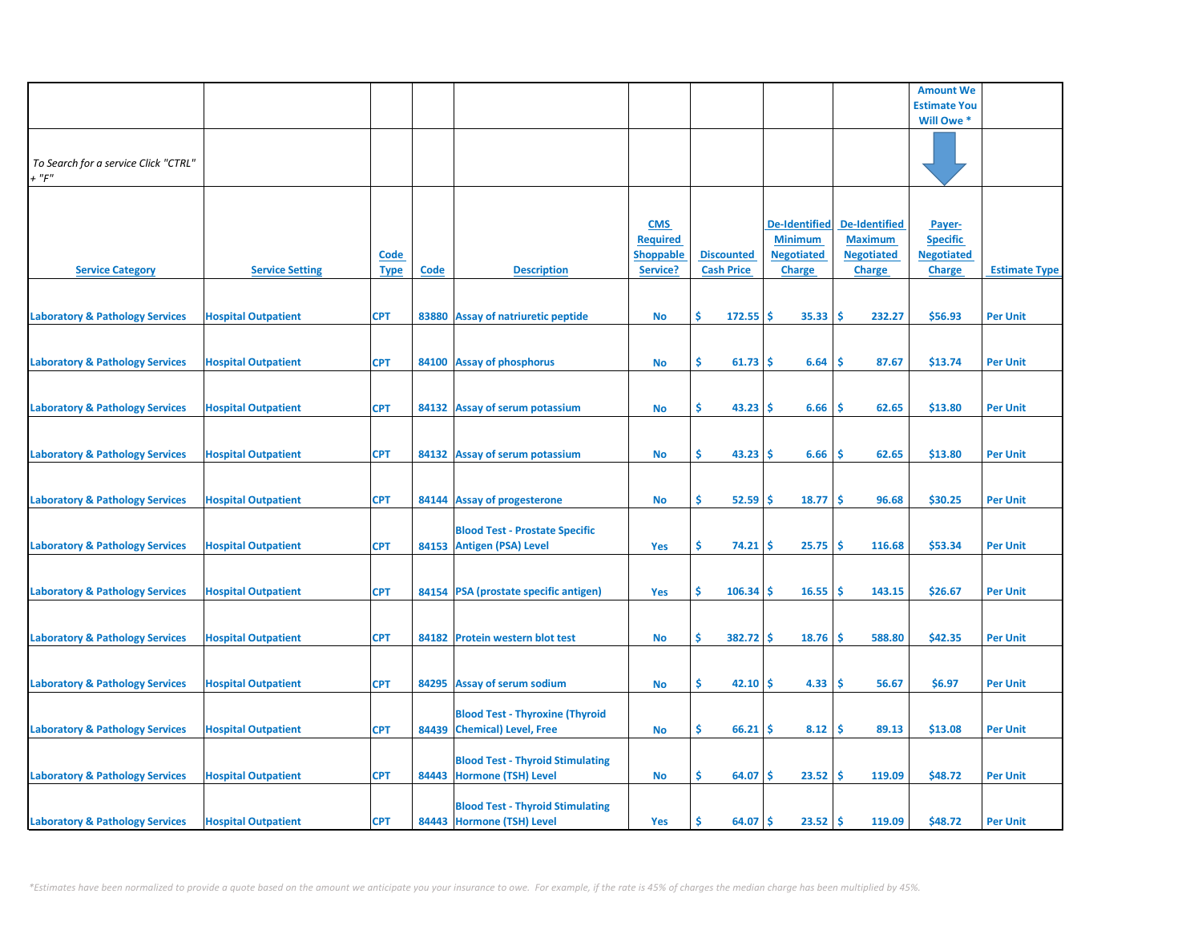|                                                     |                            |                            |      |                                                                       |                                                               |                                        |                                                                              |                                                                              | <b>Amount We</b>                                                |                      |
|-----------------------------------------------------|----------------------------|----------------------------|------|-----------------------------------------------------------------------|---------------------------------------------------------------|----------------------------------------|------------------------------------------------------------------------------|------------------------------------------------------------------------------|-----------------------------------------------------------------|----------------------|
|                                                     |                            |                            |      |                                                                       |                                                               |                                        |                                                                              |                                                                              | <b>Estimate You</b>                                             |                      |
|                                                     |                            |                            |      |                                                                       |                                                               |                                        |                                                                              |                                                                              | Will Owe *                                                      |                      |
| To Search for a service Click "CTRL"<br>$+$ " $F$ " |                            |                            |      |                                                                       |                                                               |                                        |                                                                              |                                                                              |                                                                 |                      |
| <b>Service Category</b>                             | <b>Service Setting</b>     | <b>Code</b><br><b>Type</b> | Code | <b>Description</b>                                                    | <b>CMS</b><br><b>Required</b><br><b>Shoppable</b><br>Service? | <b>Discounted</b><br><b>Cash Price</b> | <b>De-Identified</b><br><b>Minimum</b><br><b>Negotiated</b><br><b>Charge</b> | <b>De-Identified</b><br><b>Maximum</b><br><b>Negotiated</b><br><b>Charge</b> | Payer-<br><b>Specific</b><br><b>Negotiated</b><br><b>Charge</b> | <b>Estimate Type</b> |
| <b>Laboratory &amp; Pathology Services</b>          | <b>Hospital Outpatient</b> | <b>CPT</b>                 |      | 83880 Assay of natriuretic peptide                                    | No                                                            | \$<br>$172.55$ \$                      | 35.33                                                                        | -\$<br>232.27                                                                | \$56.93                                                         | <b>Per Unit</b>      |
| <b>Laboratory &amp; Pathology Services</b>          | <b>Hospital Outpatient</b> | <b>CPT</b>                 |      | 84100 Assay of phosphorus                                             | No                                                            | \$<br>61.73                            | <b>S</b><br>6.64                                                             | -\$<br>87.67                                                                 | \$13.74                                                         | <b>Per Unit</b>      |
| <b>Laboratory &amp; Pathology Services</b>          | <b>Hospital Outpatient</b> | <b>CPT</b>                 |      | 84132 Assay of serum potassium                                        | <b>No</b>                                                     | \$.<br>43.23                           | 6.66<br>-S                                                                   | Ŝ.<br>62.65                                                                  | \$13.80                                                         | <b>Per Unit</b>      |
| <b>Laboratory &amp; Pathology Services</b>          | <b>Hospital Outpatient</b> | <b>CPT</b>                 |      | 84132 Assay of serum potassium                                        | <b>No</b>                                                     | \$<br>43.23                            | <b>S</b><br>6.66                                                             | \$,<br>62.65                                                                 | \$13.80                                                         | <b>Per Unit</b>      |
| <b>Laboratory &amp; Pathology Services</b>          | <b>Hospital Outpatient</b> | <b>CPT</b>                 |      | 84144 Assay of progesterone                                           | No                                                            | \$<br>$52.59$ \$                       | 18.77                                                                        | ١\$<br>96.68                                                                 | \$30.25                                                         | <b>Per Unit</b>      |
| <b>Laboratory &amp; Pathology Services</b>          | <b>Hospital Outpatient</b> | <b>CPT</b>                 |      | <b>Blood Test - Prostate Specific</b><br>84153 Antigen (PSA) Level    | Yes                                                           | \$<br>74.21                            | 25.75<br>-\$                                                                 | -\$<br>116.68                                                                | \$53.34                                                         | <b>Per Unit</b>      |
| <b>Laboratory &amp; Pathology Services</b>          | <b>Hospital Outpatient</b> | <b>CPT</b>                 |      | 84154 PSA (prostate specific antigen)                                 | Yes                                                           | Ŝ.<br>$106.34$ \$                      | 16.55                                                                        | -Ś<br>143.15                                                                 | \$26.67                                                         | <b>Per Unit</b>      |
| <b>Laboratory &amp; Pathology Services</b>          | <b>Hospital Outpatient</b> | <b>CPT</b>                 |      | 84182 Protein western blot test                                       | No                                                            | Ŝ.<br>382.72                           | 18.76<br>-S                                                                  | \$,<br>588.80                                                                | \$42.35                                                         | <b>Per Unit</b>      |
| <b>Laboratory &amp; Pathology Services</b>          | <b>Hospital Outpatient</b> | <b>CPT</b>                 |      | 84295 Assay of serum sodium                                           | <b>No</b>                                                     | \$<br>42.10                            | 4.33<br>-Ś                                                                   | -\$<br>56.67                                                                 | \$6.97                                                          | <b>Per Unit</b>      |
|                                                     |                            |                            |      | <b>Blood Test - Thyroxine (Thyroid</b><br>84439 Chemical) Level, Free |                                                               | \$.                                    |                                                                              | 89.13                                                                        | \$13.08                                                         |                      |
| <b>Laboratory &amp; Pathology Services</b>          | <b>Hospital Outpatient</b> | <b>CPT</b>                 |      | <b>Blood Test - Thyroid Stimulating</b>                               | No                                                            | 66.21                                  | 8.12<br>S                                                                    | -\$                                                                          |                                                                 | <b>Per Unit</b>      |
| <b>Laboratory &amp; Pathology Services</b>          | <b>Hospital Outpatient</b> | <b>CPT</b>                 |      | 84443 Hormone (TSH) Level<br><b>Blood Test - Thyroid Stimulating</b>  | No                                                            | \$<br>64.07                            | 23.52<br><b>S</b>                                                            | -\$<br>119.09                                                                | \$48.72                                                         | <b>Per Unit</b>      |
| <b>Laboratory &amp; Pathology Services</b>          | <b>Hospital Outpatient</b> | <b>CPT</b>                 |      | 84443 Hormone (TSH) Level                                             | Yes                                                           | 64.07<br>Ś                             | 23.52<br><b>S</b>                                                            | <b>S</b><br>119.09                                                           | \$48.72                                                         | <b>Per Unit</b>      |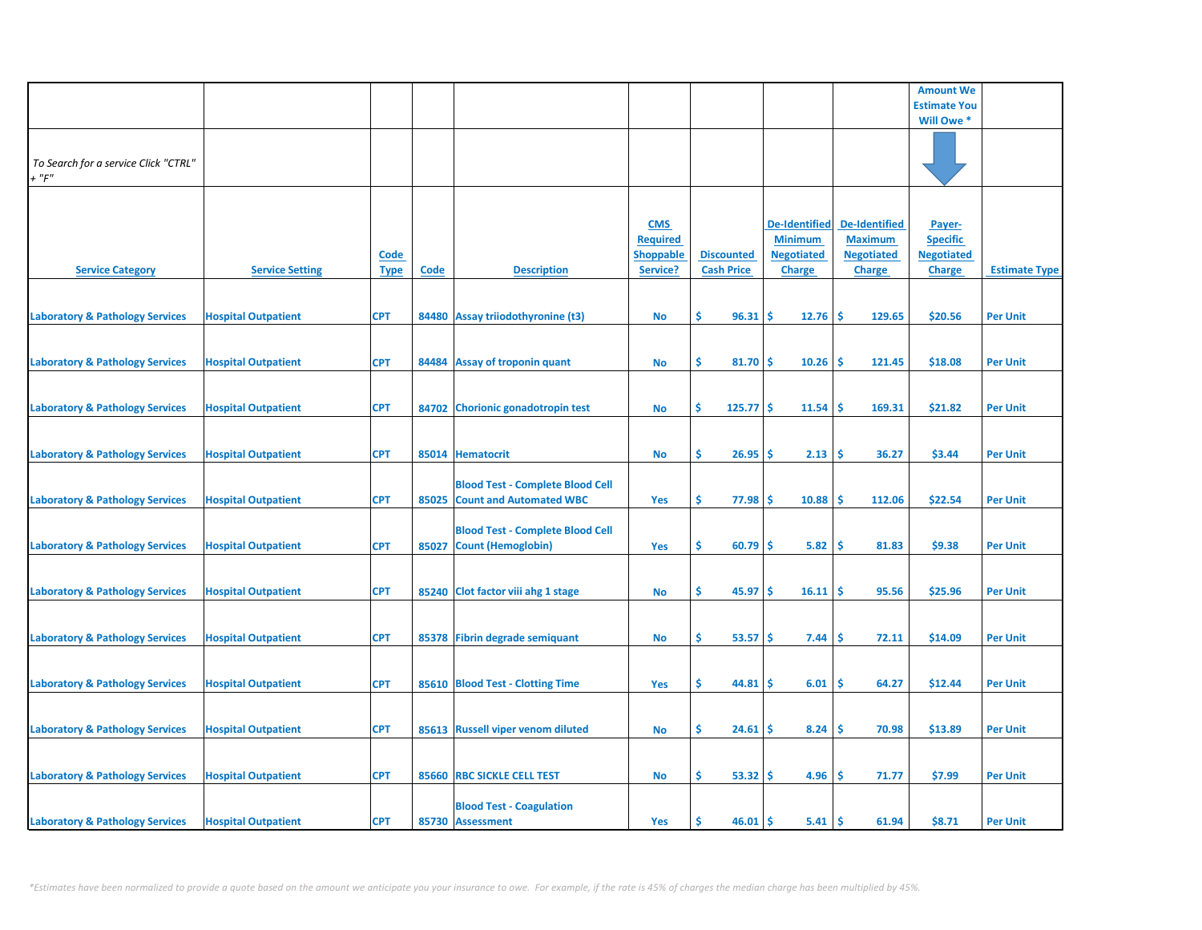|                                            |                            |             |       |                                         |                  |                   |                      |                      | <b>Amount We</b>    |                      |
|--------------------------------------------|----------------------------|-------------|-------|-----------------------------------------|------------------|-------------------|----------------------|----------------------|---------------------|----------------------|
|                                            |                            |             |       |                                         |                  |                   |                      |                      | <b>Estimate You</b> |                      |
|                                            |                            |             |       |                                         |                  |                   |                      |                      |                     |                      |
|                                            |                            |             |       |                                         |                  |                   |                      |                      | Will Owe *          |                      |
|                                            |                            |             |       |                                         |                  |                   |                      |                      |                     |                      |
|                                            |                            |             |       |                                         |                  |                   |                      |                      |                     |                      |
| To Search for a service Click "CTRL"       |                            |             |       |                                         |                  |                   |                      |                      |                     |                      |
| $+$ " $F$ "                                |                            |             |       |                                         |                  |                   |                      |                      |                     |                      |
|                                            |                            |             |       |                                         |                  |                   |                      |                      |                     |                      |
|                                            |                            |             |       |                                         |                  |                   |                      |                      |                     |                      |
|                                            |                            |             |       |                                         | <b>CMS</b>       |                   | <b>De-Identified</b> | <b>De-Identified</b> | Payer-              |                      |
|                                            |                            |             |       |                                         | <b>Required</b>  |                   | <b>Minimum</b>       | <b>Maximum</b>       | <b>Specific</b>     |                      |
|                                            |                            | <u>Code</u> |       |                                         | <b>Shoppable</b> | <b>Discounted</b> | <b>Negotiated</b>    | <b>Negotiated</b>    | <b>Negotiated</b>   |                      |
| <b>Service Category</b>                    | <b>Service Setting</b>     | <b>Type</b> | Code  | <b>Description</b>                      | Service?         | <b>Cash Price</b> | <b>Charge</b>        | <b>Charge</b>        | <b>Charge</b>       | <b>Estimate Type</b> |
|                                            |                            |             |       |                                         |                  |                   |                      |                      |                     |                      |
|                                            |                            |             |       |                                         |                  |                   |                      |                      |                     |                      |
|                                            |                            |             |       |                                         |                  |                   |                      |                      |                     |                      |
| <b>Laboratory &amp; Pathology Services</b> | <b>Hospital Outpatient</b> | <b>CPT</b>  |       | 84480 Assay triiodothyronine (t3)       | <b>No</b>        | Ŝ.<br>96.31       | \$.<br>12.76         | <b>S</b><br>129.65   | \$20.56             | <b>Per Unit</b>      |
|                                            |                            |             |       |                                         |                  |                   |                      |                      |                     |                      |
|                                            |                            |             |       |                                         |                  |                   |                      |                      |                     |                      |
| <b>Laboratory &amp; Pathology Services</b> | <b>Hospital Outpatient</b> | <b>CPT</b>  | 84484 | <b>Assay of troponin quant</b>          | <b>No</b>        | \$<br>81.70       | Ś<br>10.26           | Ś<br>121.45          | \$18.08             | <b>Per Unit</b>      |
|                                            |                            |             |       |                                         |                  |                   |                      |                      |                     |                      |
|                                            |                            |             |       |                                         |                  |                   |                      |                      |                     |                      |
| <b>Laboratory &amp; Pathology Services</b> | <b>Hospital Outpatient</b> | <b>CPT</b>  |       | 84702 Chorionic gonadotropin test       | <b>No</b>        | Ŝ.<br>125.77      | \$.<br>11.54         | 169.31<br><b>S</b>   | \$21.82             | <b>Per Unit</b>      |
|                                            |                            |             |       |                                         |                  |                   |                      |                      |                     |                      |
|                                            |                            |             |       |                                         |                  |                   |                      |                      |                     |                      |
|                                            |                            |             |       |                                         |                  |                   |                      |                      |                     |                      |
| <b>Laboratory &amp; Pathology Services</b> | <b>Hospital Outpatient</b> | <b>CPT</b>  |       | 85014 Hematocrit                        | <b>No</b>        | \$<br>26.95       | 2.13<br>\$.          | \$.<br>36.27         | \$3.44              | <b>Per Unit</b>      |
|                                            |                            |             |       |                                         |                  |                   |                      |                      |                     |                      |
|                                            |                            |             |       | <b>Blood Test - Complete Blood Cell</b> |                  |                   |                      |                      |                     |                      |
| <b>Laboratory &amp; Pathology Services</b> | <b>Hospital Outpatient</b> | <b>CPT</b>  |       | 85025 Count and Automated WBC           | Yes              | \$<br>77.98       | 10.88<br>-S          | <b>S</b><br>112.06   | \$22.54             | <b>Per Unit</b>      |
|                                            |                            |             |       |                                         |                  |                   |                      |                      |                     |                      |
|                                            |                            |             |       | <b>Blood Test - Complete Blood Cell</b> |                  |                   |                      |                      |                     |                      |
| <b>Laboratory &amp; Pathology Services</b> | <b>Hospital Outpatient</b> | <b>CPT</b>  | 85027 | <b>Count (Hemoglobin)</b>               | Yes              | Ŝ.<br>60.79       | 5.82<br>\$.          | <b>S</b><br>81.83    | \$9.38              | <b>Per Unit</b>      |
|                                            |                            |             |       |                                         |                  |                   |                      |                      |                     |                      |
|                                            |                            |             |       |                                         |                  |                   |                      |                      |                     |                      |
|                                            |                            |             |       |                                         |                  |                   |                      |                      |                     |                      |
| <b>Laboratory &amp; Pathology Services</b> | <b>Hospital Outpatient</b> | <b>CPT</b>  |       | 85240 Clot factor viii ahg 1 stage      | <b>No</b>        | Ŝ.<br>45.97       | \$.<br>16.11         | <b>S</b><br>95.56    | \$25.96             | <b>Per Unit</b>      |
|                                            |                            |             |       |                                         |                  |                   |                      |                      |                     |                      |
|                                            |                            |             |       |                                         |                  |                   |                      |                      |                     |                      |
| <b>Laboratory &amp; Pathology Services</b> | <b>Hospital Outpatient</b> | <b>CPT</b>  |       | 85378 Fibrin degrade semiquant          | <b>No</b>        | \$<br>53.57       | 7.44<br>\$.          | \$<br>72.11          | \$14.09             | <b>Per Unit</b>      |
|                                            |                            |             |       |                                         |                  |                   |                      |                      |                     |                      |
|                                            |                            |             |       |                                         |                  |                   |                      |                      |                     |                      |
| <b>Laboratory &amp; Pathology Services</b> | <b>Hospital Outpatient</b> | <b>CPT</b>  |       | 85610 Blood Test - Clotting Time        | Yes              | \$<br>44.81       | 6.01<br>\$.          | \$.<br>64.27         | \$12.44             | <b>Per Unit</b>      |
|                                            |                            |             |       |                                         |                  |                   |                      |                      |                     |                      |
|                                            |                            |             |       |                                         |                  |                   |                      |                      |                     |                      |
|                                            |                            |             |       |                                         |                  |                   |                      |                      |                     |                      |
| <b>Laboratory &amp; Pathology Services</b> | <b>Hospital Outpatient</b> | <b>CPT</b>  |       | 85613 Russell viper venom diluted       | <b>No</b>        | \$<br>24.61       | \$<br>8.24           | \$.<br>70.98         | \$13.89             | <b>Per Unit</b>      |
|                                            |                            |             |       |                                         |                  |                   |                      |                      |                     |                      |
|                                            |                            |             |       |                                         |                  |                   |                      |                      |                     |                      |
| <b>Laboratory &amp; Pathology Services</b> | <b>Hospital Outpatient</b> | <b>CPT</b>  |       | 85660 RBC SICKLE CELL TEST              | <b>No</b>        | Ŝ.<br>53.32       | \$.<br>4.96          | <b>S</b><br>71.77    | \$7.99              | <b>Per Unit</b>      |
|                                            |                            |             |       |                                         |                  |                   |                      |                      |                     |                      |
|                                            |                            |             |       | <b>Blood Test - Coagulation</b>         |                  |                   |                      |                      |                     |                      |
| <b>Laboratory &amp; Pathology Services</b> | <b>Hospital Outpatient</b> | <b>CPT</b>  |       | 85730 Assessment                        | Yes              | $46.01$ \$<br>Ŝ.  | 5.41                 | ١\$<br>61.94         | \$8.71              | <b>Per Unit</b>      |
|                                            |                            |             |       |                                         |                  |                   |                      |                      |                     |                      |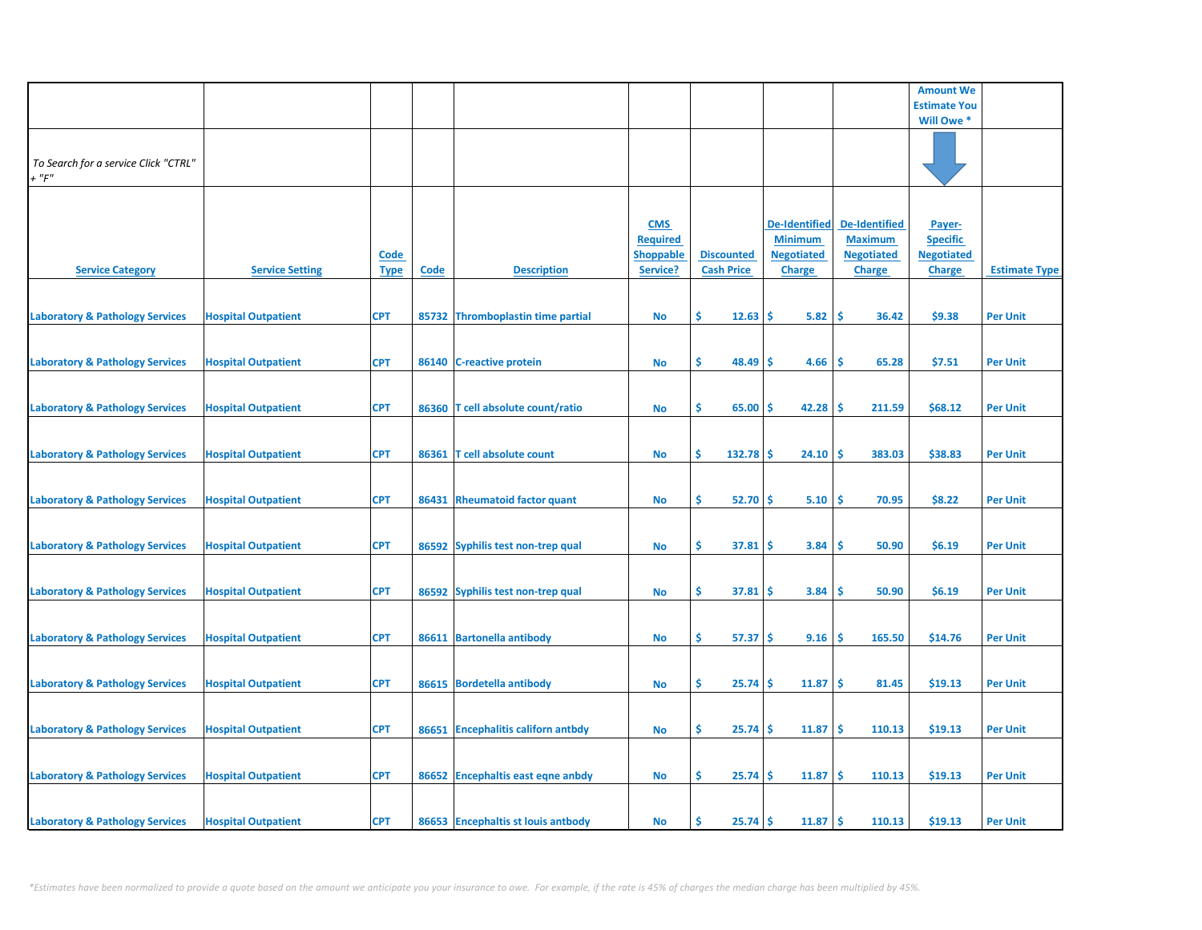|                                                     |                            |                            |             |                                    |                                                               |                                        |                                                                              |                                                                              | <b>Amount We</b>                                                |                      |
|-----------------------------------------------------|----------------------------|----------------------------|-------------|------------------------------------|---------------------------------------------------------------|----------------------------------------|------------------------------------------------------------------------------|------------------------------------------------------------------------------|-----------------------------------------------------------------|----------------------|
|                                                     |                            |                            |             |                                    |                                                               |                                        |                                                                              |                                                                              | <b>Estimate You</b>                                             |                      |
|                                                     |                            |                            |             |                                    |                                                               |                                        |                                                                              |                                                                              | Will Owe *                                                      |                      |
| To Search for a service Click "CTRL"<br>$+$ " $F$ " |                            |                            |             |                                    |                                                               |                                        |                                                                              |                                                                              |                                                                 |                      |
| <b>Service Category</b>                             | <b>Service Setting</b>     | <u>Code</u><br><b>Type</b> | <b>Code</b> | <b>Description</b>                 | <b>CMS</b><br><b>Required</b><br><b>Shoppable</b><br>Service? | <b>Discounted</b><br><b>Cash Price</b> | <b>De-Identified</b><br><b>Minimum</b><br><b>Negotiated</b><br><b>Charge</b> | <b>De-Identified</b><br><b>Maximum</b><br><b>Negotiated</b><br><b>Charge</b> | Payer-<br><b>Specific</b><br><b>Negotiated</b><br><b>Charge</b> | <b>Estimate Type</b> |
| <b>Laboratory &amp; Pathology Services</b>          | <b>Hospital Outpatient</b> | <b>CPT</b>                 |             | 85732 Thromboplastin time partial  | No                                                            | Ŝ.<br>12.63                            | \$.<br>5.82                                                                  | \$.<br>36.42                                                                 | \$9.38                                                          | <b>Per Unit</b>      |
| <b>Laboratory &amp; Pathology Services</b>          | <b>Hospital Outpatient</b> | <b>CPT</b>                 | 86140       | <b>C-reactive protein</b>          | <b>No</b>                                                     | \$<br>48.49                            | \$<br>4.66                                                                   | \$<br>65.28                                                                  | \$7.51                                                          | <b>Per Unit</b>      |
| <b>Laboratory &amp; Pathology Services</b>          | <b>Hospital Outpatient</b> | <b>CPT</b>                 |             | 86360 T cell absolute count/ratio  | <b>No</b>                                                     | \$<br>65.00                            | 42.28<br>\$.                                                                 | 211.59<br><b>S</b>                                                           | \$68.12                                                         | <b>Per Unit</b>      |
| <b>Laboratory &amp; Pathology Services</b>          | <b>Hospital Outpatient</b> | <b>CPT</b>                 | 86361       | T cell absolute count              | No                                                            | \$<br>132.78                           | \$<br>24.10                                                                  | Ŝ<br>383.03                                                                  | \$38.83                                                         | <b>Per Unit</b>      |
| <b>Laboratory &amp; Pathology Services</b>          | <b>Hospital Outpatient</b> | <b>CPT</b>                 |             | 86431 Rheumatoid factor quant      | No                                                            | \$<br>52.70                            | -\$<br>5.10                                                                  | \$<br>70.95                                                                  | \$8.22                                                          | <b>Per Unit</b>      |
| <b>Laboratory &amp; Pathology Services</b>          | <b>Hospital Outpatient</b> | <b>CPT</b>                 |             | 86592 Syphilis test non-trep qual  | <b>No</b>                                                     | \$<br>37.81                            | \$<br>3.84                                                                   | \$<br>50.90                                                                  | \$6.19                                                          | <b>Per Unit</b>      |
| <b>Laboratory &amp; Pathology Services</b>          | <b>Hospital Outpatient</b> | <b>CPT</b>                 |             | 86592 Syphilis test non-trep qual  | No                                                            | Ŝ.<br>37.81                            | \$<br>3.84                                                                   | <b>S</b><br>50.90                                                            | \$6.19                                                          | <b>Per Unit</b>      |
| <b>Laboratory &amp; Pathology Services</b>          | <b>Hospital Outpatient</b> | <b>CPT</b>                 |             | 86611 Bartonella antibody          | <b>No</b>                                                     | \$<br>57.37                            | -\$<br>9.16                                                                  | \$<br>165.50                                                                 | \$14.76                                                         | <b>Per Unit</b>      |
| <b>Laboratory &amp; Pathology Services</b>          | <b>Hospital Outpatient</b> | <b>CPT</b>                 | 86615       | <b>Bordetella antibody</b>         | No                                                            | \$<br>25.74                            | \$<br>11.87                                                                  | \$<br>81.45                                                                  | \$19.13                                                         | <b>Per Unit</b>      |
| <b>Laboratory &amp; Pathology Services</b>          | <b>Hospital Outpatient</b> | <b>CPT</b>                 |             | 86651 Encephalitis californ antbdy | <b>No</b>                                                     | \$<br>25.74                            | 11.87<br>\$                                                                  | \$<br>110.13                                                                 | \$19.13                                                         | <b>Per Unit</b>      |
| <b>Laboratory &amp; Pathology Services</b>          | <b>Hospital Outpatient</b> | <b>CPT</b>                 |             | 86652 Encephaltis east eqne anbdy  | No                                                            | Ŝ.<br>25.74                            | \$<br>11.87                                                                  | \$.<br>110.13                                                                | \$19.13                                                         | <b>Per Unit</b>      |
| <b>Laboratory &amp; Pathology Services</b>          | <b>Hospital Outpatient</b> | <b>CPT</b>                 |             | 86653 Encephaltis st louis antbody | No                                                            | Ś<br>25.74                             | 11.87<br>\$                                                                  | -\$<br>110.13                                                                | \$19.13                                                         | <b>Per Unit</b>      |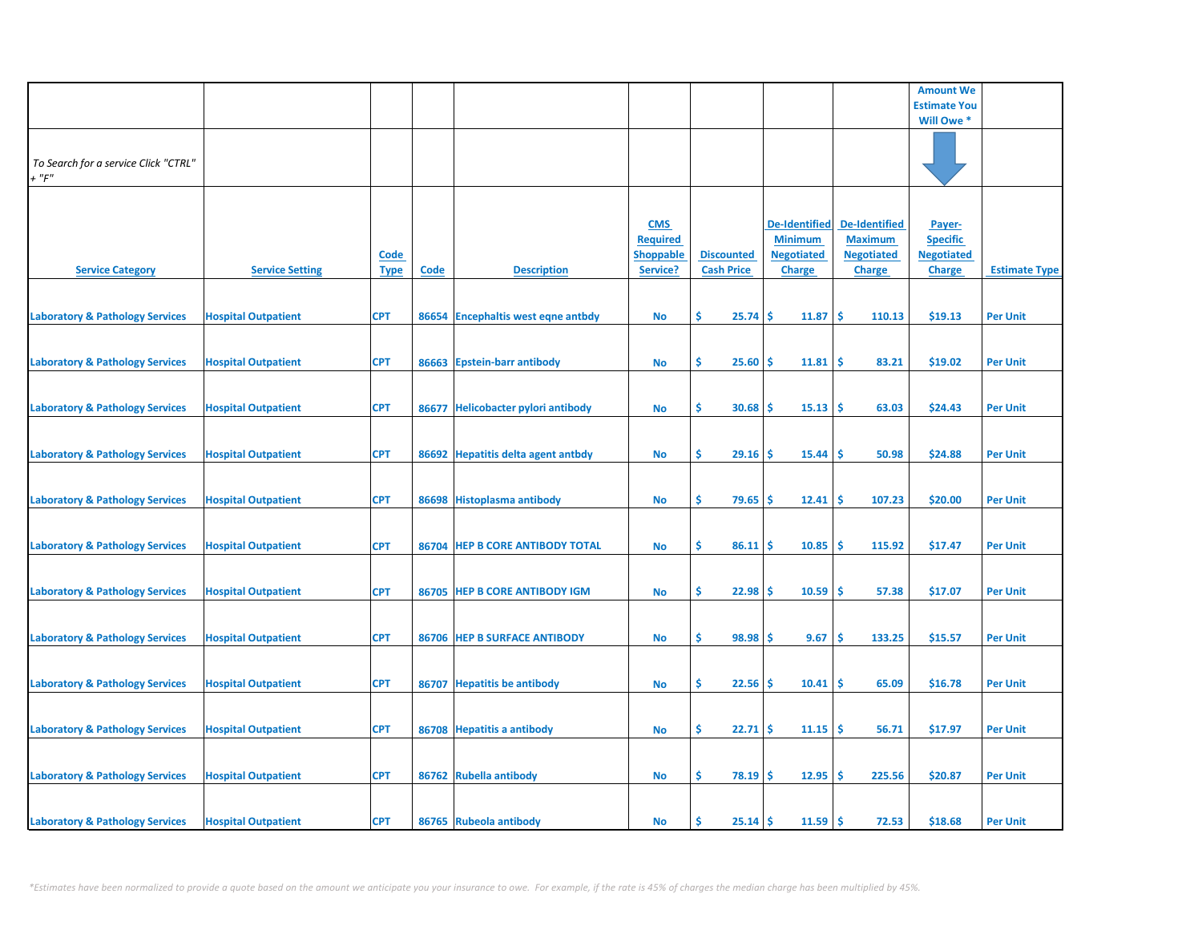|                                            |                            |             |       |                                     |                  |                   |                      |                      | <b>Amount We</b>    |                      |
|--------------------------------------------|----------------------------|-------------|-------|-------------------------------------|------------------|-------------------|----------------------|----------------------|---------------------|----------------------|
|                                            |                            |             |       |                                     |                  |                   |                      |                      | <b>Estimate You</b> |                      |
|                                            |                            |             |       |                                     |                  |                   |                      |                      | Will Owe *          |                      |
|                                            |                            |             |       |                                     |                  |                   |                      |                      |                     |                      |
|                                            |                            |             |       |                                     |                  |                   |                      |                      |                     |                      |
| To Search for a service Click "CTRL"       |                            |             |       |                                     |                  |                   |                      |                      |                     |                      |
| $+$ " $F$ "                                |                            |             |       |                                     |                  |                   |                      |                      |                     |                      |
|                                            |                            |             |       |                                     |                  |                   |                      |                      |                     |                      |
|                                            |                            |             |       |                                     |                  |                   |                      |                      |                     |                      |
|                                            |                            |             |       |                                     |                  |                   |                      |                      |                     |                      |
|                                            |                            |             |       |                                     | <b>CMS</b>       |                   | <b>De-Identified</b> | <b>De-Identified</b> | Payer-              |                      |
|                                            |                            |             |       |                                     | <b>Required</b>  |                   | <b>Minimum</b>       | <b>Maximum</b>       | <b>Specific</b>     |                      |
|                                            |                            | <u>Code</u> |       |                                     | <b>Shoppable</b> | <b>Discounted</b> | <b>Negotiated</b>    | <b>Negotiated</b>    | <b>Negotiated</b>   |                      |
| <b>Service Category</b>                    | <b>Service Setting</b>     | <b>Type</b> | Code  | <b>Description</b>                  | Service?         | <b>Cash Price</b> | <b>Charge</b>        | <b>Charge</b>        | <b>Charge</b>       | <b>Estimate Type</b> |
|                                            |                            |             |       |                                     |                  |                   |                      |                      |                     |                      |
|                                            |                            |             |       |                                     |                  |                   |                      |                      |                     |                      |
| <b>Laboratory &amp; Pathology Services</b> | <b>Hospital Outpatient</b> | <b>CPT</b>  |       | 86654 Encephaltis west eqne antbdy  | <b>No</b>        | \$<br>25.74       | \$.<br>11.87         | <b>S</b><br>110.13   | \$19.13             | <b>Per Unit</b>      |
|                                            |                            |             |       |                                     |                  |                   |                      |                      |                     |                      |
|                                            |                            |             |       |                                     |                  |                   |                      |                      |                     |                      |
| <b>Laboratory &amp; Pathology Services</b> | <b>Hospital Outpatient</b> | <b>CPT</b>  | 86663 | <b>Epstein-barr antibody</b>        | <b>No</b>        | \$<br>25.60       | Ś<br>11.81           | Ś<br>83.21           | \$19.02             | <b>Per Unit</b>      |
|                                            |                            |             |       |                                     |                  |                   |                      |                      |                     |                      |
|                                            |                            |             |       |                                     |                  |                   |                      |                      |                     |                      |
| <b>Laboratory &amp; Pathology Services</b> | <b>Hospital Outpatient</b> | <b>CPT</b>  | 86677 | <b>Helicobacter pylori antibody</b> | <b>No</b>        | Ŝ.<br>30.68       | 15.13<br>S           | Ŝ.<br>63.03          | \$24.43             | <b>Per Unit</b>      |
|                                            |                            |             |       |                                     |                  |                   |                      |                      |                     |                      |
|                                            |                            |             |       |                                     |                  |                   |                      |                      |                     |                      |
| <b>Laboratory &amp; Pathology Services</b> | <b>Hospital Outpatient</b> | <b>CPT</b>  |       | 86692 Hepatitis delta agent antbdy  | <b>No</b>        | \$<br>29.16       | \$<br>15.44          | \$.<br>50.98         | \$24.88             | <b>Per Unit</b>      |
|                                            |                            |             |       |                                     |                  |                   |                      |                      |                     |                      |
|                                            |                            |             |       |                                     |                  |                   |                      |                      |                     |                      |
|                                            |                            |             |       |                                     |                  |                   |                      |                      |                     |                      |
| <b>Laboratory &amp; Pathology Services</b> | <b>Hospital Outpatient</b> | <b>CPT</b>  |       | 86698 Histoplasma antibody          | <b>No</b>        | \$<br>79.65       | \$.<br>12.41         | 107.23<br>-\$        | \$20.00             | <b>Per Unit</b>      |
|                                            |                            |             |       |                                     |                  |                   |                      |                      |                     |                      |
|                                            |                            |             |       |                                     |                  |                   |                      |                      |                     |                      |
| <b>Laboratory &amp; Pathology Services</b> | <b>Hospital Outpatient</b> | <b>CPT</b>  |       | 86704 HEP B CORE ANTIBODY TOTAL     | <b>No</b>        | \$<br>86.11       | Ś<br>10.85           | <b>S</b><br>115.92   | \$17.47             | <b>Per Unit</b>      |
|                                            |                            |             |       |                                     |                  |                   |                      |                      |                     |                      |
|                                            |                            |             |       |                                     |                  |                   |                      |                      |                     |                      |
| <b>Laboratory &amp; Pathology Services</b> | <b>Hospital Outpatient</b> | <b>CPT</b>  |       | 86705 HEP B CORE ANTIBODY IGM       | <b>No</b>        | Ŝ.<br>22.98       | \$.<br>10.59         | \$.<br>57.38         | \$17.07             | <b>Per Unit</b>      |
|                                            |                            |             |       |                                     |                  |                   |                      |                      |                     |                      |
|                                            |                            |             |       |                                     |                  |                   |                      |                      |                     |                      |
| <b>Laboratory &amp; Pathology Services</b> | <b>Hospital Outpatient</b> | <b>CPT</b>  |       | 86706 HEP B SURFACE ANTIBODY        | <b>No</b>        | \$<br>98.98       | 9.67<br>\$.          | \$<br>133.25         | \$15.57             | <b>Per Unit</b>      |
|                                            |                            |             |       |                                     |                  |                   |                      |                      |                     |                      |
|                                            |                            |             |       |                                     |                  |                   |                      |                      |                     |                      |
| <b>Laboratory &amp; Pathology Services</b> | <b>Hospital Outpatient</b> | <b>CPT</b>  | 86707 | <b>Hepatitis be antibody</b>        | <b>No</b>        | \$.<br>22.56      | 10.41<br>\$.         | \$.<br>65.09         | \$16.78             | <b>Per Unit</b>      |
|                                            |                            |             |       |                                     |                  |                   |                      |                      |                     |                      |
|                                            |                            |             |       |                                     |                  |                   |                      |                      |                     |                      |
| <b>Laboratory &amp; Pathology Services</b> | <b>Hospital Outpatient</b> | <b>CPT</b>  |       | 86708 Hepatitis a antibody          | <b>No</b>        | \$<br>22.71       | \$<br>11.15          | \$<br>56.71          | \$17.97             | <b>Per Unit</b>      |
|                                            |                            |             |       |                                     |                  |                   |                      |                      |                     |                      |
|                                            |                            |             |       |                                     |                  |                   |                      |                      |                     |                      |
| <b>Laboratory &amp; Pathology Services</b> | <b>Hospital Outpatient</b> | <b>CPT</b>  |       | 86762 Rubella antibody              | <b>No</b>        | \$.<br>78.19      | \$.<br>12.95         | <b>S</b><br>225.56   | \$20.87             | <b>Per Unit</b>      |
|                                            |                            |             |       |                                     |                  |                   |                      |                      |                     |                      |
|                                            |                            |             |       |                                     |                  |                   |                      |                      |                     |                      |
|                                            |                            |             |       |                                     |                  |                   |                      |                      |                     |                      |
| <b>Laboratory &amp; Pathology Services</b> | <b>Hospital Outpatient</b> | <b>CPT</b>  |       | 86765 Rubeola antibody              | <b>No</b>        | Ŝ.<br>$25.14$ \$  | $11.59$ \$           | 72.53                | \$18.68             | <b>Per Unit</b>      |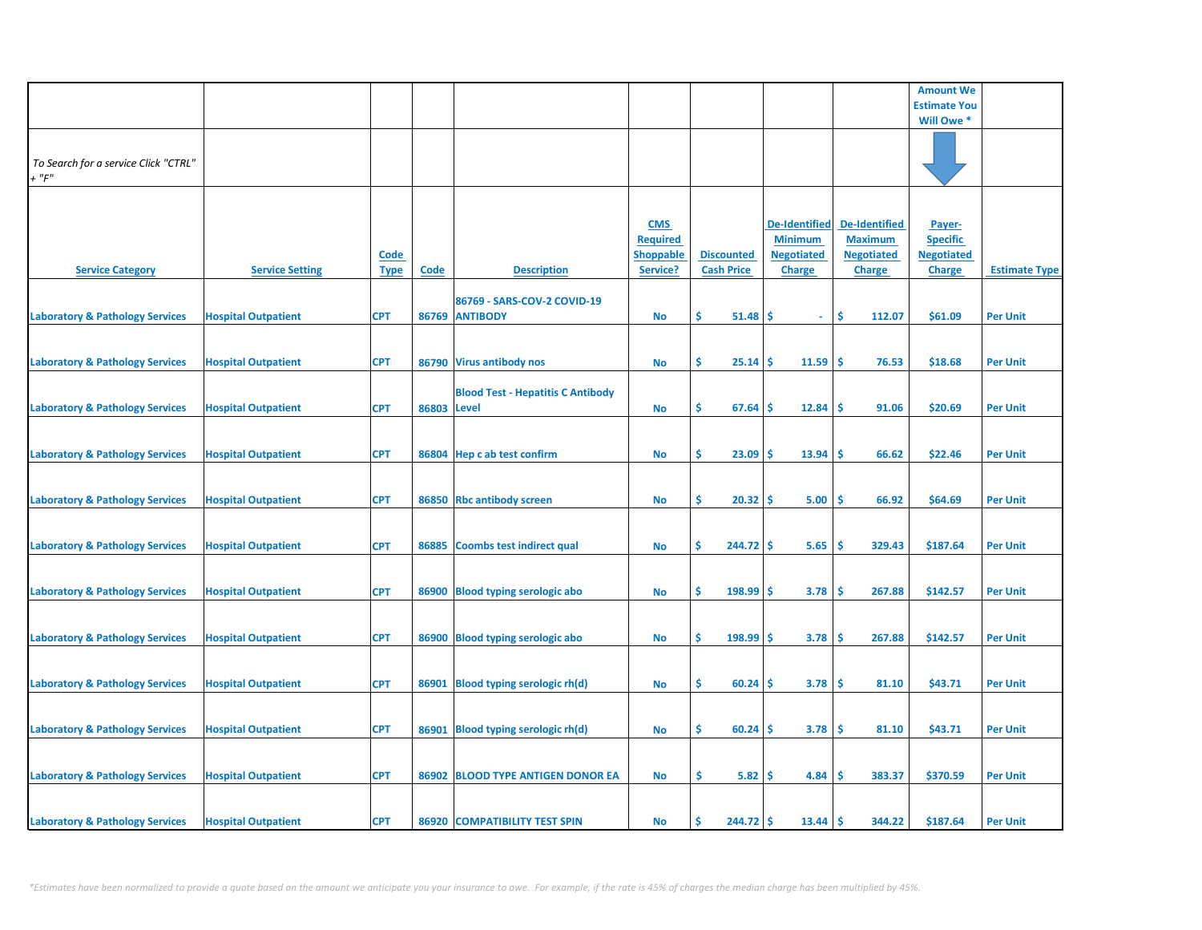|                                                     |                            |                            |             |                                               |                                                               |                                        |                                                                              |                                                                              | <b>Amount We</b>                                                |                      |
|-----------------------------------------------------|----------------------------|----------------------------|-------------|-----------------------------------------------|---------------------------------------------------------------|----------------------------------------|------------------------------------------------------------------------------|------------------------------------------------------------------------------|-----------------------------------------------------------------|----------------------|
|                                                     |                            |                            |             |                                               |                                                               |                                        |                                                                              |                                                                              | <b>Estimate You</b>                                             |                      |
|                                                     |                            |                            |             |                                               |                                                               |                                        |                                                                              |                                                                              | Will Owe *                                                      |                      |
| To Search for a service Click "CTRL"<br>$+$ " $F$ " |                            |                            |             |                                               |                                                               |                                        |                                                                              |                                                                              |                                                                 |                      |
| <b>Service Category</b>                             | <b>Service Setting</b>     | <b>Code</b><br><b>Type</b> | <b>Code</b> | <b>Description</b>                            | <b>CMS</b><br><b>Required</b><br><b>Shoppable</b><br>Service? | <b>Discounted</b><br><b>Cash Price</b> | <b>De-Identified</b><br><b>Minimum</b><br><b>Negotiated</b><br><b>Charge</b> | <b>De-Identified</b><br><b>Maximum</b><br><b>Negotiated</b><br><b>Charge</b> | Payer-<br><b>Specific</b><br><b>Negotiated</b><br><b>Charge</b> | <b>Estimate Type</b> |
| <b>Laboratory &amp; Pathology Services</b>          | <b>Hospital Outpatient</b> | <b>CPT</b>                 |             | 86769 - SARS-COV-2 COVID-19<br>86769 ANTIBODY | <b>No</b>                                                     | Ŝ.<br>51.48                            | \$<br>$\omega$ .                                                             | \$.<br>112.07                                                                | \$61.09                                                         | <b>Per Unit</b>      |
| <b>Laboratory &amp; Pathology Services</b>          | <b>Hospital Outpatient</b> | <b>CPT</b>                 |             | 86790 Virus antibody nos                      | <b>No</b>                                                     | \$.<br>25.14                           | 11.59<br>\$                                                                  | -\$<br>76.53                                                                 | \$18.68                                                         | <b>Per Unit</b>      |
| <b>Laboratory &amp; Pathology Services</b>          | <b>Hospital Outpatient</b> | <b>CPT</b>                 | 86803 Level | <b>Blood Test - Hepatitis C Antibody</b>      | <b>No</b>                                                     | \$<br>67.64                            | 12.84<br>S                                                                   | <b>S</b><br>91.06                                                            | \$20.69                                                         | <b>Per Unit</b>      |
| <b>Laboratory &amp; Pathology Services</b>          | <b>Hospital Outpatient</b> | <b>CPT</b>                 |             | 86804 Hep c ab test confirm                   | <b>No</b>                                                     | \$.<br>23.09                           | 13.94<br>\$                                                                  | \$.<br>66.62                                                                 | \$22.46                                                         | <b>Per Unit</b>      |
| <b>Laboratory &amp; Pathology Services</b>          | <b>Hospital Outpatient</b> | <b>CPT</b>                 |             | 86850 Rbc antibody screen                     | <b>No</b>                                                     | \$.<br>20.32                           | 5.00<br>\$.                                                                  | \$<br>66.92                                                                  | \$64.69                                                         | <b>Per Unit</b>      |
| <b>Laboratory &amp; Pathology Services</b>          | <b>Hospital Outpatient</b> | <b>CPT</b>                 | 86885       | <b>Coombs test indirect qual</b>              | <b>No</b>                                                     | \$<br>244.72                           | -\$<br>5.65                                                                  | \$<br>329.43                                                                 | \$187.64                                                        | <b>Per Unit</b>      |
| <b>Laboratory &amp; Pathology Services</b>          | <b>Hospital Outpatient</b> | <b>CPT</b>                 |             | 86900 Blood typing serologic abo              | <b>No</b>                                                     | Ŝ.<br>198.99                           | 3.78<br>s                                                                    | <b>S</b><br>267.88                                                           | \$142.57                                                        | <b>Per Unit</b>      |
| <b>Laboratory &amp; Pathology Services</b>          | <b>Hospital Outpatient</b> | <b>CPT</b>                 |             | 86900 Blood typing serologic abo              | <b>No</b>                                                     | \$<br>198.99                           | \$<br>3.78                                                                   | \$<br>267.88                                                                 | \$142.57                                                        | <b>Per Unit</b>      |
| <b>Laboratory &amp; Pathology Services</b>          | <b>Hospital Outpatient</b> | <b>CPT</b>                 | 86901       | Blood typing serologic rh(d)                  | <b>No</b>                                                     | \$<br>60.24                            | \$<br>3.78                                                                   | -\$<br>81.10                                                                 | \$43.71                                                         | <b>Per Unit</b>      |
| <b>Laboratory &amp; Pathology Services</b>          | <b>Hospital Outpatient</b> | <b>CPT</b>                 |             | 86901 Blood typing serologic rh(d)            | <b>No</b>                                                     | \$<br>60.24                            | 3.78<br>S                                                                    | \$<br>81.10                                                                  | \$43.71                                                         | <b>Per Unit</b>      |
| <b>Laboratory &amp; Pathology Services</b>          | <b>Hospital Outpatient</b> | <b>CPT</b>                 |             | 86902 BLOOD TYPE ANTIGEN DONOR EA             | No                                                            | \$.<br>5.82                            | 4.84<br>\$.                                                                  | Ŝ<br>383.37                                                                  | \$370.59                                                        | <b>Per Unit</b>      |
| <b>Laboratory &amp; Pathology Services</b>          | <b>Hospital Outpatient</b> | <b>CPT</b>                 |             | 86920 COMPATIBILITY TEST SPIN                 | <b>No</b>                                                     | 244.72<br>Ŝ                            | 13.44<br>\$                                                                  | -\$<br>344.22                                                                | \$187.64                                                        | <b>Per Unit</b>      |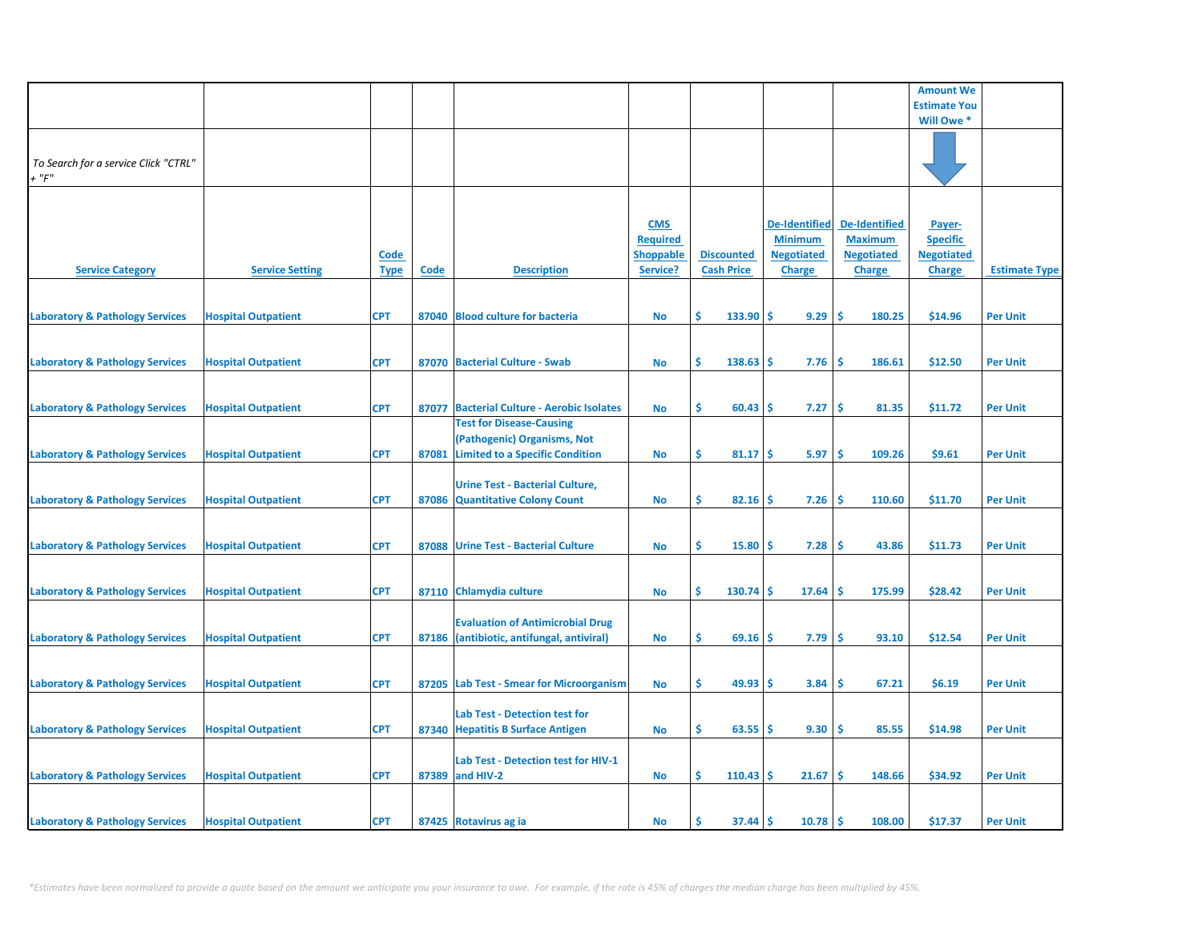|                                                     |                            |             |       |                                                                           |                               |                   |                                     |                                        | <b>Amount We</b>                     |                      |
|-----------------------------------------------------|----------------------------|-------------|-------|---------------------------------------------------------------------------|-------------------------------|-------------------|-------------------------------------|----------------------------------------|--------------------------------------|----------------------|
|                                                     |                            |             |       |                                                                           |                               |                   |                                     |                                        | <b>Estimate You</b>                  |                      |
|                                                     |                            |             |       |                                                                           |                               |                   |                                     |                                        | Will Owe *                           |                      |
|                                                     |                            |             |       |                                                                           |                               |                   |                                     |                                        |                                      |                      |
| To Search for a service Click "CTRL"<br>$+$ " $F$ " |                            |             |       |                                                                           |                               |                   |                                     |                                        |                                      |                      |
|                                                     |                            |             |       |                                                                           |                               |                   |                                     |                                        |                                      |                      |
|                                                     |                            |             |       |                                                                           |                               |                   |                                     |                                        |                                      |                      |
|                                                     |                            |             |       |                                                                           | <b>CMS</b><br><b>Required</b> |                   | <b>De-Identified</b>                | <b>De-Identified</b><br><b>Maximum</b> | Payer-                               |                      |
|                                                     |                            | <b>Code</b> |       |                                                                           | <b>Shoppable</b>              | <b>Discounted</b> | <b>Minimum</b><br><b>Negotiated</b> | <b>Negotiated</b>                      | <b>Specific</b><br><b>Negotiated</b> |                      |
| <b>Service Category</b>                             | <b>Service Setting</b>     | <b>Type</b> | Code  | <b>Description</b>                                                        | Service?                      | <b>Cash Price</b> | <b>Charge</b>                       | <b>Charge</b>                          | Charge                               | <b>Estimate Type</b> |
|                                                     |                            |             |       |                                                                           |                               |                   |                                     |                                        |                                      |                      |
|                                                     |                            |             |       |                                                                           |                               |                   |                                     |                                        |                                      |                      |
| <b>Laboratory &amp; Pathology Services</b>          | <b>Hospital Outpatient</b> | <b>CPT</b>  |       | 87040 Blood culture for bacteria                                          | No                            | \$<br>133.90      | 9.29<br>-S                          | -\$<br>180.25                          | \$14.96                              | <b>Per Unit</b>      |
|                                                     |                            |             |       |                                                                           |                               |                   |                                     |                                        |                                      |                      |
| <b>Laboratory &amp; Pathology Services</b>          | <b>Hospital Outpatient</b> | <b>CPT</b>  |       | 87070 Bacterial Culture - Swab                                            | No                            | Ŝ.<br>138.63      | 7.76<br>Ŝ                           | -Ś<br>186.61                           | \$12.50                              | <b>Per Unit</b>      |
|                                                     |                            |             |       |                                                                           |                               |                   |                                     |                                        |                                      |                      |
| <b>Laboratory &amp; Pathology Services</b>          | <b>Hospital Outpatient</b> | <b>CPT</b>  |       | 87077 Bacterial Culture - Aerobic Isolates                                | No                            | \$<br>60.43       | 7.27<br><b>S</b>                    | \$.<br>81.35                           | \$11.72                              | <b>Per Unit</b>      |
|                                                     |                            |             |       | <b>Test for Disease-Causing</b>                                           |                               |                   |                                     |                                        |                                      |                      |
|                                                     |                            |             |       | (Pathogenic) Organisms, Not                                               |                               |                   |                                     |                                        |                                      |                      |
| <b>Laboratory &amp; Pathology Services</b>          | <b>Hospital Outpatient</b> | <b>CPT</b>  | 87081 | <b>Limited to a Specific Condition</b>                                    | <b>No</b>                     | \$.<br>81.17      | <b>S</b><br>5.97                    | \$,<br>109.26                          | \$9.61                               | <b>Per Unit</b>      |
|                                                     |                            |             |       |                                                                           |                               |                   |                                     |                                        |                                      |                      |
| <b>Laboratory &amp; Pathology Services</b>          | <b>Hospital Outpatient</b> | <b>CPT</b>  |       | <b>Urine Test - Bacterial Culture,</b><br>87086 Quantitative Colony Count | No                            | \$<br>82.16       | 7.26<br><b>S</b>                    | \$,<br>110.60                          | \$11.70                              | <b>Per Unit</b>      |
|                                                     |                            |             |       |                                                                           |                               |                   |                                     |                                        |                                      |                      |
|                                                     |                            |             |       |                                                                           |                               |                   |                                     |                                        |                                      |                      |
| <b>Laboratory &amp; Pathology Services</b>          | <b>Hospital Outpatient</b> | <b>CPT</b>  | 87088 | <b>Urine Test - Bacterial Culture</b>                                     | <b>No</b>                     | Ŝ.<br>15.80       | 7.28<br>-Ś                          | -Ś<br>43.86                            | \$11.73                              | <b>Per Unit</b>      |
|                                                     |                            |             |       |                                                                           |                               |                   |                                     |                                        |                                      |                      |
| <b>Laboratory &amp; Pathology Services</b>          | <b>Hospital Outpatient</b> | <b>CPT</b>  |       | 87110 Chlamydia culture                                                   | <b>No</b>                     | \$<br>130.74      | 17.64<br>-Ś                         | \$,<br>175.99                          | \$28.42                              | <b>Per Unit</b>      |
|                                                     |                            |             |       |                                                                           |                               |                   |                                     |                                        |                                      |                      |
|                                                     |                            |             |       | <b>Evaluation of Antimicrobial Drug</b>                                   |                               |                   |                                     |                                        |                                      |                      |
| <b>Laboratory &amp; Pathology Services</b>          | <b>Hospital Outpatient</b> | <b>CPT</b>  |       | 87186 (antibiotic, antifungal, antiviral)                                 | No                            | \$.<br>69.16      | 7.79<br><b>S</b>                    | -\$<br>93.10                           | \$12.54                              | <b>Per Unit</b>      |
|                                                     |                            |             |       |                                                                           |                               |                   |                                     |                                        |                                      |                      |
| <b>Laboratory &amp; Pathology Services</b>          | <b>Hospital Outpatient</b> | <b>CPT</b>  |       | 87205 Lab Test - Smear for Microorganism                                  | <b>No</b>                     | \$<br>49.93       | 3.84<br>Ŝ                           | \$,<br>67.21                           | \$6.19                               | <b>Per Unit</b>      |
|                                                     |                            |             |       |                                                                           |                               |                   |                                     |                                        |                                      |                      |
|                                                     |                            |             |       | <b>Lab Test - Detection test for</b>                                      |                               |                   |                                     |                                        |                                      |                      |
| <b>Laboratory &amp; Pathology Services</b>          | <b>Hospital Outpatient</b> | <b>CPT</b>  |       | 87340 Hepatitis B Surface Antigen                                         | No                            | \$<br>63.55       | 9.30<br>-S                          | -\$<br>85.55                           | \$14.98                              | <b>Per Unit</b>      |
|                                                     |                            |             |       | Lab Test - Detection test for HIV-1                                       |                               |                   |                                     |                                        |                                      |                      |
| <b>Laboratory &amp; Pathology Services</b>          | <b>Hospital Outpatient</b> | <b>CPT</b>  |       | 87389 and HIV-2                                                           | <b>No</b>                     | Ŝ.<br>$110.43$ \$ | 21.67                               | -Ś<br>148.66                           | \$34.92                              | <b>Per Unit</b>      |
|                                                     |                            |             |       |                                                                           |                               |                   |                                     |                                        |                                      |                      |
| <b>Laboratory &amp; Pathology Services</b>          | <b>Hospital Outpatient</b> | <b>CPT</b>  |       | 87425 Rotavirus ag ia                                                     | No                            | Ś<br>$37.44$ \$   | 10.78                               | <b>S</b><br>108.00                     | \$17.37                              | <b>Per Unit</b>      |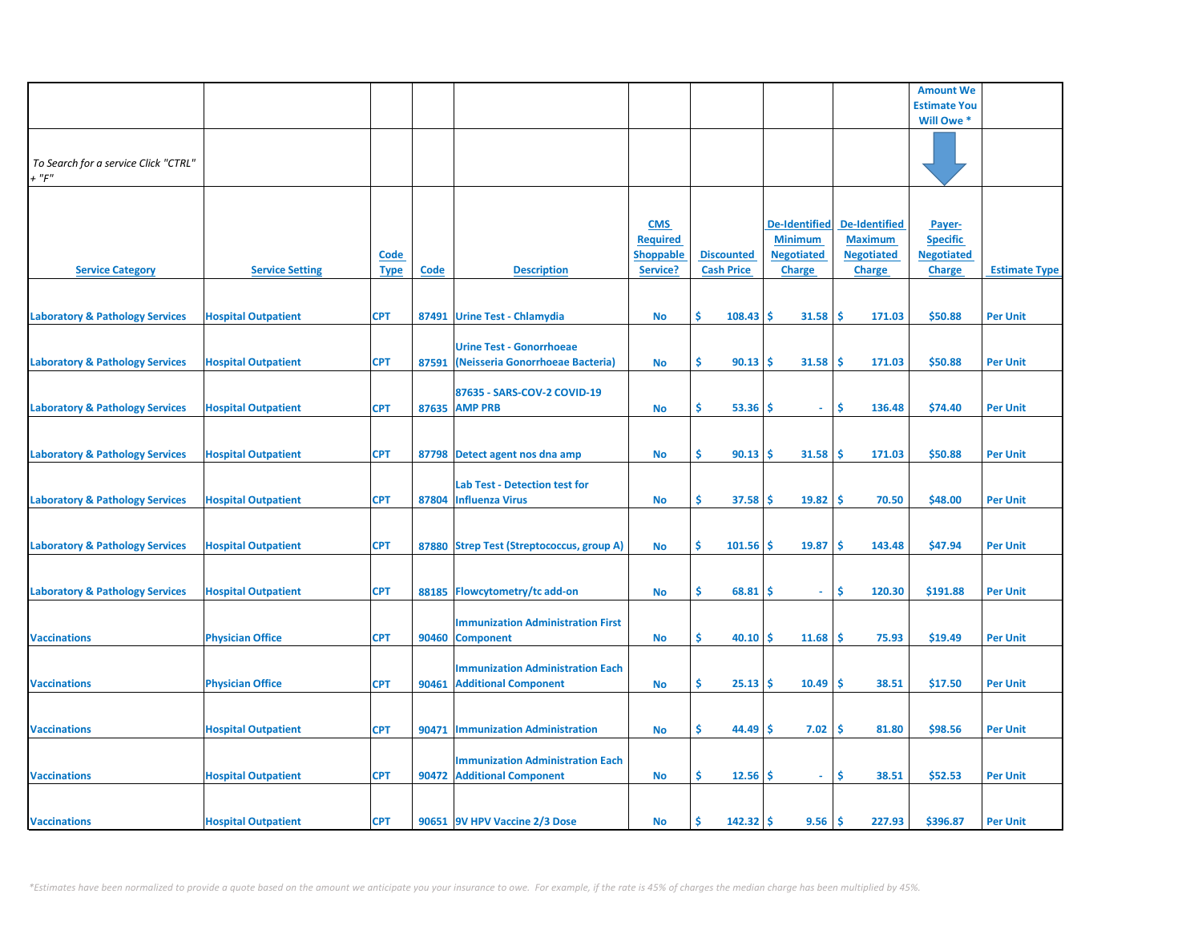|                                                     |                            |                            |             |                                                                        |                                                               |                                        |                                                                              |                                                                              | <b>Amount We</b>                                                |                      |
|-----------------------------------------------------|----------------------------|----------------------------|-------------|------------------------------------------------------------------------|---------------------------------------------------------------|----------------------------------------|------------------------------------------------------------------------------|------------------------------------------------------------------------------|-----------------------------------------------------------------|----------------------|
|                                                     |                            |                            |             |                                                                        |                                                               |                                        |                                                                              |                                                                              | <b>Estimate You</b>                                             |                      |
|                                                     |                            |                            |             |                                                                        |                                                               |                                        |                                                                              |                                                                              | Will Owe *                                                      |                      |
| To Search for a service Click "CTRL"<br>$+$ " $F$ " |                            |                            |             |                                                                        |                                                               |                                        |                                                                              |                                                                              |                                                                 |                      |
| <b>Service Category</b>                             | <b>Service Setting</b>     | <b>Code</b><br><b>Type</b> | <b>Code</b> | <b>Description</b>                                                     | <b>CMS</b><br><b>Required</b><br><b>Shoppable</b><br>Service? | <b>Discounted</b><br><b>Cash Price</b> | <b>De-Identified</b><br><b>Minimum</b><br><b>Negotiated</b><br><b>Charge</b> | <b>De-Identified</b><br><b>Maximum</b><br><b>Negotiated</b><br><b>Charge</b> | Payer-<br><b>Specific</b><br><b>Negotiated</b><br><b>Charge</b> | <b>Estimate Type</b> |
| <b>Laboratory &amp; Pathology Services</b>          | <b>Hospital Outpatient</b> | <b>CPT</b>                 |             | 87491 Urine Test - Chlamydia                                           | <b>No</b>                                                     | Ŝ.<br>108.43                           | \$<br>31.58                                                                  | <b>S</b><br>171.03                                                           | \$50.88                                                         | <b>Per Unit</b>      |
| <b>Laboratory &amp; Pathology Services</b>          | <b>Hospital Outpatient</b> | <b>CPT</b>                 | 87591       | <b>Urine Test - Gonorrhoeae</b><br>(Neisseria Gonorrhoeae Bacteria)    | No                                                            | Ŝ.<br>90.13                            | \$.<br>31.58                                                                 | Ś<br>171.03                                                                  | \$50.88                                                         | <b>Per Unit</b>      |
| <b>Laboratory &amp; Pathology Services</b>          | <b>Hospital Outpatient</b> | <b>CPT</b>                 |             | 87635 - SARS-COV-2 COVID-19<br>87635 AMP PRB                           | <b>No</b>                                                     | Ŝ.<br>53.36                            | \$.<br>$\sim$                                                                | \$.<br>136.48                                                                | \$74.40                                                         | <b>Per Unit</b>      |
| <b>Laboratory &amp; Pathology Services</b>          | <b>Hospital Outpatient</b> | <b>CPT</b>                 |             | 87798 Detect agent nos dna amp                                         | <b>No</b>                                                     | Ŝ.<br>90.13                            | \$.<br>31.58                                                                 | Ŝ<br>171.03                                                                  | \$50.88                                                         | <b>Per Unit</b>      |
| <b>Laboratory &amp; Pathology Services</b>          | <b>Hospital Outpatient</b> | <b>CPT</b>                 |             | Lab Test - Detection test for<br>87804 Influenza Virus                 | No                                                            | \$<br>37.58                            | \$.<br>19.82                                                                 | -\$<br>70.50                                                                 | \$48.00                                                         | <b>Per Unit</b>      |
| <b>Laboratory &amp; Pathology Services</b>          | <b>Hospital Outpatient</b> | <b>CPT</b>                 |             | 87880 Strep Test (Streptococcus, group A)                              | No                                                            | \$<br>101.56                           | \$<br>19.87                                                                  | \$<br>143.48                                                                 | \$47.94                                                         | <b>Per Unit</b>      |
| <b>Laboratory &amp; Pathology Services</b>          | <b>Hospital Outpatient</b> | <b>CPT</b>                 | 88185       | Flowcytometry/tc add-on                                                | No                                                            | Ŝ.<br>68.81                            | s<br>$\sim$                                                                  | Ŝ.<br>120.30                                                                 | \$191.88                                                        | <b>Per Unit</b>      |
| <b>Vaccinations</b>                                 | <b>Physician Office</b>    | <b>CPT</b>                 |             | <b>Immunization Administration First</b><br>90460 Component            | No                                                            | \$<br>40.10                            | 11.68<br>Ŝ.                                                                  | \$.<br>75.93                                                                 | \$19.49                                                         | <b>Per Unit</b>      |
| <b>Vaccinations</b>                                 | <b>Physician Office</b>    | <b>CPT</b>                 | 90461       | <b>Immunization Administration Each</b><br><b>Additional Component</b> | No                                                            | \$<br>25.13                            | \$<br>10.49                                                                  | Ś<br>38.51                                                                   | \$17.50                                                         | <b>Per Unit</b>      |
| <b>Vaccinations</b>                                 | <b>Hospital Outpatient</b> | <b>CPT</b>                 | 90471       | <b>Immunization Administration</b>                                     | No                                                            | \$<br>44.49                            | 7.02<br>S                                                                    | \$.<br>81.80                                                                 | \$98.56                                                         | <b>Per Unit</b>      |
|                                                     |                            |                            |             |                                                                        |                                                               |                                        |                                                                              |                                                                              |                                                                 |                      |
| <b>Vaccinations</b>                                 | <b>Hospital Outpatient</b> | <b>CPT</b>                 |             | <b>Immunization Administration Each</b><br>90472 Additional Component  | No                                                            | \$<br>12.56                            | \$<br>$\sim$                                                                 | \$<br>38.51                                                                  | \$52.53                                                         | <b>Per Unit</b>      |
| <b>Vaccinations</b>                                 | <b>Hospital Outpatient</b> | <b>CPT</b>                 |             | 90651 9V HPV Vaccine 2/3 Dose                                          | <b>No</b>                                                     | Ś<br>142.32                            | 9.56<br>\$                                                                   | Ŝ.<br>227.93                                                                 | \$396.87                                                        | <b>Per Unit</b>      |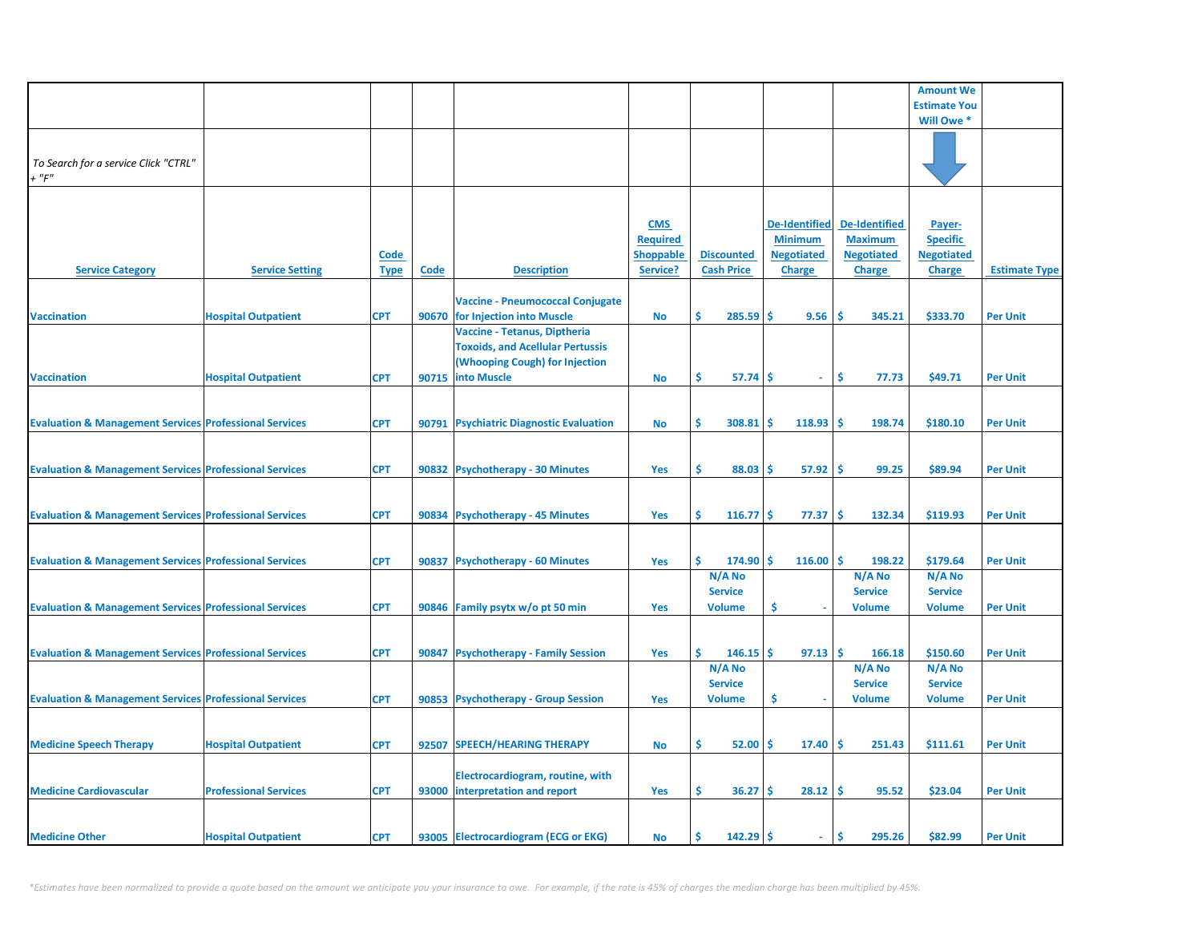|                                                                   |                              |             |             |                                         |                  |                                 |                      |                                 | <b>Amount We</b>                |                      |
|-------------------------------------------------------------------|------------------------------|-------------|-------------|-----------------------------------------|------------------|---------------------------------|----------------------|---------------------------------|---------------------------------|----------------------|
|                                                                   |                              |             |             |                                         |                  |                                 |                      |                                 | <b>Estimate You</b>             |                      |
|                                                                   |                              |             |             |                                         |                  |                                 |                      |                                 | Will Owe *                      |                      |
|                                                                   |                              |             |             |                                         |                  |                                 |                      |                                 |                                 |                      |
| To Search for a service Click "CTRL"                              |                              |             |             |                                         |                  |                                 |                      |                                 |                                 |                      |
| $+$ " $F$ "                                                       |                              |             |             |                                         |                  |                                 |                      |                                 |                                 |                      |
|                                                                   |                              |             |             |                                         |                  |                                 |                      |                                 |                                 |                      |
|                                                                   |                              |             |             |                                         |                  |                                 |                      |                                 |                                 |                      |
|                                                                   |                              |             |             |                                         | <b>CMS</b>       |                                 | <b>De-Identified</b> | <b>De-Identified</b>            | Payer-                          |                      |
|                                                                   |                              |             |             |                                         | <b>Required</b>  |                                 | <b>Minimum</b>       | <b>Maximum</b>                  | <b>Specific</b>                 |                      |
|                                                                   |                              | <b>Code</b> |             |                                         | <b>Shoppable</b> | <b>Discounted</b>               | <b>Negotiated</b>    | <b>Negotiated</b>               | <b>Negotiated</b>               |                      |
| <b>Service Category</b>                                           | <b>Service Setting</b>       | <b>Type</b> | <b>Code</b> | <b>Description</b>                      | Service?         | <b>Cash Price</b>               | <b>Charge</b>        | <b>Charge</b>                   | <b>Charge</b>                   | <b>Estimate Type</b> |
|                                                                   |                              |             |             | <b>Vaccine - Pneumococcal Conjugate</b> |                  |                                 |                      |                                 |                                 |                      |
| <b>Vaccination</b>                                                | <b>Hospital Outpatient</b>   | <b>CPT</b>  |             | 90670 for Injection into Muscle         | No               | Ŝ<br>285.59                     | Ŝ<br>9.56            | -Ś<br>345.21                    | \$333.70                        | <b>Per Unit</b>      |
|                                                                   |                              |             |             | Vaccine - Tetanus, Diptheria            |                  |                                 |                      |                                 |                                 |                      |
|                                                                   |                              |             |             | <b>Toxoids, and Acellular Pertussis</b> |                  |                                 |                      |                                 |                                 |                      |
|                                                                   |                              |             |             | (Whooping Cough) for Injection          |                  |                                 |                      |                                 |                                 |                      |
| <b>Vaccination</b>                                                | <b>Hospital Outpatient</b>   | <b>CPT</b>  |             | 90715 into Muscle                       | <b>No</b>        | \$<br>57.74                     | Ŝ<br>$\omega$        | \$<br>77.73                     | \$49.71                         | <b>Per Unit</b>      |
|                                                                   |                              |             |             |                                         |                  |                                 |                      |                                 |                                 |                      |
|                                                                   |                              |             |             |                                         |                  |                                 |                      |                                 |                                 |                      |
| <b>Evaluation &amp; Management Services Professional Services</b> |                              | <b>CPT</b>  |             | 90791 Psychiatric Diagnostic Evaluation | <b>No</b>        | Ŝ.<br>308.81                    | 118.93<br><b>S</b>   | -Ś<br>198.74                    | \$180.10                        | <b>Per Unit</b>      |
|                                                                   |                              |             |             |                                         |                  |                                 |                      |                                 |                                 |                      |
| <b>Evaluation &amp; Management Services Professional Services</b> |                              | <b>CPT</b>  |             | 90832 Psychotherapy - 30 Minutes        | Yes              | \$<br>88.03                     | 57.92<br><b>S</b>    | -Ś<br>99.25                     | \$89.94                         | <b>Per Unit</b>      |
|                                                                   |                              |             |             |                                         |                  |                                 |                      |                                 |                                 |                      |
|                                                                   |                              |             |             |                                         |                  |                                 |                      |                                 |                                 |                      |
| <b>Evaluation &amp; Management Services Professional Services</b> |                              | <b>CPT</b>  |             | 90834 Psychotherapy - 45 Minutes        | Yes              | \$<br>$116.77$ \$               | 77.37                | -\$<br>132.34                   | \$119.93                        | <b>Per Unit</b>      |
|                                                                   |                              |             |             |                                         |                  |                                 |                      |                                 |                                 |                      |
|                                                                   |                              |             |             |                                         |                  |                                 |                      |                                 |                                 |                      |
| <b>Evaluation &amp; Management Services Professional Services</b> |                              | <b>CPT</b>  |             | 90837 Psychotherapy - 60 Minutes        | Yes              | Ŝ.<br>$174.90$ \$               | $116.00$ \$          | 198.22                          | \$179.64                        | <b>Per Unit</b>      |
|                                                                   |                              |             |             |                                         |                  | N/A No                          |                      | N/A No                          | N/A No                          |                      |
| <b>Evaluation &amp; Management Services Professional Services</b> |                              | <b>CPT</b>  |             | 90846 Family psytx w/o pt 50 min        | Yes              | <b>Service</b><br><b>Volume</b> | \$                   | <b>Service</b><br><b>Volume</b> | <b>Service</b><br><b>Volume</b> | <b>Per Unit</b>      |
|                                                                   |                              |             |             |                                         |                  |                                 |                      |                                 |                                 |                      |
|                                                                   |                              |             |             |                                         |                  |                                 |                      |                                 |                                 |                      |
| <b>Evaluation &amp; Management Services Professional Services</b> |                              | <b>CPT</b>  |             | 90847 Psychotherapy - Family Session    | Yes              | Ś.<br>146.15                    | -Ś<br>97.13          | ١\$<br>166.18                   | \$150.60                        | <b>Per Unit</b>      |
|                                                                   |                              |             |             |                                         |                  | N/A No                          |                      | N/A No                          | N/A No                          |                      |
|                                                                   |                              |             |             |                                         |                  | <b>Service</b>                  |                      | <b>Service</b>                  | <b>Service</b>                  |                      |
| <b>Evaluation &amp; Management Services Professional Services</b> |                              | <b>CPT</b>  |             | 90853 Psychotherapy - Group Session     | Yes              | <b>Volume</b>                   | Ś                    | <b>Volume</b>                   | <b>Volume</b>                   | <b>Per Unit</b>      |
|                                                                   |                              |             |             |                                         |                  |                                 |                      |                                 |                                 |                      |
|                                                                   |                              |             |             |                                         |                  |                                 |                      |                                 |                                 |                      |
| <b>Medicine Speech Therapy</b>                                    | <b>Hospital Outpatient</b>   | <b>CPT</b>  | 92507       | <b>SPEECH/HEARING THERAPY</b>           | No               | \$.<br>52.00                    | \$.<br>17.40         | ١\$<br>251.43                   | \$111.61                        | <b>Per Unit</b>      |
|                                                                   |                              |             |             | Electrocardiogram, routine, with        |                  |                                 |                      |                                 |                                 |                      |
| <b>Medicine Cardiovascular</b>                                    | <b>Professional Services</b> | <b>CPT</b>  |             | 93000 interpretation and report         | Yes              | \$<br>36.27                     | 28.12<br><b>S</b>    | ١\$<br>95.52                    | \$23.04                         | <b>Per Unit</b>      |
|                                                                   |                              |             |             |                                         |                  |                                 |                      |                                 |                                 |                      |
|                                                                   |                              |             |             |                                         |                  |                                 |                      |                                 |                                 |                      |
| <b>Medicine Other</b>                                             | <b>Hospital Outpatient</b>   | <b>CPT</b>  |             | 93005 Electrocardiogram (ECG or EKG)    | No               | 142.29<br>Ŝ.                    | Ŝ<br>÷.              | \$<br>295.26                    | \$82.99                         | <b>Per Unit</b>      |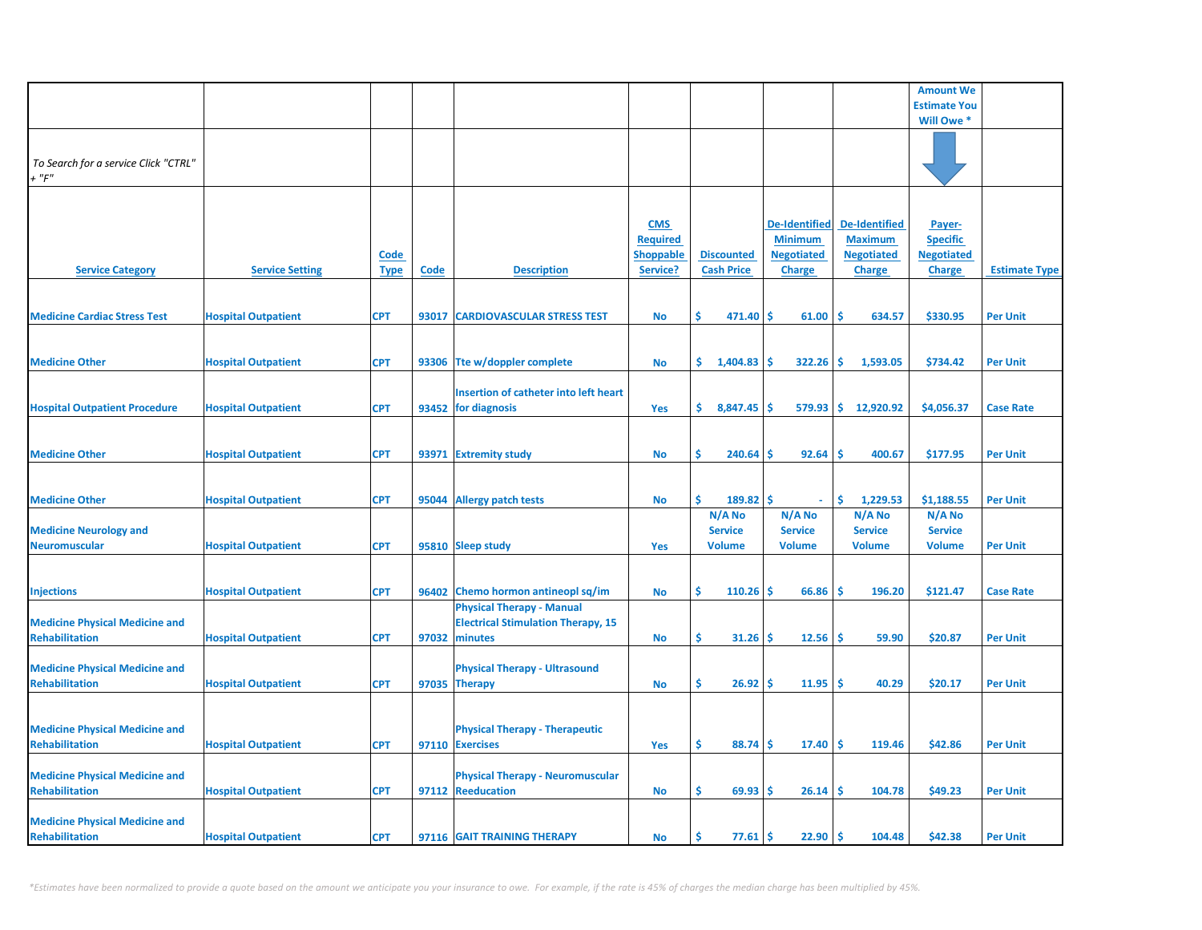|                                                                |                            |                            |             |                                                                                                |                                                               |                                        |                                                                              |                                                                              | <b>Amount We</b>                                                |                      |
|----------------------------------------------------------------|----------------------------|----------------------------|-------------|------------------------------------------------------------------------------------------------|---------------------------------------------------------------|----------------------------------------|------------------------------------------------------------------------------|------------------------------------------------------------------------------|-----------------------------------------------------------------|----------------------|
|                                                                |                            |                            |             |                                                                                                |                                                               |                                        |                                                                              |                                                                              | <b>Estimate You</b>                                             |                      |
|                                                                |                            |                            |             |                                                                                                |                                                               |                                        |                                                                              |                                                                              | Will Owe *                                                      |                      |
| To Search for a service Click "CTRL"<br>$+$ " $F$ "            |                            |                            |             |                                                                                                |                                                               |                                        |                                                                              |                                                                              |                                                                 |                      |
| <b>Service Category</b>                                        | <b>Service Setting</b>     | <b>Code</b><br><b>Type</b> | <b>Code</b> | <b>Description</b>                                                                             | <b>CMS</b><br><b>Required</b><br><b>Shoppable</b><br>Service? | <b>Discounted</b><br><b>Cash Price</b> | <b>De-Identified</b><br><b>Minimum</b><br><b>Negotiated</b><br><b>Charge</b> | <b>De-Identified</b><br><b>Maximum</b><br><b>Negotiated</b><br><b>Charge</b> | Payer-<br><b>Specific</b><br><b>Negotiated</b><br><b>Charge</b> | <b>Estimate Type</b> |
| <b>Medicine Cardiac Stress Test</b>                            | <b>Hospital Outpatient</b> | <b>CPT</b>                 | 93017       | <b>CARDIOVASCULAR STRESS TEST</b>                                                              |                                                               | Ŝ.<br>471.40                           | Ŝ.<br>61.00                                                                  | -S<br>634.57                                                                 | \$330.95                                                        | <b>Per Unit</b>      |
|                                                                |                            |                            |             |                                                                                                | No                                                            |                                        |                                                                              |                                                                              |                                                                 |                      |
| <b>Medicine Other</b>                                          | <b>Hospital Outpatient</b> | <b>CPT</b>                 |             | 93306 Tte w/doppler complete                                                                   | No                                                            | \$.<br>1,404.83                        | 322.26<br><b>S</b>                                                           | -S<br>1,593.05                                                               | \$734.42                                                        | <b>Per Unit</b>      |
|                                                                |                            |                            |             | Insertion of catheter into left heart                                                          |                                                               |                                        |                                                                              |                                                                              |                                                                 |                      |
| <b>Hospital Outpatient Procedure</b>                           | <b>Hospital Outpatient</b> | <b>CPT</b>                 |             | 93452 for diagnosis                                                                            | Yes                                                           | \$.<br>8,847.45                        | Ś<br>579.93                                                                  | ا\$<br>12,920.92                                                             | \$4,056.37                                                      | <b>Case Rate</b>     |
|                                                                |                            |                            |             |                                                                                                |                                                               |                                        |                                                                              |                                                                              |                                                                 |                      |
| <b>Medicine Other</b>                                          | <b>Hospital Outpatient</b> | <b>CPT</b>                 |             | 93971 Extremity study                                                                          | <b>No</b>                                                     | \$<br>240.64                           | 92.64<br>\$.                                                                 | <b>S</b><br>400.67                                                           | \$177.95                                                        | <b>Per Unit</b>      |
|                                                                |                            |                            |             |                                                                                                |                                                               |                                        |                                                                              |                                                                              |                                                                 |                      |
| <b>Medicine Other</b>                                          | <b>Hospital Outpatient</b> | <b>CPT</b>                 |             | 95044 Allergy patch tests                                                                      | No                                                            | Ś.<br>189.82                           | Ŝ.                                                                           | -\$<br>1,229.53                                                              | \$1,188.55                                                      | <b>Per Unit</b>      |
|                                                                |                            |                            |             |                                                                                                |                                                               | N/A No                                 | N/A No                                                                       | N/A No                                                                       | N/A No                                                          |                      |
| <b>Medicine Neurology and</b>                                  |                            |                            |             |                                                                                                |                                                               | <b>Service</b>                         | <b>Service</b>                                                               | <b>Service</b>                                                               | <b>Service</b>                                                  |                      |
| <b>Neuromuscular</b>                                           | <b>Hospital Outpatient</b> | <b>CPT</b>                 |             | 95810 Sleep study                                                                              | Yes                                                           | <b>Volume</b>                          | <b>Volume</b>                                                                | <b>Volume</b>                                                                | <b>Volume</b>                                                   | <b>Per Unit</b>      |
| <b>Injections</b>                                              | <b>Hospital Outpatient</b> | <b>CPT</b>                 |             | 96402 Chemo hormon antineopl sq/im                                                             | No                                                            | Ś.<br>110.26                           | \$.<br>66.86                                                                 | \$<br>196.20                                                                 | \$121.47                                                        | <b>Case Rate</b>     |
| <b>Medicine Physical Medicine and</b><br><b>Rehabilitation</b> | <b>Hospital Outpatient</b> | <b>CPT</b>                 |             | <b>Physical Therapy - Manual</b><br><b>Electrical Stimulation Therapy, 15</b><br>97032 minutes | No                                                            | \$.<br>31.26                           | Ŝ.<br>12.56                                                                  | Ŝ<br>59.90                                                                   | \$20.87                                                         | <b>Per Unit</b>      |
|                                                                |                            |                            |             |                                                                                                |                                                               |                                        |                                                                              |                                                                              |                                                                 |                      |
| <b>Medicine Physical Medicine and</b><br><b>Rehabilitation</b> | <b>Hospital Outpatient</b> | <b>CPT</b>                 |             | <b>Physical Therapy - Ultrasound</b><br>97035 Therapy                                          | No                                                            | \$.<br>26.92                           | 11.95<br>s                                                                   | <b>S</b><br>40.29                                                            | \$20.17                                                         | <b>Per Unit</b>      |
|                                                                |                            |                            |             |                                                                                                |                                                               |                                        |                                                                              |                                                                              |                                                                 |                      |
| <b>Medicine Physical Medicine and</b><br><b>Rehabilitation</b> | <b>Hospital Outpatient</b> | <b>CPT</b>                 |             | <b>Physical Therapy - Therapeutic</b><br>97110 Exercises                                       | Yes                                                           | \$.<br>88.74                           | Ŝ.<br>17.40                                                                  | Ŝ.<br>119.46                                                                 | \$42.86                                                         | <b>Per Unit</b>      |
|                                                                |                            |                            |             |                                                                                                |                                                               |                                        |                                                                              |                                                                              |                                                                 |                      |
| <b>Medicine Physical Medicine and</b><br><b>Rehabilitation</b> | <b>Hospital Outpatient</b> | <b>CPT</b>                 |             | <b>Physical Therapy - Neuromuscular</b><br>97112 Reeducation                                   | No                                                            | \$.<br>69.93                           | \$.<br>26.14                                                                 | <b>S</b><br>104.78                                                           | \$49.23                                                         | <b>Per Unit</b>      |
| <b>Medicine Physical Medicine and</b><br>Rehabilitation        | <b>Hospital Outpatient</b> | <b>CPT</b>                 |             | 97116 GAIT TRAINING THERAPY                                                                    | No                                                            | Ś<br>77.61                             | Ŝ.<br>22.90                                                                  | \$ ا<br>104.48                                                               | \$42.38                                                         | <b>Per Unit</b>      |

*\*Estimates have been normalized to provide a quote based on the amount we anticipate you your insurance to owe. For example, if the rate is 45% of charges the median charge has been multiplied by 45%.*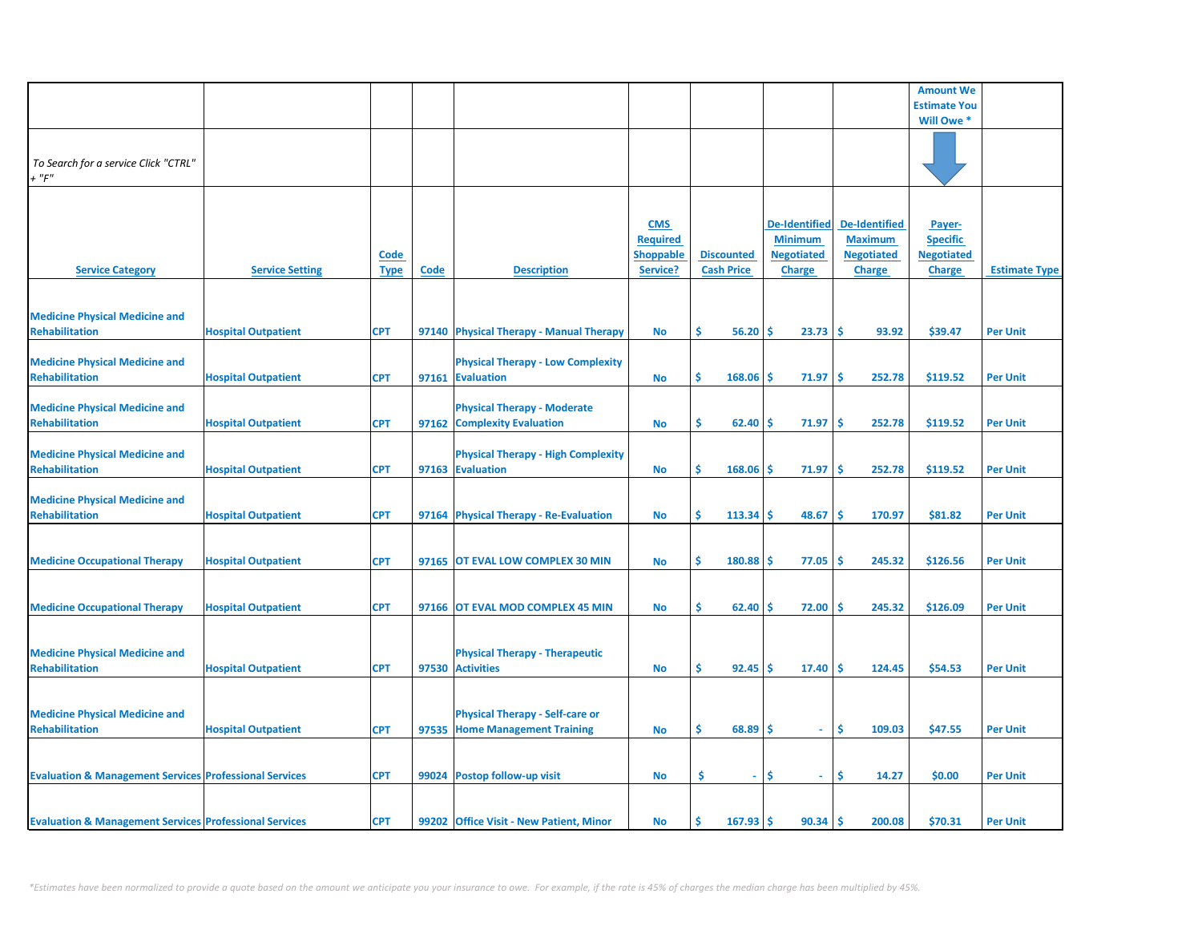|                                                                   |                            |                            |      |                                                                          |                                                               |                                        |                                                                              |                                                                              | <b>Amount We</b>                                                |                      |
|-------------------------------------------------------------------|----------------------------|----------------------------|------|--------------------------------------------------------------------------|---------------------------------------------------------------|----------------------------------------|------------------------------------------------------------------------------|------------------------------------------------------------------------------|-----------------------------------------------------------------|----------------------|
|                                                                   |                            |                            |      |                                                                          |                                                               |                                        |                                                                              |                                                                              | <b>Estimate You</b>                                             |                      |
|                                                                   |                            |                            |      |                                                                          |                                                               |                                        |                                                                              |                                                                              | Will Owe *                                                      |                      |
| To Search for a service Click "CTRL"<br>$+$ " $F$ "               |                            |                            |      |                                                                          |                                                               |                                        |                                                                              |                                                                              |                                                                 |                      |
| <b>Service Category</b>                                           | <b>Service Setting</b>     | <b>Code</b><br><b>Type</b> | Code | <b>Description</b>                                                       | <b>CMS</b><br><b>Required</b><br><b>Shoppable</b><br>Service? | <b>Discounted</b><br><b>Cash Price</b> | <b>De-Identified</b><br><b>Minimum</b><br><b>Negotiated</b><br><b>Charge</b> | <b>De-Identified</b><br><b>Maximum</b><br><b>Negotiated</b><br><b>Charge</b> | Payer-<br><b>Specific</b><br><b>Negotiated</b><br><b>Charge</b> | <b>Estimate Type</b> |
|                                                                   |                            |                            |      |                                                                          |                                                               |                                        |                                                                              |                                                                              |                                                                 |                      |
| <b>Medicine Physical Medicine and</b><br><b>Rehabilitation</b>    | <b>Hospital Outpatient</b> | <b>CPT</b>                 |      | 97140 Physical Therapy - Manual Therapy                                  | No                                                            | \$<br>$56.20$ \$                       | $23.73$ \$                                                                   | 93.92                                                                        | \$39.47                                                         | <b>Per Unit</b>      |
| <b>Medicine Physical Medicine and</b><br><b>Rehabilitation</b>    | <b>Hospital Outpatient</b> | <b>CPT</b>                 |      | <b>Physical Therapy - Low Complexity</b><br>97161 Evaluation             | <b>No</b>                                                     | \$.<br>168.06                          | -Ś<br>71.97                                                                  | -Ś<br>252.78                                                                 | \$119.52                                                        | <b>Per Unit</b>      |
| <b>Medicine Physical Medicine and</b><br><b>Rehabilitation</b>    | <b>Hospital Outpatient</b> | <b>CPT</b>                 |      | <b>Physical Therapy - Moderate</b><br>97162 Complexity Evaluation        | <b>No</b>                                                     | \$<br>62.40                            | -\$<br>71.97                                                                 | -Ś<br>252.78                                                                 | \$119.52                                                        | <b>Per Unit</b>      |
| <b>Medicine Physical Medicine and</b><br><b>Rehabilitation</b>    | <b>Hospital Outpatient</b> | <b>CPT</b>                 |      | <b>Physical Therapy - High Complexity</b><br>97163 Evaluation            | No                                                            | \$.<br>168.06                          | 71.97<br>-S                                                                  | 252.78<br>-\$                                                                | \$119.52                                                        | <b>Per Unit</b>      |
| <b>Medicine Physical Medicine and</b><br><b>Rehabilitation</b>    | <b>Hospital Outpatient</b> | <b>CPT</b>                 |      | 97164 Physical Therapy - Re-Evaluation                                   | No                                                            | \$<br>113.34                           | -Ś<br>48.67                                                                  | -Ś<br>170.97                                                                 | \$81.82                                                         | <b>Per Unit</b>      |
| <b>Medicine Occupational Therapy</b>                              | <b>Hospital Outpatient</b> | <b>CPT</b>                 |      | 97165 OT EVAL LOW COMPLEX 30 MIN                                         | No                                                            | 180.88<br>\$.                          | 77.05<br>-Ś                                                                  | 245.32<br>-\$                                                                | \$126.56                                                        | <b>Per Unit</b>      |
|                                                                   |                            |                            |      |                                                                          |                                                               |                                        |                                                                              |                                                                              |                                                                 |                      |
| <b>Medicine Occupational Therapy</b>                              | <b>Hospital Outpatient</b> | <b>CPT</b>                 |      | 97166 OT EVAL MOD COMPLEX 45 MIN                                         | No                                                            | \$<br>62.40                            | 72.00<br>-Ś                                                                  | 245.32<br>.S                                                                 | \$126.09                                                        | <b>Per Unit</b>      |
| <b>Medicine Physical Medicine and</b><br><b>Rehabilitation</b>    | <b>Hospital Outpatient</b> | <b>CPT</b>                 |      | <b>Physical Therapy - Therapeutic</b><br>97530 Activities                | No                                                            | Ś<br>92.45                             | -Ś<br>17.40                                                                  | -Ś<br>124.45                                                                 | \$54.53                                                         | <b>Per Unit</b>      |
|                                                                   |                            |                            |      |                                                                          |                                                               |                                        |                                                                              |                                                                              |                                                                 |                      |
| <b>Medicine Physical Medicine and</b><br><b>Rehabilitation</b>    | <b>Hospital Outpatient</b> | <b>CPT</b>                 |      | <b>Physical Therapy - Self-care or</b><br>97535 Home Management Training | No                                                            | \$<br>$68.89$ \$                       | $\sim$                                                                       | -Ś<br>109.03                                                                 | \$47.55                                                         | <b>Per Unit</b>      |
| <b>Evaluation &amp; Management Services Professional Services</b> |                            | <b>CPT</b>                 |      | 99024 Postop follow-up visit                                             | No                                                            | \$<br>$\sim$                           | Ś<br>$\sim$                                                                  | Ŝ.<br>14.27                                                                  | \$0.00                                                          | <b>Per Unit</b>      |
| <b>Evaluation &amp; Management Services Professional Services</b> |                            | <b>CPT</b>                 |      | 99202 Office Visit - New Patient, Minor                                  | No                                                            | Ś.<br>167.93                           | 90.34                                                                        | -Ś<br>200.08                                                                 | \$70.31                                                         | <b>Per Unit</b>      |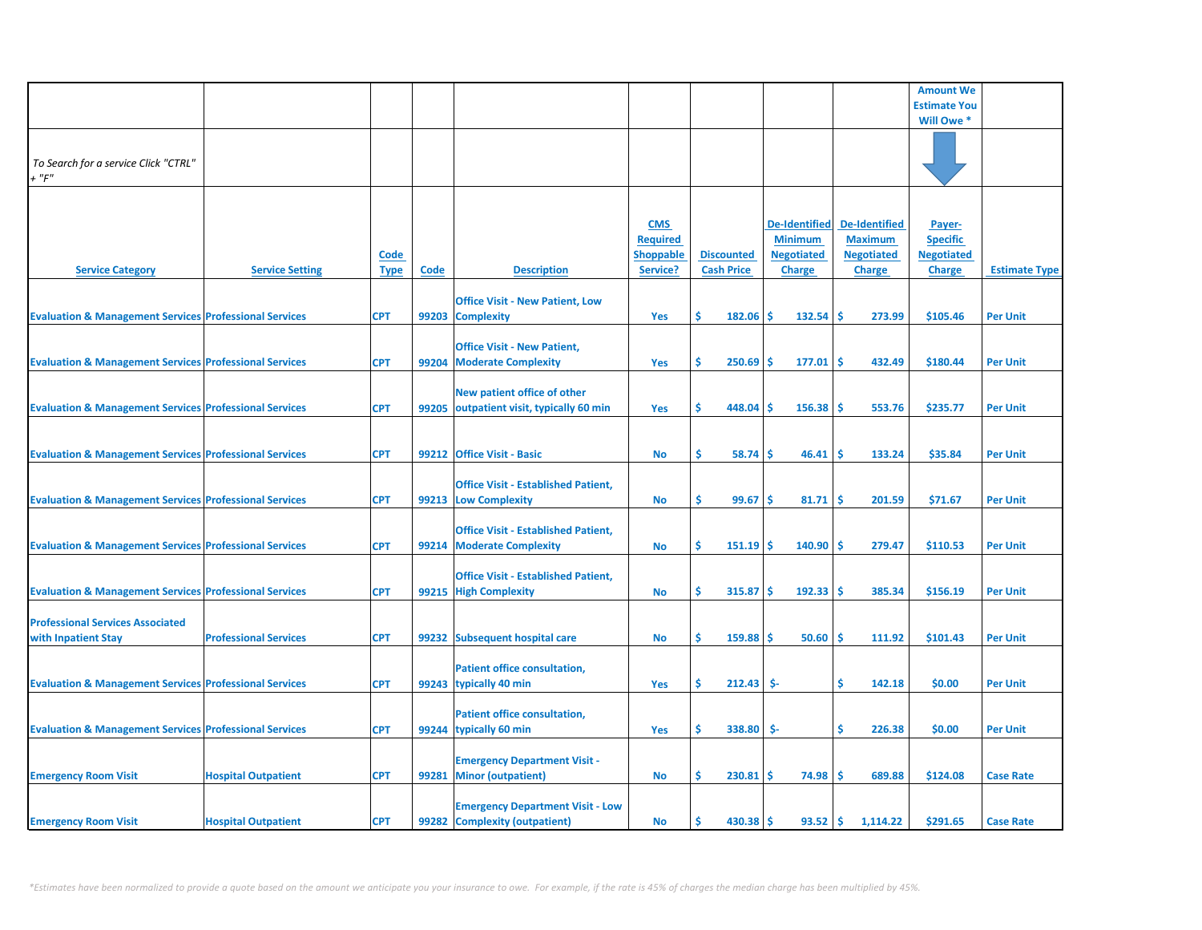|                                                                   |                              |                            |       |                                                                          |                                                               |                                        |     |                                                                              |                                                                              | <b>Amount We</b>                                         |                      |
|-------------------------------------------------------------------|------------------------------|----------------------------|-------|--------------------------------------------------------------------------|---------------------------------------------------------------|----------------------------------------|-----|------------------------------------------------------------------------------|------------------------------------------------------------------------------|----------------------------------------------------------|----------------------|
|                                                                   |                              |                            |       |                                                                          |                                                               |                                        |     |                                                                              |                                                                              | <b>Estimate You</b>                                      |                      |
|                                                                   |                              |                            |       |                                                                          |                                                               |                                        |     |                                                                              |                                                                              | Will Owe *                                               |                      |
| To Search for a service Click "CTRL"<br>$+$ " $F$ "               |                              |                            |       |                                                                          |                                                               |                                        |     |                                                                              |                                                                              |                                                          |                      |
| <b>Service Category</b>                                           | <b>Service Setting</b>       | <b>Code</b><br><b>Type</b> | Code  | <b>Description</b>                                                       | <b>CMS</b><br><b>Required</b><br><b>Shoppable</b><br>Service? | <b>Discounted</b><br><b>Cash Price</b> |     | <b>De-Identified</b><br><b>Minimum</b><br><b>Negotiated</b><br><b>Charge</b> | <b>De-Identified</b><br><b>Maximum</b><br><b>Negotiated</b><br><b>Charge</b> | Payer-<br><b>Specific</b><br><b>Negotiated</b><br>Charge | <b>Estimate Type</b> |
| <b>Evaluation &amp; Management Services Professional Services</b> |                              | <b>CPT</b>                 |       | <b>Office Visit - New Patient, Low</b><br>99203 Complexity               | Yes                                                           | \$<br>$182.06$ \$                      |     | $132.54$ \$                                                                  | 273.99                                                                       | \$105.46                                                 | <b>Per Unit</b>      |
| <b>Evaluation &amp; Management Services Professional Services</b> |                              | <b>CPT</b>                 | 99204 | <b>Office Visit - New Patient,</b><br><b>Moderate Complexity</b>         | Yes                                                           | \$<br>250.69                           | -Ś  | $177.01$ \$                                                                  | 432.49                                                                       | \$180.44                                                 | <b>Per Unit</b>      |
| <b>Evaluation &amp; Management Services Professional Services</b> |                              | <b>CPT</b>                 |       | New patient office of other<br>99205 outpatient visit, typically 60 min  | Yes                                                           | \$<br>448.04                           | -Ś  | 156.38                                                                       | -Ś<br>553.76                                                                 | \$235.77                                                 | <b>Per Unit</b>      |
| <b>Evaluation &amp; Management Services Professional Services</b> |                              | <b>CPT</b>                 |       | 99212 Office Visit - Basic                                               | <b>No</b>                                                     | \$<br>58.74                            | -Ś  | 46.41                                                                        | -Ś<br>133.24                                                                 | \$35.84                                                  | <b>Per Unit</b>      |
| <b>Evaluation &amp; Management Services Professional Services</b> |                              | <b>CPT</b>                 |       | <b>Office Visit - Established Patient,</b><br>99213 Low Complexity       | <b>No</b>                                                     | 99.67<br>\$                            | -Ś  | 81.71                                                                        | 201.59<br>-S                                                                 | \$71.67                                                  | <b>Per Unit</b>      |
| <b>Evaluation &amp; Management Services Professional Services</b> |                              | <b>CPT</b>                 |       | <b>Office Visit - Established Patient,</b><br>99214 Moderate Complexity  | <b>No</b>                                                     | Ś<br>151.19                            | -Ś  | 140.90                                                                       | 279.47<br>S                                                                  | \$110.53                                                 | <b>Per Unit</b>      |
| <b>Evaluation &amp; Management Services Professional Services</b> |                              | <b>CPT</b>                 |       | <b>Office Visit - Established Patient,</b><br>99215 High Complexity      | <b>No</b>                                                     | \$<br>315.87                           | -Ś  | 192.33                                                                       | 385.34<br>۱\$                                                                | \$156.19                                                 | <b>Per Unit</b>      |
| <b>Professional Services Associated</b><br>with Inpatient Stay    | <b>Professional Services</b> | <b>CPT</b>                 |       | 99232 Subsequent hospital care                                           | <b>No</b>                                                     | \$<br>159.88                           | -\$ | 50.60                                                                        | 111.92<br>۱\$                                                                | \$101.43                                                 | <b>Per Unit</b>      |
| <b>Evaluation &amp; Management Services Professional Services</b> |                              | <b>CPT</b>                 |       | <b>Patient office consultation,</b><br>99243 typically 40 min            | Yes                                                           | Ś<br>212.43                            | \$- |                                                                              | \$<br>142.18                                                                 | \$0.00                                                   | <b>Per Unit</b>      |
| <b>Evaluation &amp; Management Services Professional Services</b> |                              | <b>CPT</b>                 |       | <b>Patient office consultation,</b><br>99244 typically 60 min            | Yes                                                           | \$<br>338.80                           | \$- |                                                                              | \$<br>226.38                                                                 | \$0.00                                                   | <b>Per Unit</b>      |
| <b>Emergency Room Visit</b>                                       | <b>Hospital Outpatient</b>   | <b>CPT</b>                 | 99281 | <b>Emergency Department Visit -</b><br><b>Minor (outpatient)</b>         | <b>No</b>                                                     | Ś.<br>230.81                           | -Ś  | 74.98                                                                        | ١Ś<br>689.88                                                                 | \$124.08                                                 | <b>Case Rate</b>     |
| <b>Emergency Room Visit</b>                                       | <b>Hospital Outpatient</b>   | <b>CPT</b>                 |       | <b>Emergency Department Visit - Low</b><br>99282 Complexity (outpatient) | <b>No</b>                                                     | Ś.<br>$430.38$ \$                      |     | $93.52$ \$                                                                   | 1,114.22                                                                     | \$291.65                                                 | <b>Case Rate</b>     |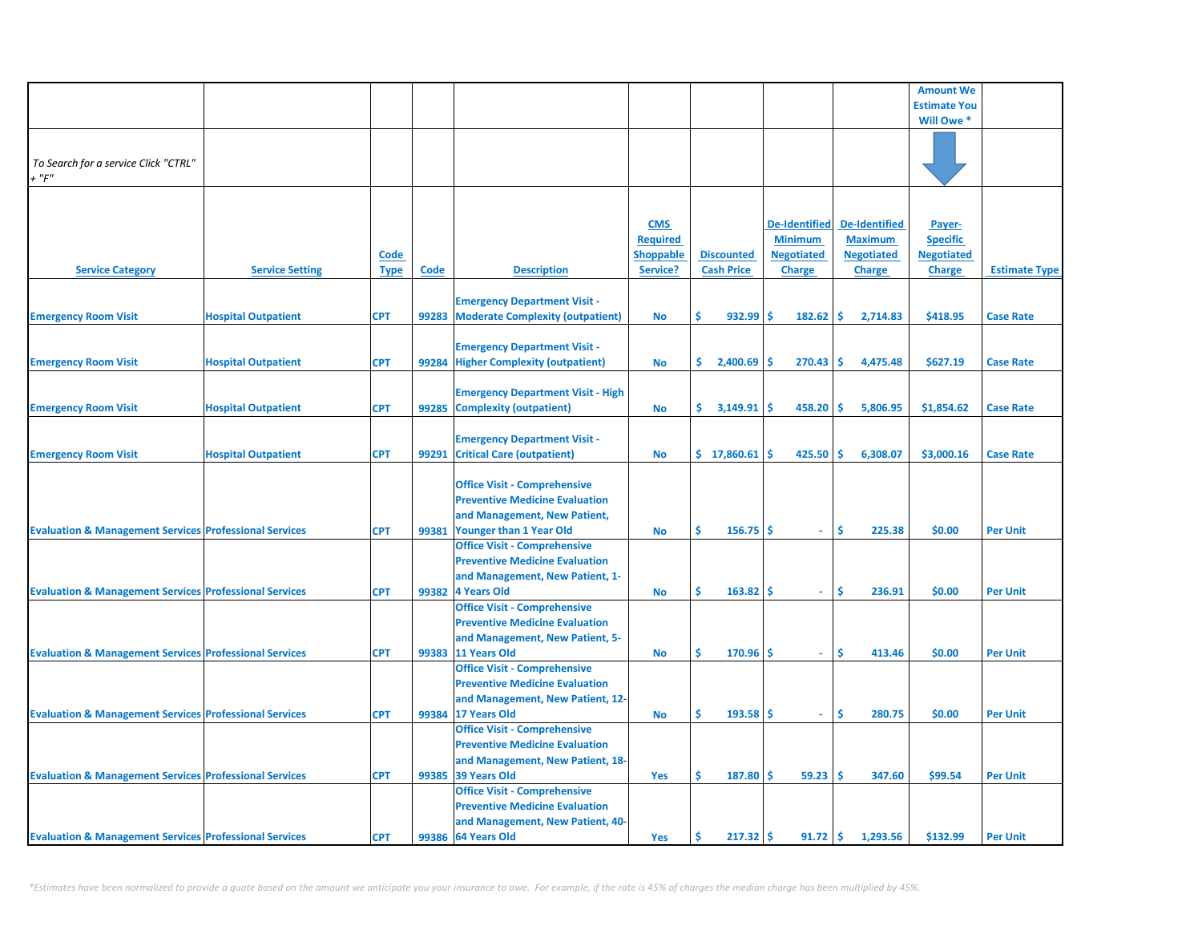|                                                                   |                            |             |       |                                          |                  |                   |                      |                      | <b>Amount We</b>    |                      |
|-------------------------------------------------------------------|----------------------------|-------------|-------|------------------------------------------|------------------|-------------------|----------------------|----------------------|---------------------|----------------------|
|                                                                   |                            |             |       |                                          |                  |                   |                      |                      | <b>Estimate You</b> |                      |
|                                                                   |                            |             |       |                                          |                  |                   |                      |                      | Will Owe *          |                      |
|                                                                   |                            |             |       |                                          |                  |                   |                      |                      |                     |                      |
|                                                                   |                            |             |       |                                          |                  |                   |                      |                      |                     |                      |
| To Search for a service Click "CTRL"                              |                            |             |       |                                          |                  |                   |                      |                      |                     |                      |
| $+$ " $F$ "                                                       |                            |             |       |                                          |                  |                   |                      |                      |                     |                      |
|                                                                   |                            |             |       |                                          |                  |                   |                      |                      |                     |                      |
|                                                                   |                            |             |       |                                          |                  |                   |                      |                      |                     |                      |
|                                                                   |                            |             |       |                                          | <b>CMS</b>       |                   | <b>De-Identified</b> | <b>De-Identified</b> | Payer-              |                      |
|                                                                   |                            |             |       |                                          | <b>Required</b>  |                   | <b>Minimum</b>       | <b>Maximum</b>       | <b>Specific</b>     |                      |
|                                                                   |                            | <b>Code</b> |       |                                          | <b>Shoppable</b> | <b>Discounted</b> | <b>Negotiated</b>    | <b>Negotiated</b>    | <b>Negotiated</b>   |                      |
| <b>Service Category</b>                                           | <b>Service Setting</b>     | <b>Type</b> | Code  | <b>Description</b>                       | Service?         | <b>Cash Price</b> | <b>Charge</b>        | <b>Charge</b>        | <b>Charge</b>       | <b>Estimate Type</b> |
|                                                                   |                            |             |       |                                          |                  |                   |                      |                      |                     |                      |
|                                                                   |                            |             |       | <b>Emergency Department Visit -</b>      |                  |                   |                      |                      |                     |                      |
|                                                                   | <b>Hospital Outpatient</b> | <b>CPT</b>  | 99283 |                                          |                  | Ŝ.<br>932.99      | \$.<br>182.62        | Ŝ.<br>2,714.83       | \$418.95            | <b>Case Rate</b>     |
| <b>Emergency Room Visit</b>                                       |                            |             |       | <b>Moderate Complexity (outpatient)</b>  | <b>No</b>        |                   |                      |                      |                     |                      |
|                                                                   |                            |             |       |                                          |                  |                   |                      |                      |                     |                      |
|                                                                   |                            |             |       | <b>Emergency Department Visit -</b>      |                  |                   |                      |                      |                     |                      |
| <b>Emergency Room Visit</b>                                       | <b>Hospital Outpatient</b> | <b>CPT</b>  | 99284 | <b>Higher Complexity (outpatient)</b>    | <b>No</b>        | S.<br>2,400.69    | \$.<br>270.43        | Ŝ.<br>4,475.48       | \$627.19            | <b>Case Rate</b>     |
|                                                                   |                            |             |       |                                          |                  |                   |                      |                      |                     |                      |
|                                                                   |                            |             |       | <b>Emergency Department Visit - High</b> |                  |                   |                      |                      |                     |                      |
| <b>Emergency Room Visit</b>                                       | <b>Hospital Outpatient</b> | <b>CPT</b>  | 99285 | <b>Complexity (outpatient)</b>           | <b>No</b>        | Ŝ.<br>3,149.91    | Ś<br>458.20          | Ŝ.<br>5,806.95       | \$1,854.62          | <b>Case Rate</b>     |
|                                                                   |                            |             |       |                                          |                  |                   |                      |                      |                     |                      |
|                                                                   |                            |             |       | <b>Emergency Department Visit -</b>      |                  |                   |                      |                      |                     |                      |
| <b>Emergency Room Visit</b>                                       | <b>Hospital Outpatient</b> | <b>CPT</b>  | 99291 | <b>Critical Care (outpatient)</b>        | <b>No</b>        | \$17,860.61       | Ś<br>425.50          | Ŝ.<br>6,308.07       | \$3,000.16          | <b>Case Rate</b>     |
|                                                                   |                            |             |       |                                          |                  |                   |                      |                      |                     |                      |
|                                                                   |                            |             |       | <b>Office Visit - Comprehensive</b>      |                  |                   |                      |                      |                     |                      |
|                                                                   |                            |             |       | <b>Preventive Medicine Evaluation</b>    |                  |                   |                      |                      |                     |                      |
|                                                                   |                            |             |       | and Management, New Patient,             |                  |                   |                      |                      |                     |                      |
| <b>Evaluation &amp; Management Services Professional Services</b> |                            | <b>CPT</b>  | 99381 | <b>Younger than 1 Year Old</b>           | <b>No</b>        | Ŝ<br>156.75       | Ŝ.<br>÷.             | \$.<br>225.38        | \$0.00              | <b>Per Unit</b>      |
|                                                                   |                            |             |       | <b>Office Visit - Comprehensive</b>      |                  |                   |                      |                      |                     |                      |
|                                                                   |                            |             |       | <b>Preventive Medicine Evaluation</b>    |                  |                   |                      |                      |                     |                      |
|                                                                   |                            |             |       | and Management, New Patient, 1-          |                  |                   |                      |                      |                     |                      |
| <b>Evaluation &amp; Management Services Professional Services</b> |                            | <b>CPT</b>  | 99382 | 4 Years Old                              | <b>No</b>        | Ŝ<br>163.82       | Ŝ<br>$\omega$        | Ŝ<br>236.91          | \$0.00              | <b>Per Unit</b>      |
|                                                                   |                            |             |       | <b>Office Visit - Comprehensive</b>      |                  |                   |                      |                      |                     |                      |
|                                                                   |                            |             |       | <b>Preventive Medicine Evaluation</b>    |                  |                   |                      |                      |                     |                      |
|                                                                   |                            |             |       | and Management, New Patient, 5-          |                  |                   |                      |                      |                     |                      |
| <b>Evaluation &amp; Management Services Professional Services</b> |                            | <b>CPT</b>  | 99383 | 11 Years Old                             | <b>No</b>        | Ŝ<br>170.96       | Ŝ<br>$\omega$        | Ś<br>413.46          | \$0.00              | <b>Per Unit</b>      |
|                                                                   |                            |             |       | <b>Office Visit - Comprehensive</b>      |                  |                   |                      |                      |                     |                      |
|                                                                   |                            |             |       | <b>Preventive Medicine Evaluation</b>    |                  |                   |                      |                      |                     |                      |
|                                                                   |                            |             |       | and Management, New Patient, 12-         |                  |                   |                      |                      |                     |                      |
| <b>Evaluation &amp; Management Services Professional Services</b> |                            | <b>CPT</b>  |       | 99384 17 Years Old                       | <b>No</b>        | Ŝ<br>193.58       | Ŝ<br>$\sim$          | \$.<br>280.75        | \$0.00              | <b>Per Unit</b>      |
|                                                                   |                            |             |       | <b>Office Visit - Comprehensive</b>      |                  |                   |                      |                      |                     |                      |
|                                                                   |                            |             |       | <b>Preventive Medicine Evaluation</b>    |                  |                   |                      |                      |                     |                      |
|                                                                   |                            |             |       | and Management, New Patient, 18-         |                  |                   |                      |                      |                     |                      |
| <b>Evaluation &amp; Management Services Professional Services</b> |                            | <b>CPT</b>  | 99385 | 39 Years Old                             | Yes              | Ŝ<br>187.80       | Ŝ<br>59.23           | Ŝ.<br>347.60         | \$99.54             | <b>Per Unit</b>      |
|                                                                   |                            |             |       | <b>Office Visit - Comprehensive</b>      |                  |                   |                      |                      |                     |                      |
|                                                                   |                            |             |       | <b>Preventive Medicine Evaluation</b>    |                  |                   |                      |                      |                     |                      |
|                                                                   |                            |             |       | and Management, New Patient, 40-         |                  |                   |                      |                      |                     |                      |
| <b>Evaluation &amp; Management Services Professional Services</b> |                            | <b>CPT</b>  |       | 99386 64 Years Old                       | Yes              | Ŝ<br>217.32       | Ś<br>91.72           | \$.<br>1,293.56      | \$132.99            | <b>Per Unit</b>      |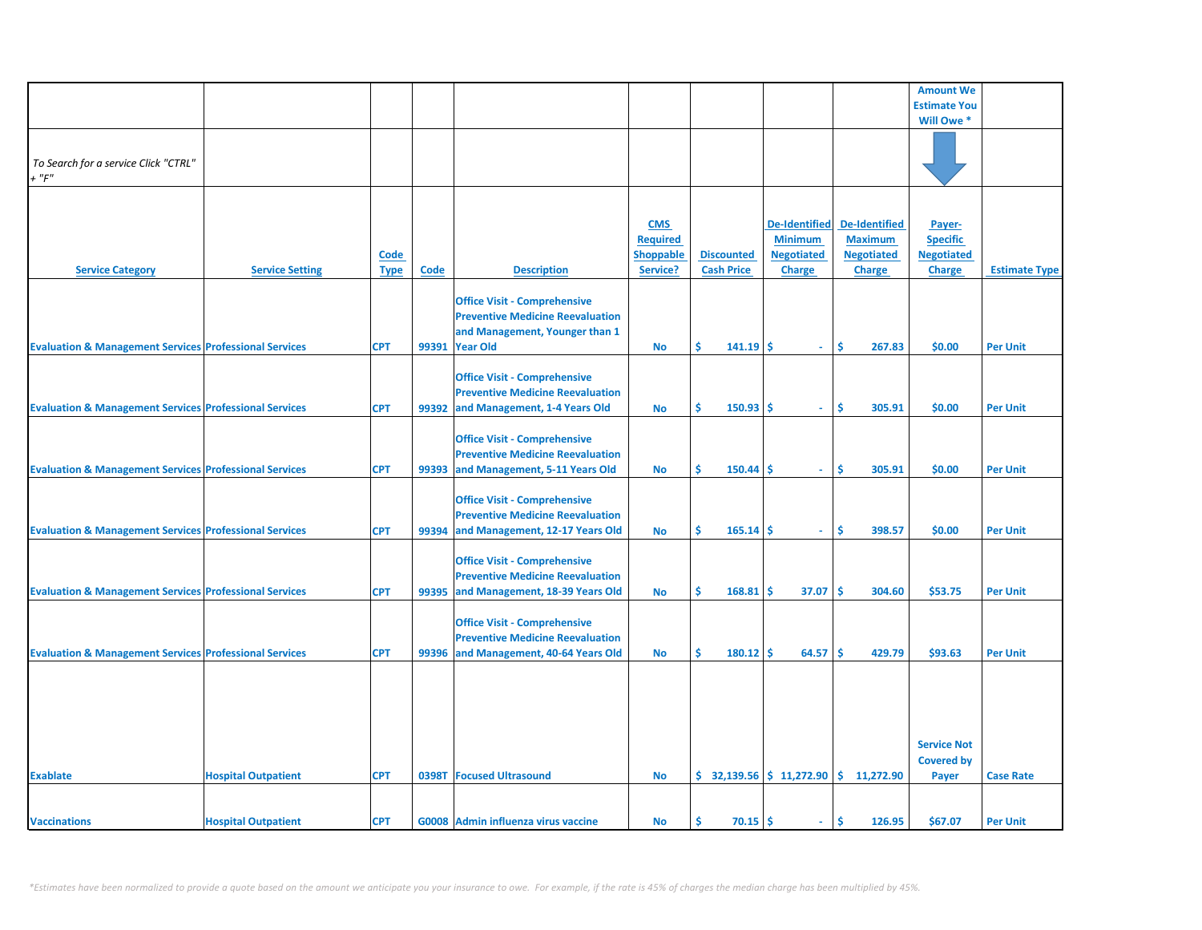|                                                                   |                            |             |       |                                         |                  |                   |                      |                                                                            | <b>Amount We</b>    |                      |
|-------------------------------------------------------------------|----------------------------|-------------|-------|-----------------------------------------|------------------|-------------------|----------------------|----------------------------------------------------------------------------|---------------------|----------------------|
|                                                                   |                            |             |       |                                         |                  |                   |                      |                                                                            | <b>Estimate You</b> |                      |
|                                                                   |                            |             |       |                                         |                  |                   |                      |                                                                            | Will Owe *          |                      |
|                                                                   |                            |             |       |                                         |                  |                   |                      |                                                                            |                     |                      |
|                                                                   |                            |             |       |                                         |                  |                   |                      |                                                                            |                     |                      |
|                                                                   |                            |             |       |                                         |                  |                   |                      |                                                                            |                     |                      |
| To Search for a service Click "CTRL"                              |                            |             |       |                                         |                  |                   |                      |                                                                            |                     |                      |
| $+$ " $F$ "                                                       |                            |             |       |                                         |                  |                   |                      |                                                                            |                     |                      |
|                                                                   |                            |             |       |                                         |                  |                   |                      |                                                                            |                     |                      |
|                                                                   |                            |             |       |                                         |                  |                   |                      |                                                                            |                     |                      |
|                                                                   |                            |             |       |                                         |                  |                   |                      |                                                                            |                     |                      |
|                                                                   |                            |             |       |                                         | <b>CMS</b>       |                   | <b>De-Identified</b> | <b>De-Identified</b>                                                       | Payer-              |                      |
|                                                                   |                            |             |       |                                         | <b>Required</b>  |                   | <b>Minimum</b>       | <b>Maximum</b>                                                             | <b>Specific</b>     |                      |
|                                                                   |                            | <b>Code</b> |       |                                         | <b>Shoppable</b> | <b>Discounted</b> | <b>Negotiated</b>    | <b>Negotiated</b>                                                          | <b>Negotiated</b>   |                      |
|                                                                   |                            |             |       |                                         |                  |                   |                      |                                                                            |                     |                      |
| <b>Service Category</b>                                           | <b>Service Setting</b>     | <b>Type</b> | Code  | <b>Description</b>                      | Service?         | <b>Cash Price</b> | <b>Charge</b>        | <b>Charge</b>                                                              | <b>Charge</b>       | <b>Estimate Type</b> |
|                                                                   |                            |             |       |                                         |                  |                   |                      |                                                                            |                     |                      |
|                                                                   |                            |             |       | <b>Office Visit - Comprehensive</b>     |                  |                   |                      |                                                                            |                     |                      |
|                                                                   |                            |             |       | <b>Preventive Medicine Reevaluation</b> |                  |                   |                      |                                                                            |                     |                      |
|                                                                   |                            |             |       |                                         |                  |                   |                      |                                                                            |                     |                      |
|                                                                   |                            |             |       | and Management, Younger than 1          |                  |                   |                      |                                                                            |                     |                      |
| <b>Evaluation &amp; Management Services Professional Services</b> |                            | <b>CPT</b>  |       | 99391 Year Old                          | <b>No</b>        | Ŝ.<br>141.19      | Ŝ.<br>÷.             | Ŝ<br>267.83                                                                | \$0.00              | <b>Per Unit</b>      |
|                                                                   |                            |             |       |                                         |                  |                   |                      |                                                                            |                     |                      |
|                                                                   |                            |             |       |                                         |                  |                   |                      |                                                                            |                     |                      |
|                                                                   |                            |             |       | <b>Office Visit - Comprehensive</b>     |                  |                   |                      |                                                                            |                     |                      |
|                                                                   |                            |             |       | <b>Preventive Medicine Reevaluation</b> |                  |                   |                      |                                                                            |                     |                      |
| <b>Evaluation &amp; Management Services Professional Services</b> |                            | <b>CPT</b>  | 99392 | and Management, 1-4 Years Old           | <b>No</b>        | Ŝ<br>150.93       | \$.<br>$\sim$        | Ś<br>305.91                                                                | \$0.00              | <b>Per Unit</b>      |
|                                                                   |                            |             |       |                                         |                  |                   |                      |                                                                            |                     |                      |
|                                                                   |                            |             |       |                                         |                  |                   |                      |                                                                            |                     |                      |
|                                                                   |                            |             |       | <b>Office Visit - Comprehensive</b>     |                  |                   |                      |                                                                            |                     |                      |
|                                                                   |                            |             |       | <b>Preventive Medicine Reevaluation</b> |                  |                   |                      |                                                                            |                     |                      |
| <b>Evaluation &amp; Management Services Professional Services</b> |                            | <b>CPT</b>  | 99393 | and Management, 5-11 Years Old          | <b>No</b>        | Ŝ.<br>150.44      | s<br>$\sim$          | \$.<br>305.91                                                              | \$0.00              | <b>Per Unit</b>      |
|                                                                   |                            |             |       |                                         |                  |                   |                      |                                                                            |                     |                      |
|                                                                   |                            |             |       |                                         |                  |                   |                      |                                                                            |                     |                      |
|                                                                   |                            |             |       | <b>Office Visit - Comprehensive</b>     |                  |                   |                      |                                                                            |                     |                      |
|                                                                   |                            |             |       | <b>Preventive Medicine Reevaluation</b> |                  |                   |                      |                                                                            |                     |                      |
| <b>Evaluation &amp; Management Services Professional Services</b> |                            | <b>CPT</b>  | 99394 | and Management, 12-17 Years Old         | <b>No</b>        | Ŝ<br>165.14       | \$.<br>a.            | \$.<br>398.57                                                              | \$0.00              | <b>Per Unit</b>      |
|                                                                   |                            |             |       |                                         |                  |                   |                      |                                                                            |                     |                      |
|                                                                   |                            |             |       |                                         |                  |                   |                      |                                                                            |                     |                      |
|                                                                   |                            |             |       | <b>Office Visit - Comprehensive</b>     |                  |                   |                      |                                                                            |                     |                      |
|                                                                   |                            |             |       | <b>Preventive Medicine Reevaluation</b> |                  |                   |                      |                                                                            |                     |                      |
|                                                                   |                            |             |       |                                         |                  | Ŝ.<br>168.81      | 37.07<br>Ŝ           | <b>S</b><br>304.60                                                         | \$53.75             |                      |
| <b>Evaluation &amp; Management Services Professional Services</b> |                            | <b>CPT</b>  | 99395 | and Management, 18-39 Years Old         | <b>No</b>        |                   |                      |                                                                            |                     | <b>Per Unit</b>      |
|                                                                   |                            |             |       |                                         |                  |                   |                      |                                                                            |                     |                      |
|                                                                   |                            |             |       | <b>Office Visit - Comprehensive</b>     |                  |                   |                      |                                                                            |                     |                      |
|                                                                   |                            |             |       | <b>Preventive Medicine Reevaluation</b> |                  |                   |                      |                                                                            |                     |                      |
|                                                                   |                            |             |       |                                         |                  |                   |                      |                                                                            |                     |                      |
| <b>Evaluation &amp; Management Services Professional Services</b> |                            | <b>CPT</b>  |       | 99396 and Management, 40-64 Years Old   | No               | Ŝ<br>180.12       | Ś<br>64.57           | Ś<br>429.79                                                                | \$93.63             | <b>Per Unit</b>      |
|                                                                   |                            |             |       |                                         |                  |                   |                      |                                                                            |                     |                      |
|                                                                   |                            |             |       |                                         |                  |                   |                      |                                                                            |                     |                      |
|                                                                   |                            |             |       |                                         |                  |                   |                      |                                                                            |                     |                      |
|                                                                   |                            |             |       |                                         |                  |                   |                      |                                                                            |                     |                      |
|                                                                   |                            |             |       |                                         |                  |                   |                      |                                                                            |                     |                      |
|                                                                   |                            |             |       |                                         |                  |                   |                      |                                                                            |                     |                      |
|                                                                   |                            |             |       |                                         |                  |                   |                      |                                                                            | <b>Service Not</b>  |                      |
|                                                                   |                            |             |       |                                         |                  |                   |                      |                                                                            |                     |                      |
|                                                                   |                            |             |       |                                         |                  |                   |                      |                                                                            | <b>Covered by</b>   |                      |
| <b>Exablate</b>                                                   | <b>Hospital Outpatient</b> | <b>CPT</b>  |       | 0398T Focused Ultrasound                | <b>No</b>        |                   |                      | $\binom{1}{2}$ 32,139.56 $\binom{1}{2}$ 11,272.90 $\binom{2}{3}$ 11,272.90 | Payer               | <b>Case Rate</b>     |
|                                                                   |                            |             |       |                                         |                  |                   |                      |                                                                            |                     |                      |
|                                                                   |                            |             |       |                                         |                  |                   |                      |                                                                            |                     |                      |
|                                                                   |                            |             |       |                                         |                  |                   |                      |                                                                            |                     |                      |
| <b>Vaccinations</b>                                               | <b>Hospital Outpatient</b> | <b>CPT</b>  |       | G0008 Admin influenza virus vaccine     | <b>No</b>        | Ŝ.<br>70.15       | Ŝ.<br>$\sim$         | Ŝ.<br>126.95                                                               | \$67.07             | <b>Per Unit</b>      |